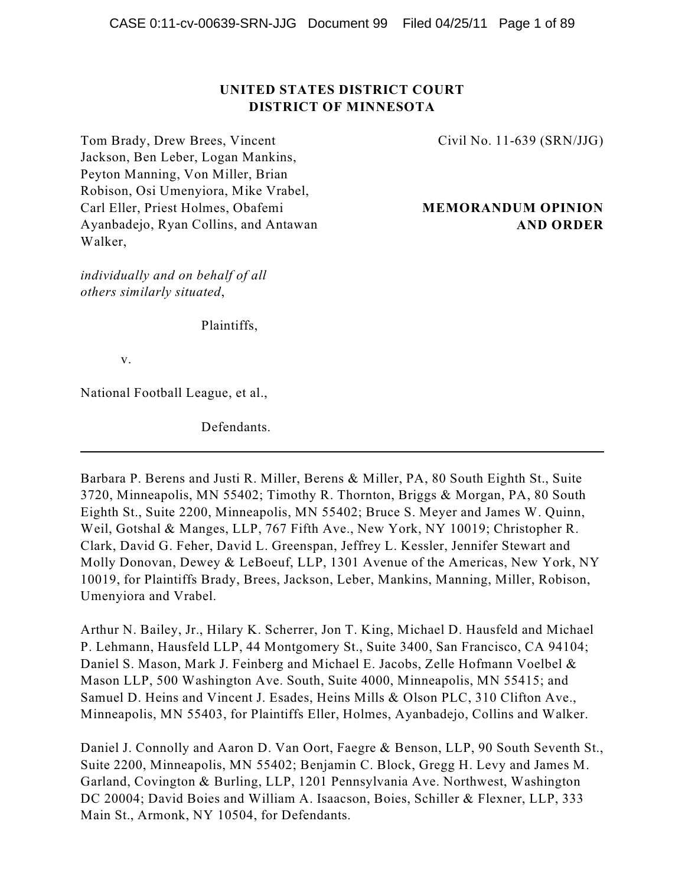# **UNITED STATES DISTRICT COURT DISTRICT OF MINNESOTA**

Tom Brady, Drew Brees, Vincent Jackson, Ben Leber, Logan Mankins, Peyton Manning, Von Miller, Brian Robison, Osi Umenyiora, Mike Vrabel, Carl Eller, Priest Holmes, Obafemi Ayanbadejo, Ryan Collins, and Antawan Walker,

*individually and on behalf of all others similarly situated*,

Civil No. 11-639 (SRN/JJG)

# **MEMORANDUM OPINION AND ORDER**

Plaintiffs,

v.

National Football League, et al.,

Defendants.

Barbara P. Berens and Justi R. Miller, Berens & Miller, PA, 80 South Eighth St., Suite 3720, Minneapolis, MN 55402; Timothy R. Thornton, Briggs & Morgan, PA, 80 South Eighth St., Suite 2200, Minneapolis, MN 55402; Bruce S. Meyer and James W. Quinn, Weil, Gotshal & Manges, LLP, 767 Fifth Ave., New York, NY 10019; Christopher R. Clark, David G. Feher, David L. Greenspan, Jeffrey L. Kessler, Jennifer Stewart and Molly Donovan, Dewey & LeBoeuf, LLP, 1301 Avenue of the Americas, New York, NY 10019, for Plaintiffs Brady, Brees, Jackson, Leber, Mankins, Manning, Miller, Robison, Umenyiora and Vrabel.

Arthur N. Bailey, Jr., Hilary K. Scherrer, Jon T. King, Michael D. Hausfeld and Michael P. Lehmann, Hausfeld LLP, 44 Montgomery St., Suite 3400, San Francisco, CA 94104; Daniel S. Mason, Mark J. Feinberg and Michael E. Jacobs, Zelle Hofmann Voelbel & Mason LLP, 500 Washington Ave. South, Suite 4000, Minneapolis, MN 55415; and Samuel D. Heins and Vincent J. Esades, Heins Mills & Olson PLC, 310 Clifton Ave., Minneapolis, MN 55403, for Plaintiffs Eller, Holmes, Ayanbadejo, Collins and Walker.

Daniel J. Connolly and Aaron D. Van Oort, Faegre & Benson, LLP, 90 South Seventh St., Suite 2200, Minneapolis, MN 55402; Benjamin C. Block, Gregg H. Levy and James M. Garland, Covington & Burling, LLP, 1201 Pennsylvania Ave. Northwest, Washington DC 20004; David Boies and William A. Isaacson, Boies, Schiller & Flexner, LLP, 333 Main St., Armonk, NY 10504, for Defendants.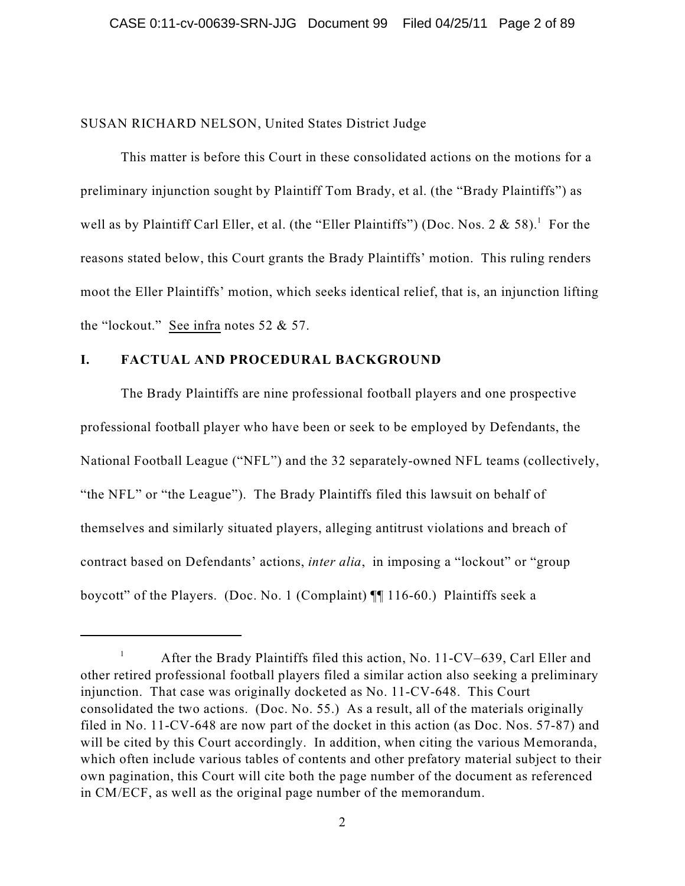### SUSAN RICHARD NELSON, United States District Judge

This matter is before this Court in these consolidated actions on the motions for a preliminary injunction sought by Plaintiff Tom Brady, et al. (the "Brady Plaintiffs") as well as by Plaintiff Carl Eller, et al. (the "Eller Plaintiffs") (Doc. Nos. 2 & 58).<sup>1</sup> For the reasons stated below, this Court grants the Brady Plaintiffs' motion. This ruling renders moot the Eller Plaintiffs' motion, which seeks identical relief, that is, an injunction lifting the "lockout." See infra notes 52 & 57.

## **I. FACTUAL AND PROCEDURAL BACKGROUND**

The Brady Plaintiffs are nine professional football players and one prospective professional football player who have been or seek to be employed by Defendants, the National Football League ("NFL") and the 32 separately-owned NFL teams (collectively, "the NFL" or "the League"). The Brady Plaintiffs filed this lawsuit on behalf of themselves and similarly situated players, alleging antitrust violations and breach of contract based on Defendants' actions, *inter alia*, in imposing a "lockout" or "group boycott" of the Players. (Doc. No. 1 (Complaint) ¶¶ 116-60.) Plaintiffs seek a

After the Brady Plaintiffs filed this action, No. 11-CV–639, Carl Eller and 1 other retired professional football players filed a similar action also seeking a preliminary injunction. That case was originally docketed as No. 11-CV-648. This Court consolidated the two actions. (Doc. No. 55.) As a result, all of the materials originally filed in No. 11-CV-648 are now part of the docket in this action (as Doc. Nos. 57-87) and will be cited by this Court accordingly. In addition, when citing the various Memoranda, which often include various tables of contents and other prefatory material subject to their own pagination, this Court will cite both the page number of the document as referenced in CM/ECF, as well as the original page number of the memorandum.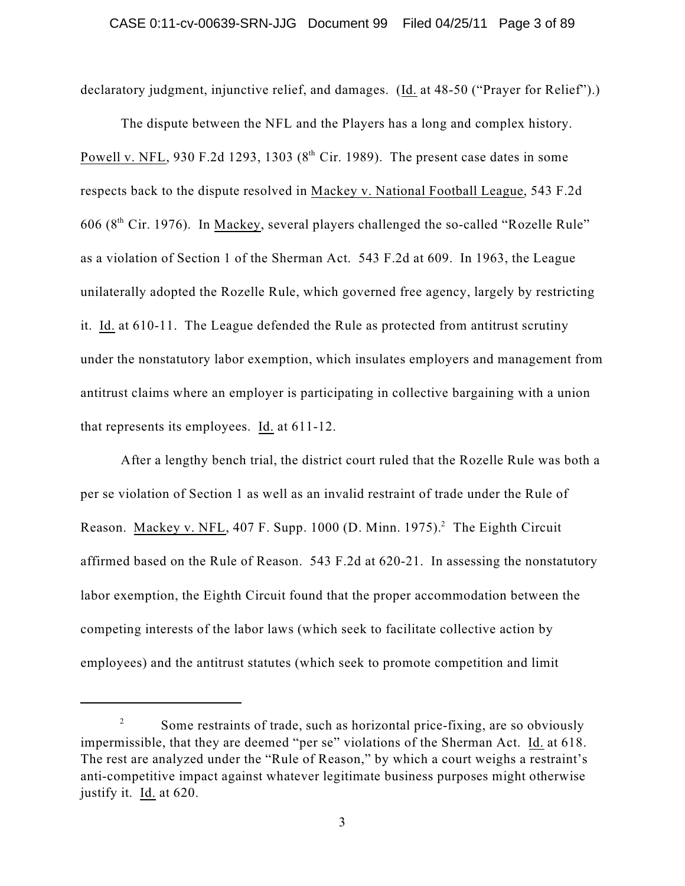declaratory judgment, injunctive relief, and damages. (Id. at 48-50 ("Prayer for Relief").)

The dispute between the NFL and the Players has a long and complex history. Powell v. NFL, 930 F.2d 1293, 1303 ( $8<sup>th</sup>$  Cir. 1989). The present case dates in some respects back to the dispute resolved in Mackey v. National Football League, 543 F.2d 606 ( $8<sup>th</sup>$  Cir. 1976). In Mackey, several players challenged the so-called "Rozelle Rule" as a violation of Section 1 of the Sherman Act. 543 F.2d at 609. In 1963, the League unilaterally adopted the Rozelle Rule, which governed free agency, largely by restricting it. Id. at 610-11. The League defended the Rule as protected from antitrust scrutiny under the nonstatutory labor exemption, which insulates employers and management from antitrust claims where an employer is participating in collective bargaining with a union that represents its employees. Id. at 611-12.

After a lengthy bench trial, the district court ruled that the Rozelle Rule was both a per se violation of Section 1 as well as an invalid restraint of trade under the Rule of Reason. Mackey v. NFL, 407 F. Supp. 1000 (D. Minn. 1975).<sup>2</sup> The Eighth Circuit affirmed based on the Rule of Reason. 543 F.2d at 620-21. In assessing the nonstatutory labor exemption, the Eighth Circuit found that the proper accommodation between the competing interests of the labor laws (which seek to facilitate collective action by employees) and the antitrust statutes (which seek to promote competition and limit

Some restraints of trade, such as horizontal price-fixing, are so obviously 2 impermissible, that they are deemed "per se" violations of the Sherman Act. Id. at 618. The rest are analyzed under the "Rule of Reason," by which a court weighs a restraint's anti-competitive impact against whatever legitimate business purposes might otherwise justify it. Id. at 620.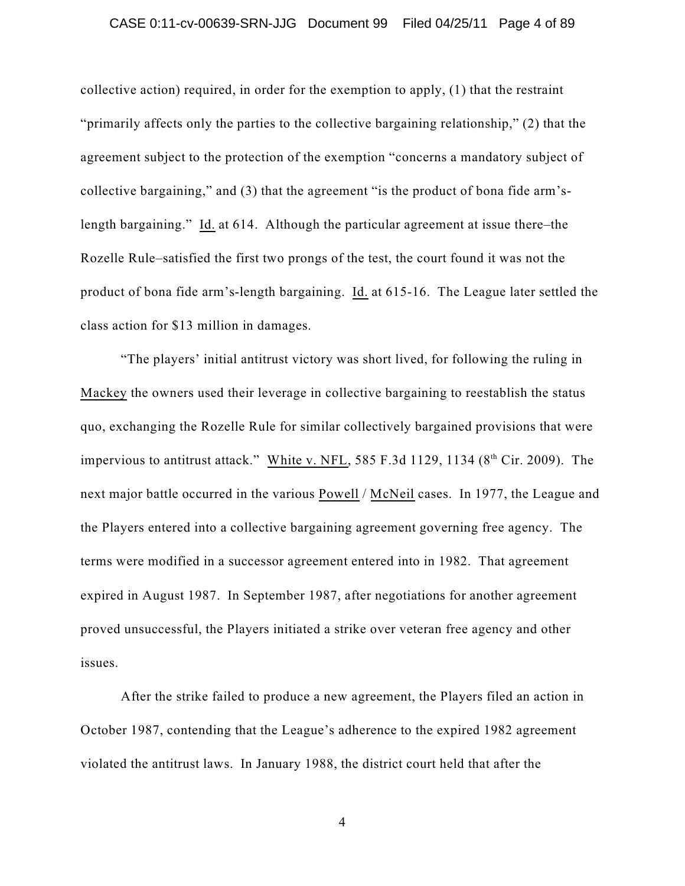## CASE 0:11-cv-00639-SRN-JJG Document 99 Filed 04/25/11 Page 4 of 89

collective action) required, in order for the exemption to apply, (1) that the restraint "primarily affects only the parties to the collective bargaining relationship," (2) that the agreement subject to the protection of the exemption "concerns a mandatory subject of collective bargaining," and (3) that the agreement "is the product of bona fide arm'slength bargaining." Id. at 614. Although the particular agreement at issue there–the Rozelle Rule–satisfied the first two prongs of the test, the court found it was not the product of bona fide arm's-length bargaining. Id. at 615-16. The League later settled the class action for \$13 million in damages.

"The players' initial antitrust victory was short lived, for following the ruling in Mackey the owners used their leverage in collective bargaining to reestablish the status quo, exchanging the Rozelle Rule for similar collectively bargained provisions that were impervious to antitrust attack." White v. NFL, 585 F.3d 1129, 1134 ( $8<sup>th</sup>$  Cir. 2009). The next major battle occurred in the various Powell / McNeil cases. In 1977, the League and the Players entered into a collective bargaining agreement governing free agency. The terms were modified in a successor agreement entered into in 1982. That agreement expired in August 1987. In September 1987, after negotiations for another agreement proved unsuccessful, the Players initiated a strike over veteran free agency and other issues.

After the strike failed to produce a new agreement, the Players filed an action in October 1987, contending that the League's adherence to the expired 1982 agreement violated the antitrust laws. In January 1988, the district court held that after the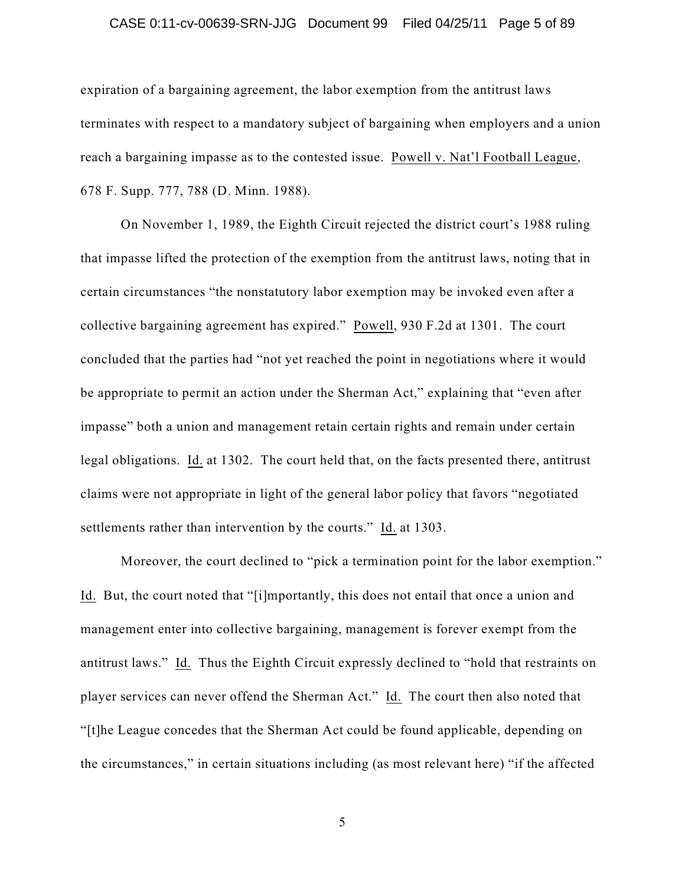### CASE 0:11-cv-00639-SRN-JJG Document 99 Filed 04/25/11 Page 5 of 89

expiration of a bargaining agreement, the labor exemption from the antitrust laws terminates with respect to a mandatory subject of bargaining when employers and a union reach a bargaining impasse as to the contested issue. Powell v. Nat'l Football League, 678 F. Supp. 777, 788 (D. Minn. 1988).

On November 1, 1989, the Eighth Circuit rejected the district court's 1988 ruling that impasse lifted the protection of the exemption from the antitrust laws, noting that in certain circumstances "the nonstatutory labor exemption may be invoked even after a collective bargaining agreement has expired." Powell, 930 F.2d at 1301. The court concluded that the parties had "not yet reached the point in negotiations where it would be appropriate to permit an action under the Sherman Act," explaining that "even after impasse" both a union and management retain certain rights and remain under certain legal obligations. Id. at 1302. The court held that, on the facts presented there, antitrust claims were not appropriate in light of the general labor policy that favors "negotiated settlements rather than intervention by the courts." Id. at 1303.

Moreover, the court declined to "pick a termination point for the labor exemption." Id. But, the court noted that "[i]mportantly, this does not entail that once a union and management enter into collective bargaining, management is forever exempt from the antitrust laws." Id. Thus the Eighth Circuit expressly declined to "hold that restraints on player services can never offend the Sherman Act." Id. The court then also noted that "[t]he League concedes that the Sherman Act could be found applicable, depending on the circumstances," in certain situations including (as most relevant here) "if the affected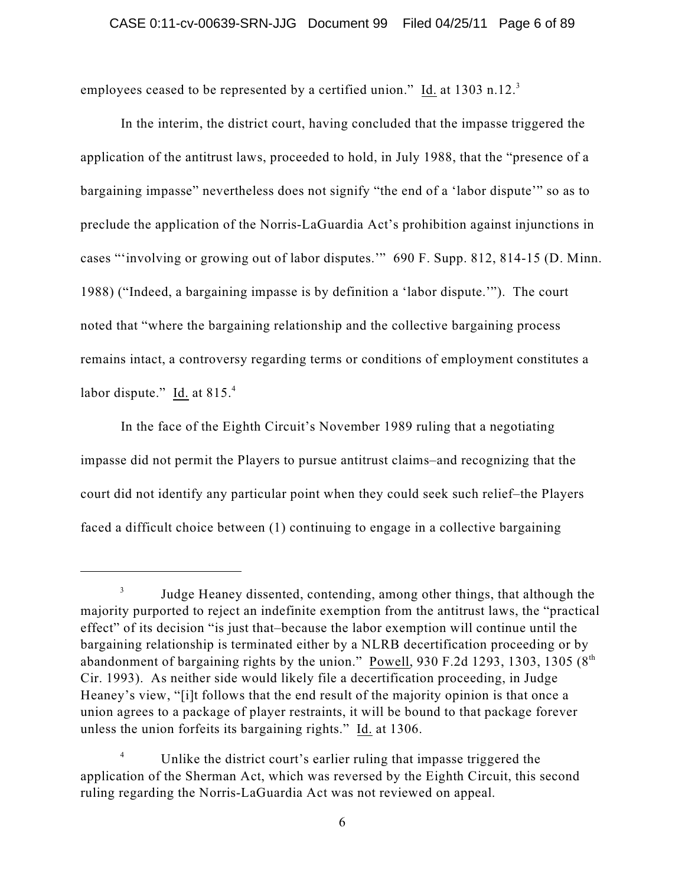employees ceased to be represented by a certified union." Id. at 1303 n.12.<sup>3</sup>

In the interim, the district court, having concluded that the impasse triggered the application of the antitrust laws, proceeded to hold, in July 1988, that the "presence of a bargaining impasse" nevertheless does not signify "the end of a 'labor dispute'" so as to preclude the application of the Norris-LaGuardia Act's prohibition against injunctions in cases "'involving or growing out of labor disputes.'" 690 F. Supp. 812, 814-15 (D. Minn. 1988) ("Indeed, a bargaining impasse is by definition a 'labor dispute.'"). The court noted that "where the bargaining relationship and the collective bargaining process remains intact, a controversy regarding terms or conditions of employment constitutes a labor dispute." Id. at 815.4

In the face of the Eighth Circuit's November 1989 ruling that a negotiating impasse did not permit the Players to pursue antitrust claims–and recognizing that the court did not identify any particular point when they could seek such relief–the Players faced a difficult choice between (1) continuing to engage in a collective bargaining

Judge Heaney dissented, contending, among other things, that although the 3 majority purported to reject an indefinite exemption from the antitrust laws, the "practical effect" of its decision "is just that–because the labor exemption will continue until the bargaining relationship is terminated either by a NLRB decertification proceeding or by abandonment of bargaining rights by the union." Powell, 930 F.2d 1293, 1303, 1305 ( $8<sup>th</sup>$ Cir. 1993). As neither side would likely file a decertification proceeding, in Judge Heaney's view, "[i]t follows that the end result of the majority opinion is that once a union agrees to a package of player restraints, it will be bound to that package forever unless the union forfeits its bargaining rights." Id. at 1306.

Unlike the district court's earlier ruling that impasse triggered the 4 application of the Sherman Act, which was reversed by the Eighth Circuit, this second ruling regarding the Norris-LaGuardia Act was not reviewed on appeal.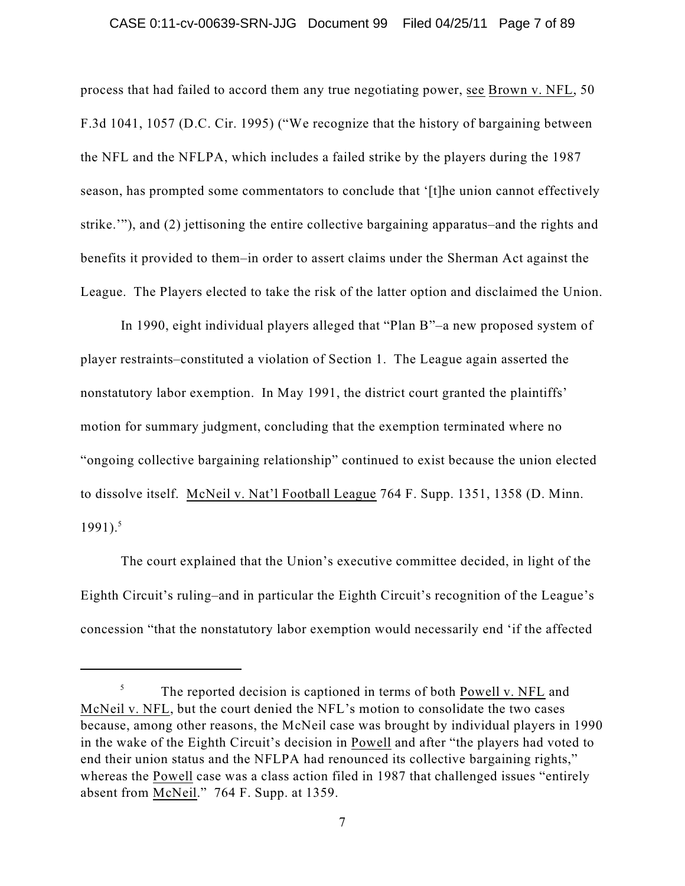### CASE 0:11-cv-00639-SRN-JJG Document 99 Filed 04/25/11 Page 7 of 89

process that had failed to accord them any true negotiating power, see Brown v. NFL, 50 F.3d 1041, 1057 (D.C. Cir. 1995) ("We recognize that the history of bargaining between the NFL and the NFLPA, which includes a failed strike by the players during the 1987 season, has prompted some commentators to conclude that '[t]he union cannot effectively strike.'"), and (2) jettisoning the entire collective bargaining apparatus–and the rights and benefits it provided to them–in order to assert claims under the Sherman Act against the League. The Players elected to take the risk of the latter option and disclaimed the Union.

In 1990, eight individual players alleged that "Plan B"–a new proposed system of player restraints–constituted a violation of Section 1. The League again asserted the nonstatutory labor exemption. In May 1991, the district court granted the plaintiffs' motion for summary judgment, concluding that the exemption terminated where no "ongoing collective bargaining relationship" continued to exist because the union elected to dissolve itself. McNeil v. Nat'l Football League 764 F. Supp. 1351, 1358 (D. Minn. 1991). 5

The court explained that the Union's executive committee decided, in light of the Eighth Circuit's ruling–and in particular the Eighth Circuit's recognition of the League's concession "that the nonstatutory labor exemption would necessarily end 'if the affected

The reported decision is captioned in terms of both Powell v. NFL and 5 McNeil v. NFL, but the court denied the NFL's motion to consolidate the two cases because, among other reasons, the McNeil case was brought by individual players in 1990 in the wake of the Eighth Circuit's decision in Powell and after "the players had voted to end their union status and the NFLPA had renounced its collective bargaining rights," whereas the Powell case was a class action filed in 1987 that challenged issues "entirely absent from McNeil." 764 F. Supp. at 1359.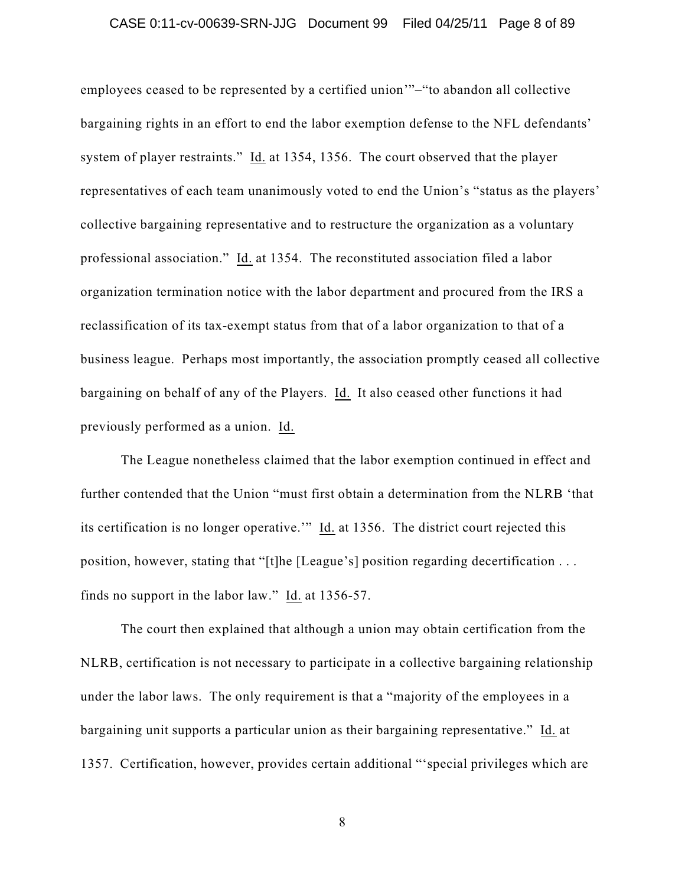## CASE 0:11-cv-00639-SRN-JJG Document 99 Filed 04/25/11 Page 8 of 89

employees ceased to be represented by a certified union'"–"to abandon all collective bargaining rights in an effort to end the labor exemption defense to the NFL defendants' system of player restraints." Id. at 1354, 1356. The court observed that the player representatives of each team unanimously voted to end the Union's "status as the players' collective bargaining representative and to restructure the organization as a voluntary professional association." Id. at 1354. The reconstituted association filed a labor organization termination notice with the labor department and procured from the IRS a reclassification of its tax-exempt status from that of a labor organization to that of a business league. Perhaps most importantly, the association promptly ceased all collective bargaining on behalf of any of the Players. Id. It also ceased other functions it had previously performed as a union. Id.

The League nonetheless claimed that the labor exemption continued in effect and further contended that the Union "must first obtain a determination from the NLRB 'that its certification is no longer operative.'" Id. at 1356. The district court rejected this position, however, stating that "[t]he [League's] position regarding decertification . . . finds no support in the labor law." Id. at 1356-57.

The court then explained that although a union may obtain certification from the NLRB, certification is not necessary to participate in a collective bargaining relationship under the labor laws. The only requirement is that a "majority of the employees in a bargaining unit supports a particular union as their bargaining representative." Id. at 1357. Certification, however, provides certain additional "'special privileges which are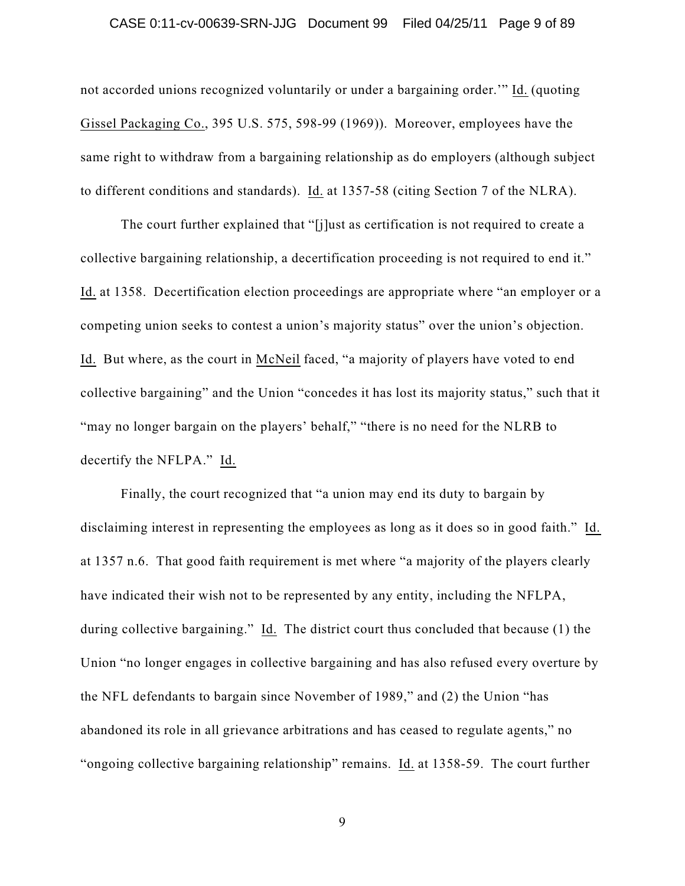### CASE 0:11-cv-00639-SRN-JJG Document 99 Filed 04/25/11 Page 9 of 89

not accorded unions recognized voluntarily or under a bargaining order.'" Id. (quoting Gissel Packaging Co., 395 U.S. 575, 598-99 (1969)). Moreover, employees have the same right to withdraw from a bargaining relationship as do employers (although subject to different conditions and standards). Id. at 1357-58 (citing Section 7 of the NLRA).

The court further explained that "[j]ust as certification is not required to create a collective bargaining relationship, a decertification proceeding is not required to end it." Id. at 1358. Decertification election proceedings are appropriate where "an employer or a competing union seeks to contest a union's majority status" over the union's objection. Id. But where, as the court in McNeil faced, "a majority of players have voted to end collective bargaining" and the Union "concedes it has lost its majority status," such that it "may no longer bargain on the players' behalf," "there is no need for the NLRB to decertify the NFLPA." Id.

Finally, the court recognized that "a union may end its duty to bargain by disclaiming interest in representing the employees as long as it does so in good faith." Id. at 1357 n.6. That good faith requirement is met where "a majority of the players clearly have indicated their wish not to be represented by any entity, including the NFLPA, during collective bargaining." Id. The district court thus concluded that because (1) the Union "no longer engages in collective bargaining and has also refused every overture by the NFL defendants to bargain since November of 1989," and (2) the Union "has abandoned its role in all grievance arbitrations and has ceased to regulate agents," no "ongoing collective bargaining relationship" remains. Id. at 1358-59. The court further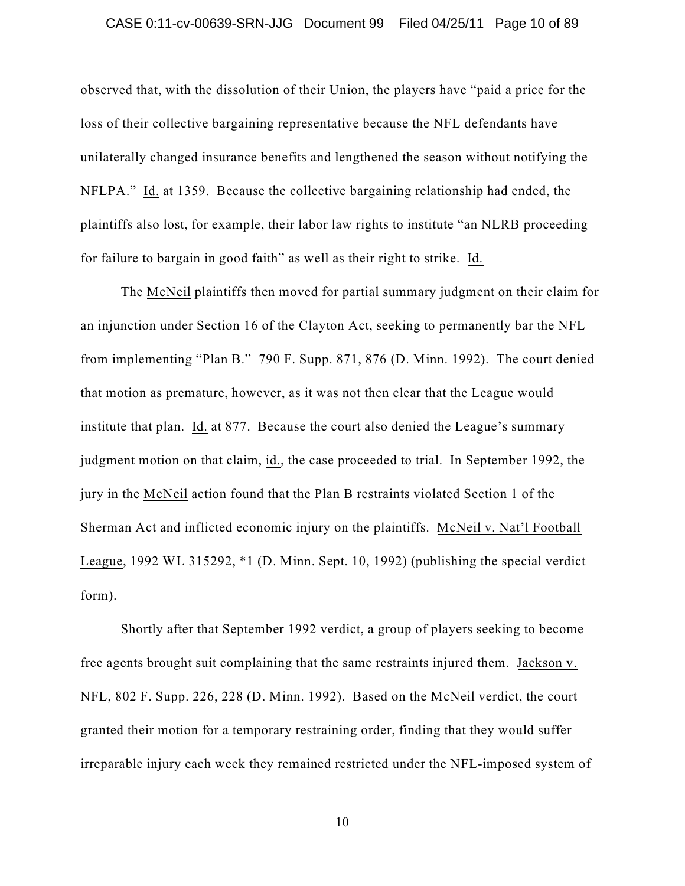### CASE 0:11-cv-00639-SRN-JJG Document 99 Filed 04/25/11 Page 10 of 89

observed that, with the dissolution of their Union, the players have "paid a price for the loss of their collective bargaining representative because the NFL defendants have unilaterally changed insurance benefits and lengthened the season without notifying the NFLPA." Id. at 1359. Because the collective bargaining relationship had ended, the plaintiffs also lost, for example, their labor law rights to institute "an NLRB proceeding for failure to bargain in good faith" as well as their right to strike. Id.

The McNeil plaintiffs then moved for partial summary judgment on their claim for an injunction under Section 16 of the Clayton Act, seeking to permanently bar the NFL from implementing "Plan B." 790 F. Supp. 871, 876 (D. Minn. 1992). The court denied that motion as premature, however, as it was not then clear that the League would institute that plan. Id. at 877. Because the court also denied the League's summary judgment motion on that claim, id., the case proceeded to trial. In September 1992, the jury in the McNeil action found that the Plan B restraints violated Section 1 of the Sherman Act and inflicted economic injury on the plaintiffs. McNeil v. Nat'l Football League, 1992 WL 315292, \*1 (D. Minn. Sept. 10, 1992) (publishing the special verdict form).

Shortly after that September 1992 verdict, a group of players seeking to become free agents brought suit complaining that the same restraints injured them. Jackson v. NFL, 802 F. Supp. 226, 228 (D. Minn. 1992). Based on the McNeil verdict, the court granted their motion for a temporary restraining order, finding that they would suffer irreparable injury each week they remained restricted under the NFL-imposed system of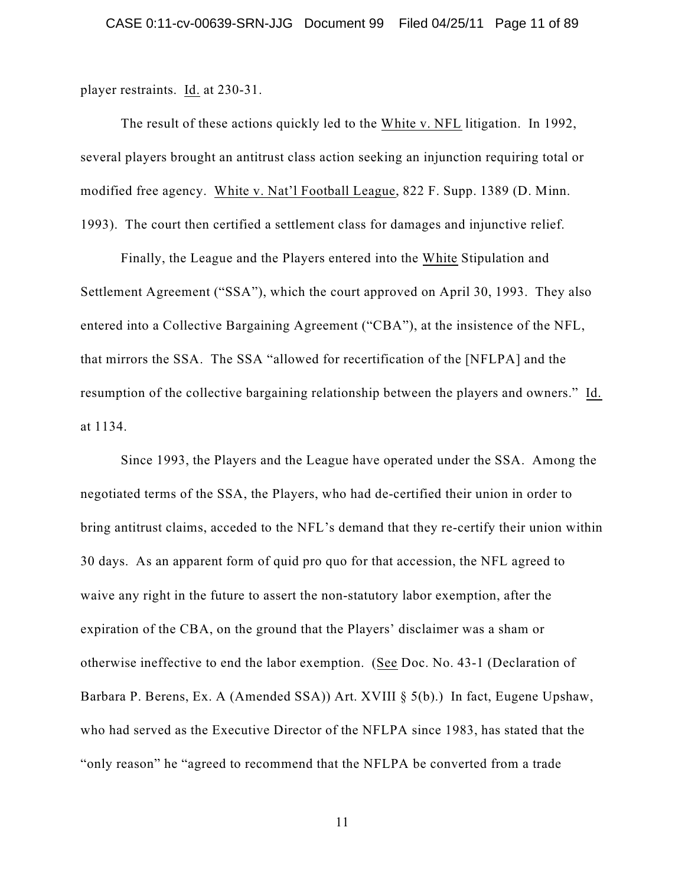player restraints. Id. at 230-31.

The result of these actions quickly led to the White v. NFL litigation. In 1992, several players brought an antitrust class action seeking an injunction requiring total or modified free agency. White v. Nat'l Football League, 822 F. Supp. 1389 (D. Minn. 1993). The court then certified a settlement class for damages and injunctive relief.

Finally, the League and the Players entered into the White Stipulation and Settlement Agreement ("SSA"), which the court approved on April 30, 1993. They also entered into a Collective Bargaining Agreement ("CBA"), at the insistence of the NFL, that mirrors the SSA. The SSA "allowed for recertification of the [NFLPA] and the resumption of the collective bargaining relationship between the players and owners." Id. at 1134.

Since 1993, the Players and the League have operated under the SSA. Among the negotiated terms of the SSA, the Players, who had de-certified their union in order to bring antitrust claims, acceded to the NFL's demand that they re-certify their union within 30 days. As an apparent form of quid pro quo for that accession, the NFL agreed to waive any right in the future to assert the non-statutory labor exemption, after the expiration of the CBA, on the ground that the Players' disclaimer was a sham or otherwise ineffective to end the labor exemption. (See Doc. No. 43-1 (Declaration of Barbara P. Berens, Ex. A (Amended SSA)) Art. XVIII § 5(b).) In fact, Eugene Upshaw, who had served as the Executive Director of the NFLPA since 1983, has stated that the "only reason" he "agreed to recommend that the NFLPA be converted from a trade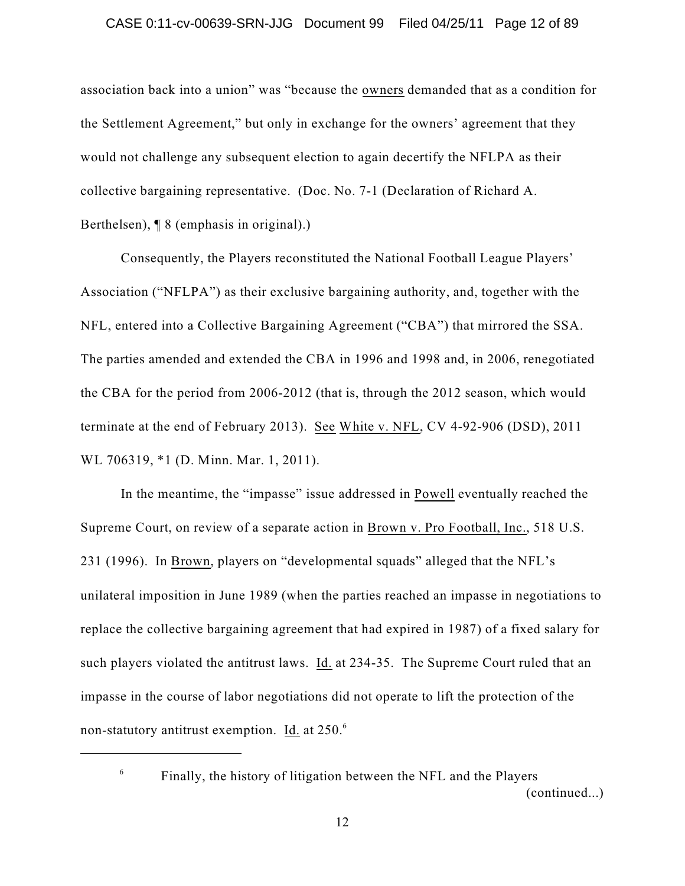association back into a union" was "because the owners demanded that as a condition for the Settlement Agreement," but only in exchange for the owners' agreement that they would not challenge any subsequent election to again decertify the NFLPA as their collective bargaining representative. (Doc. No. 7-1 (Declaration of Richard A. Berthelsen), ¶ 8 (emphasis in original).)

Consequently, the Players reconstituted the National Football League Players' Association ("NFLPA") as their exclusive bargaining authority, and, together with the NFL, entered into a Collective Bargaining Agreement ("CBA") that mirrored the SSA. The parties amended and extended the CBA in 1996 and 1998 and, in 2006, renegotiated the CBA for the period from 2006-2012 (that is, through the 2012 season, which would terminate at the end of February 2013). See White v. NFL, CV 4-92-906 (DSD), 2011 WL 706319, \*1 (D. Minn. Mar. 1, 2011).

In the meantime, the "impasse" issue addressed in Powell eventually reached the Supreme Court, on review of a separate action in Brown v. Pro Football, Inc., 518 U.S. 231 (1996). In Brown, players on "developmental squads" alleged that the NFL's unilateral imposition in June 1989 (when the parties reached an impasse in negotiations to replace the collective bargaining agreement that had expired in 1987) of a fixed salary for such players violated the antitrust laws. Id. at 234-35. The Supreme Court ruled that an impasse in the course of labor negotiations did not operate to lift the protection of the non-statutory antitrust exemption. Id. at 250.<sup>6</sup>

Finally, the history of litigation between the NFL and the Players (continued...)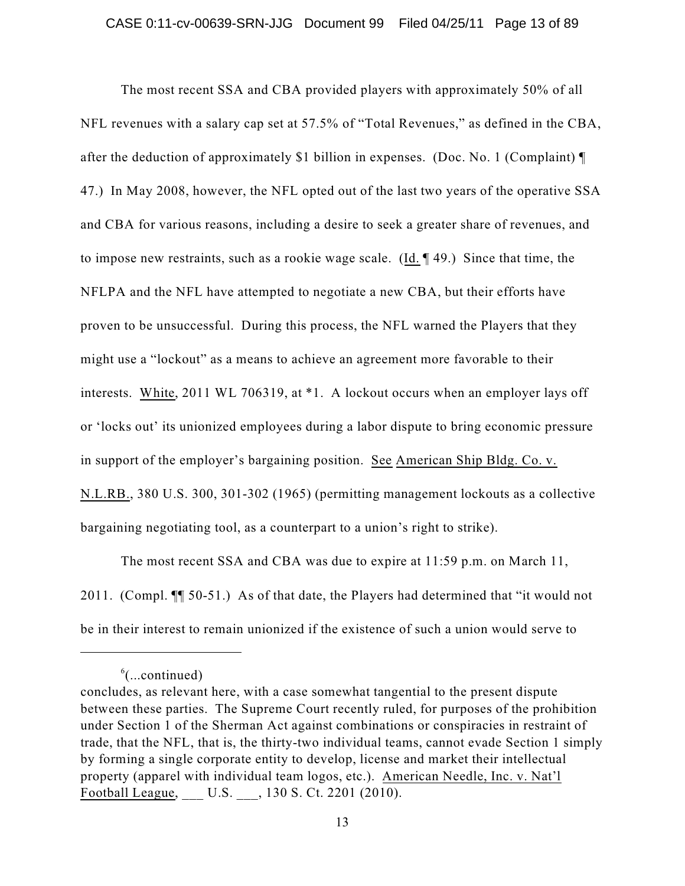The most recent SSA and CBA provided players with approximately 50% of all NFL revenues with a salary cap set at 57.5% of "Total Revenues," as defined in the CBA, after the deduction of approximately \$1 billion in expenses. (Doc. No. 1 (Complaint) ¶ 47.) In May 2008, however, the NFL opted out of the last two years of the operative SSA and CBA for various reasons, including a desire to seek a greater share of revenues, and to impose new restraints, such as a rookie wage scale. (Id. ¶ 49.) Since that time, the NFLPA and the NFL have attempted to negotiate a new CBA, but their efforts have proven to be unsuccessful. During this process, the NFL warned the Players that they might use a "lockout" as a means to achieve an agreement more favorable to their interests. White, 2011 WL 706319, at \*1. A lockout occurs when an employer lays off or 'locks out' its unionized employees during a labor dispute to bring economic pressure in support of the employer's bargaining position. See American Ship Bldg. Co. v. N.L.RB., 380 U.S. 300, 301-302 (1965) (permitting management lockouts as a collective bargaining negotiating tool, as a counterpart to a union's right to strike).

The most recent SSA and CBA was due to expire at 11:59 p.m. on March 11, 2011. (Compl. ¶¶ 50-51.) As of that date, the Players had determined that "it would not be in their interest to remain unionized if the existence of such a union would serve to

 $\mathrm{^6}$ (...continued)

concludes, as relevant here, with a case somewhat tangential to the present dispute between these parties. The Supreme Court recently ruled, for purposes of the prohibition under Section 1 of the Sherman Act against combinations or conspiracies in restraint of trade, that the NFL, that is, the thirty-two individual teams, cannot evade Section 1 simply by forming a single corporate entity to develop, license and market their intellectual property (apparel with individual team logos, etc.). American Needle, Inc. v. Nat'l Football League, \_\_\_ U.S. \_\_\_, 130 S. Ct. 2201 (2010).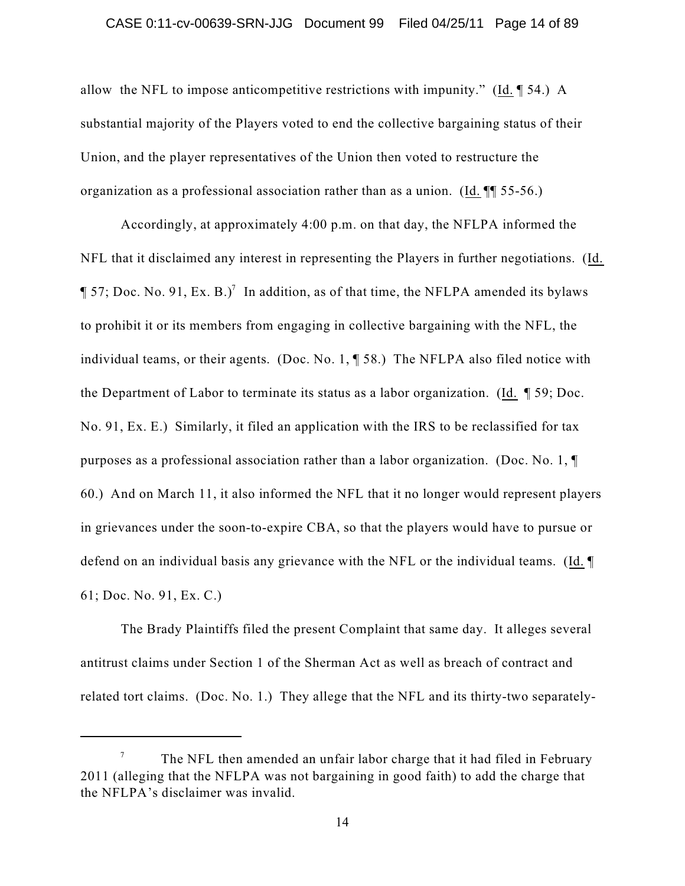### CASE 0:11-cv-00639-SRN-JJG Document 99 Filed 04/25/11 Page 14 of 89

allow the NFL to impose anticompetitive restrictions with impunity." (Id. ¶ 54.) A substantial majority of the Players voted to end the collective bargaining status of their Union, and the player representatives of the Union then voted to restructure the organization as a professional association rather than as a union. (Id. ¶¶ 55-56.)

Accordingly, at approximately 4:00 p.m. on that day, the NFLPA informed the NFL that it disclaimed any interest in representing the Players in further negotiations. (Id.  $\P$  57; Doc. No. 91, Ex. B.)<sup>7</sup> In addition, as of that time, the NFLPA amended its bylaws to prohibit it or its members from engaging in collective bargaining with the NFL, the individual teams, or their agents. (Doc. No. 1, ¶ 58.) The NFLPA also filed notice with the Department of Labor to terminate its status as a labor organization. (Id. ¶ 59; Doc. No. 91, Ex. E.) Similarly, it filed an application with the IRS to be reclassified for tax purposes as a professional association rather than a labor organization. (Doc. No. 1, ¶ 60.) And on March 11, it also informed the NFL that it no longer would represent players in grievances under the soon-to-expire CBA, so that the players would have to pursue or defend on an individual basis any grievance with the NFL or the individual teams. (Id. ¶ 61; Doc. No. 91, Ex. C.)

The Brady Plaintiffs filed the present Complaint that same day. It alleges several antitrust claims under Section 1 of the Sherman Act as well as breach of contract and related tort claims. (Doc. No. 1.) They allege that the NFL and its thirty-two separately-

The NFL then amended an unfair labor charge that it had filed in February 7 2011 (alleging that the NFLPA was not bargaining in good faith) to add the charge that the NFLPA's disclaimer was invalid.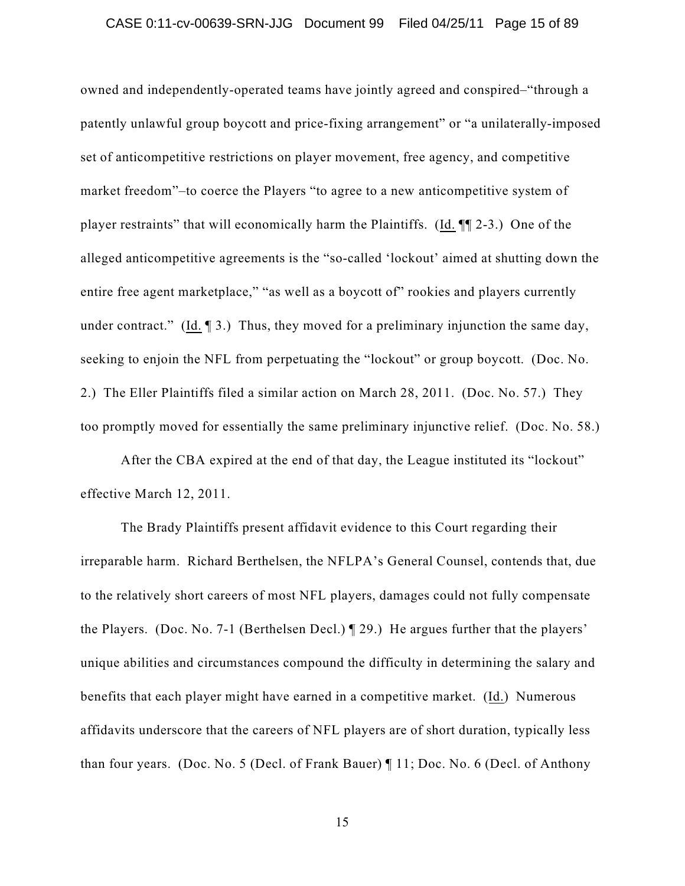owned and independently-operated teams have jointly agreed and conspired–"through a patently unlawful group boycott and price-fixing arrangement" or "a unilaterally-imposed set of anticompetitive restrictions on player movement, free agency, and competitive market freedom"–to coerce the Players "to agree to a new anticompetitive system of player restraints" that will economically harm the Plaintiffs. (Id. ¶¶ 2-3.) One of the alleged anticompetitive agreements is the "so-called 'lockout' aimed at shutting down the entire free agent marketplace," "as well as a boycott of" rookies and players currently under contract." (Id. 13.) Thus, they moved for a preliminary injunction the same day, seeking to enjoin the NFL from perpetuating the "lockout" or group boycott. (Doc. No. 2.) The Eller Plaintiffs filed a similar action on March 28, 2011. (Doc. No. 57.) They too promptly moved for essentially the same preliminary injunctive relief. (Doc. No. 58.)

After the CBA expired at the end of that day, the League instituted its "lockout" effective March 12, 2011.

The Brady Plaintiffs present affidavit evidence to this Court regarding their irreparable harm. Richard Berthelsen, the NFLPA's General Counsel, contends that, due to the relatively short careers of most NFL players, damages could not fully compensate the Players. (Doc. No. 7-1 (Berthelsen Decl.) ¶ 29.) He argues further that the players' unique abilities and circumstances compound the difficulty in determining the salary and benefits that each player might have earned in a competitive market. (Id.) Numerous affidavits underscore that the careers of NFL players are of short duration, typically less than four years. (Doc. No. 5 (Decl. of Frank Bauer) ¶ 11; Doc. No. 6 (Decl. of Anthony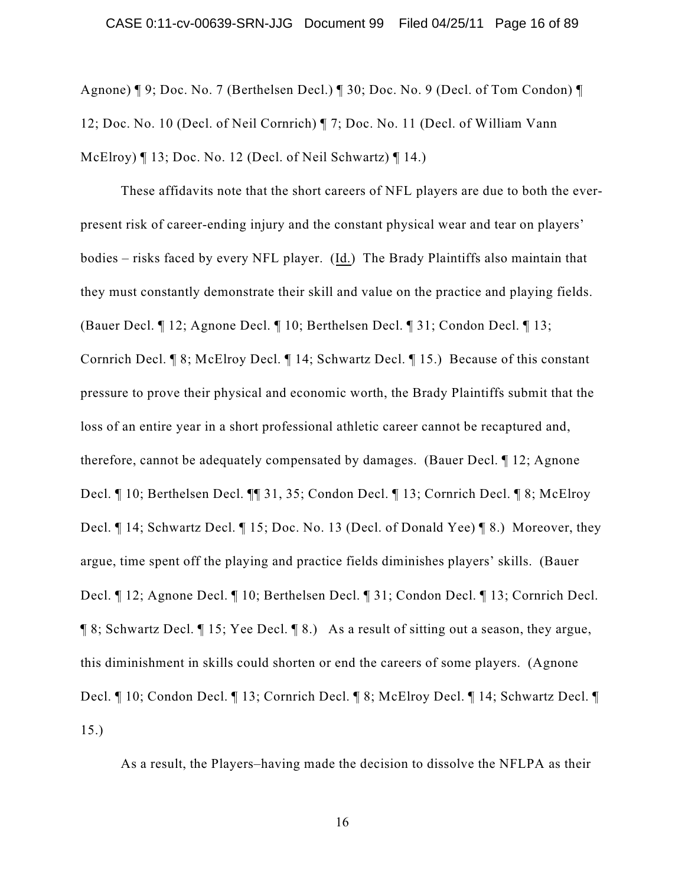Agnone) ¶ 9; Doc. No. 7 (Berthelsen Decl.) ¶ 30; Doc. No. 9 (Decl. of Tom Condon) ¶ 12; Doc. No. 10 (Decl. of Neil Cornrich) ¶ 7; Doc. No. 11 (Decl. of William Vann McElroy) ¶ 13; Doc. No. 12 (Decl. of Neil Schwartz) ¶ 14.)

These affidavits note that the short careers of NFL players are due to both the everpresent risk of career-ending injury and the constant physical wear and tear on players' bodies – risks faced by every NFL player. (Id.) The Brady Plaintiffs also maintain that they must constantly demonstrate their skill and value on the practice and playing fields. (Bauer Decl. ¶ 12; Agnone Decl. ¶ 10; Berthelsen Decl. ¶ 31; Condon Decl. ¶ 13; Cornrich Decl. ¶ 8; McElroy Decl. ¶ 14; Schwartz Decl. ¶ 15.) Because of this constant pressure to prove their physical and economic worth, the Brady Plaintiffs submit that the loss of an entire year in a short professional athletic career cannot be recaptured and, therefore, cannot be adequately compensated by damages. (Bauer Decl. ¶ 12; Agnone Decl. ¶ 10; Berthelsen Decl. ¶¶ 31, 35; Condon Decl. ¶ 13; Cornrich Decl. ¶ 8; McElroy Decl. ¶ 14; Schwartz Decl. ¶ 15; Doc. No. 13 (Decl. of Donald Yee) ¶ 8.) Moreover, they argue, time spent off the playing and practice fields diminishes players' skills. (Bauer Decl. ¶ 12; Agnone Decl. ¶ 10; Berthelsen Decl. ¶ 31; Condon Decl. ¶ 13; Cornrich Decl. ¶ 8; Schwartz Decl. ¶ 15; Yee Decl. ¶ 8.) As a result of sitting out a season, they argue, this diminishment in skills could shorten or end the careers of some players. (Agnone Decl. ¶ 10; Condon Decl. ¶ 13; Cornrich Decl. ¶ 8; McElroy Decl. ¶ 14; Schwartz Decl. ¶ 15.)

As a result, the Players–having made the decision to dissolve the NFLPA as their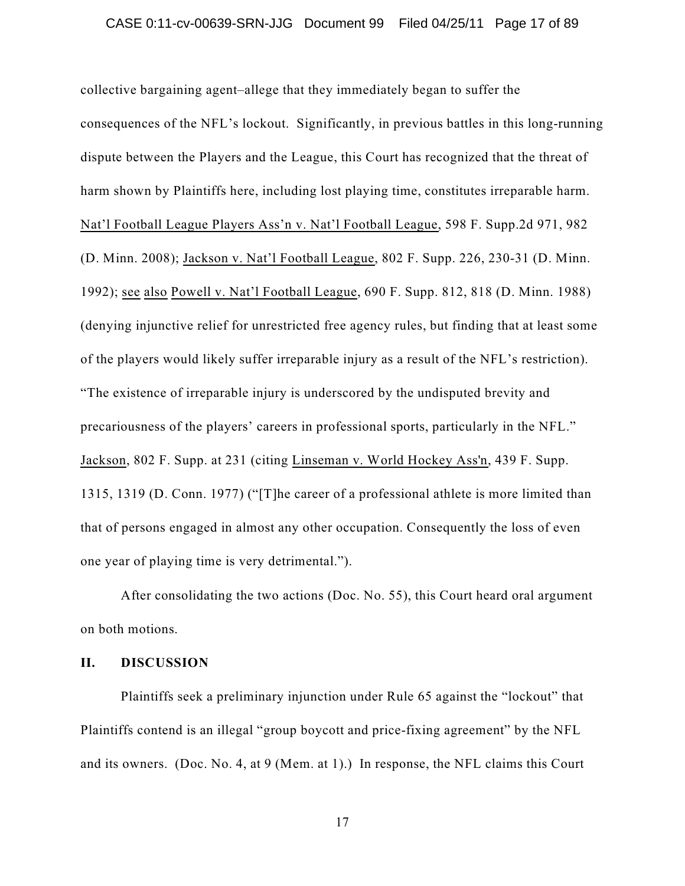collective bargaining agent–allege that they immediately began to suffer the consequences of the NFL's lockout. Significantly, in previous battles in this long-running dispute between the Players and the League, this Court has recognized that the threat of harm shown by Plaintiffs here, including lost playing time, constitutes irreparable harm. Nat'l Football League Players Ass'n v. Nat'l Football League, 598 F. Supp.2d 971, 982 (D. Minn. 2008); Jackson v. Nat'l Football League, 802 F. Supp. 226, 230-31 (D. Minn. 1992); see also Powell v. Nat'l Football League, 690 F. Supp. 812, 818 (D. Minn. 1988) (denying injunctive relief for unrestricted free agency rules, but finding that at least some of the players would likely suffer irreparable injury as a result of the NFL's restriction). "The existence of irreparable injury is underscored by the undisputed brevity and precariousness of the players' careers in professional sports, particularly in the NFL." Jackson, 802 F. Supp. at 231 (citing Linseman v. World Hockey Ass'n, 439 F. Supp. 1315, 1319 (D. Conn. 1977) ("[T]he career of a professional athlete is more limited than that of persons engaged in almost any other occupation. Consequently the loss of even one year of playing time is very detrimental.").

After consolidating the two actions (Doc. No. 55), this Court heard oral argument on both motions.

### **II. DISCUSSION**

Plaintiffs seek a preliminary injunction under Rule 65 against the "lockout" that Plaintiffs contend is an illegal "group boycott and price-fixing agreement" by the NFL and its owners. (Doc. No. 4, at 9 (Mem. at 1).) In response, the NFL claims this Court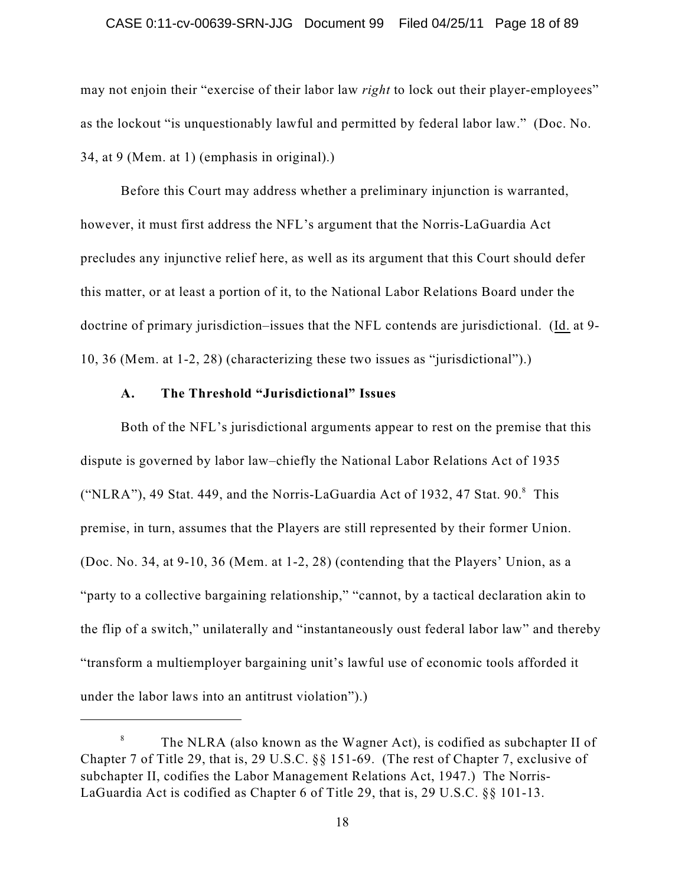### CASE 0:11-cv-00639-SRN-JJG Document 99 Filed 04/25/11 Page 18 of 89

may not enjoin their "exercise of their labor law *right* to lock out their player-employees" as the lockout "is unquestionably lawful and permitted by federal labor law." (Doc. No. 34, at 9 (Mem. at 1) (emphasis in original).)

Before this Court may address whether a preliminary injunction is warranted, however, it must first address the NFL's argument that the Norris-LaGuardia Act precludes any injunctive relief here, as well as its argument that this Court should defer this matter, or at least a portion of it, to the National Labor Relations Board under the doctrine of primary jurisdiction–issues that the NFL contends are jurisdictional. (Id. at 9- 10, 36 (Mem. at 1-2, 28) (characterizing these two issues as "jurisdictional").)

## **A. The Threshold "Jurisdictional" Issues**

Both of the NFL's jurisdictional arguments appear to rest on the premise that this dispute is governed by labor law–chiefly the National Labor Relations Act of 1935 ("NLRA"), 49 Stat. 449, and the Norris-LaGuardia Act of 1932, 47 Stat.  $90$ . $8$  This premise, in turn, assumes that the Players are still represented by their former Union. (Doc. No. 34, at 9-10, 36 (Mem. at 1-2, 28) (contending that the Players' Union, as a "party to a collective bargaining relationship," "cannot, by a tactical declaration akin to the flip of a switch," unilaterally and "instantaneously oust federal labor law" and thereby "transform a multiemployer bargaining unit's lawful use of economic tools afforded it under the labor laws into an antitrust violation").)

The NLRA (also known as the Wagner Act), is codified as subchapter II of 8 Chapter 7 of Title 29, that is, 29 U.S.C. §§ 151-69. (The rest of Chapter 7, exclusive of subchapter II, codifies the Labor Management Relations Act, 1947.) The Norris-LaGuardia Act is codified as Chapter 6 of Title 29, that is, 29 U.S.C. §§ 101-13.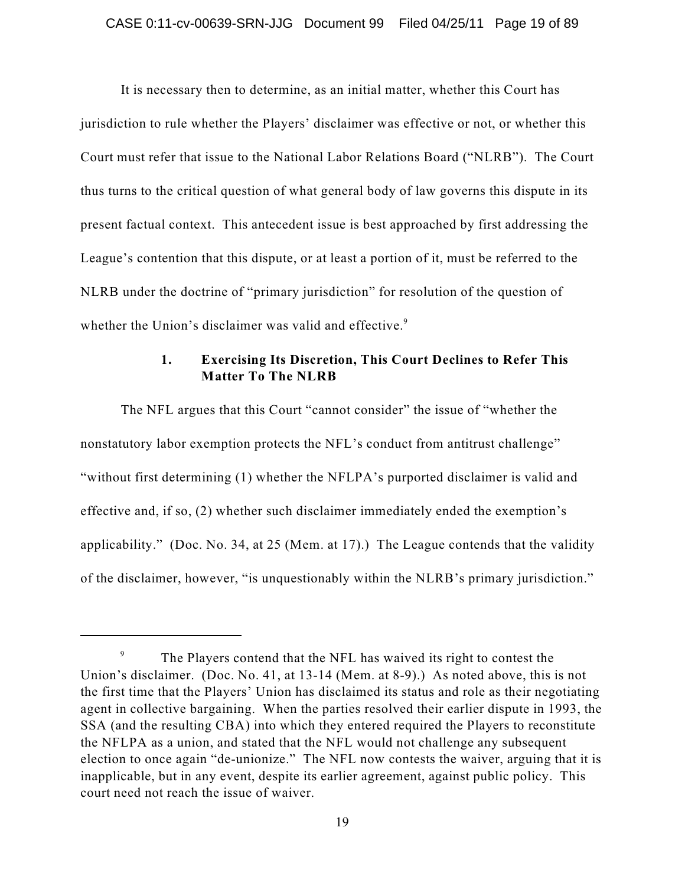It is necessary then to determine, as an initial matter, whether this Court has jurisdiction to rule whether the Players' disclaimer was effective or not, or whether this Court must refer that issue to the National Labor Relations Board ("NLRB"). The Court thus turns to the critical question of what general body of law governs this dispute in its present factual context. This antecedent issue is best approached by first addressing the League's contention that this dispute, or at least a portion of it, must be referred to the NLRB under the doctrine of "primary jurisdiction" for resolution of the question of whether the Union's disclaimer was valid and effective.<sup>9</sup>

## **1. Exercising Its Discretion, This Court Declines to Refer This Matter To The NLRB**

The NFL argues that this Court "cannot consider" the issue of "whether the nonstatutory labor exemption protects the NFL's conduct from antitrust challenge" "without first determining (1) whether the NFLPA's purported disclaimer is valid and effective and, if so, (2) whether such disclaimer immediately ended the exemption's applicability." (Doc. No. 34, at 25 (Mem. at 17).) The League contends that the validity of the disclaimer, however, "is unquestionably within the NLRB's primary jurisdiction."

The Players contend that the NFL has waived its right to contest the 9 Union's disclaimer. (Doc. No. 41, at 13-14 (Mem. at 8-9).) As noted above, this is not the first time that the Players' Union has disclaimed its status and role as their negotiating agent in collective bargaining. When the parties resolved their earlier dispute in 1993, the SSA (and the resulting CBA) into which they entered required the Players to reconstitute the NFLPA as a union, and stated that the NFL would not challenge any subsequent election to once again "de-unionize." The NFL now contests the waiver, arguing that it is inapplicable, but in any event, despite its earlier agreement, against public policy. This court need not reach the issue of waiver.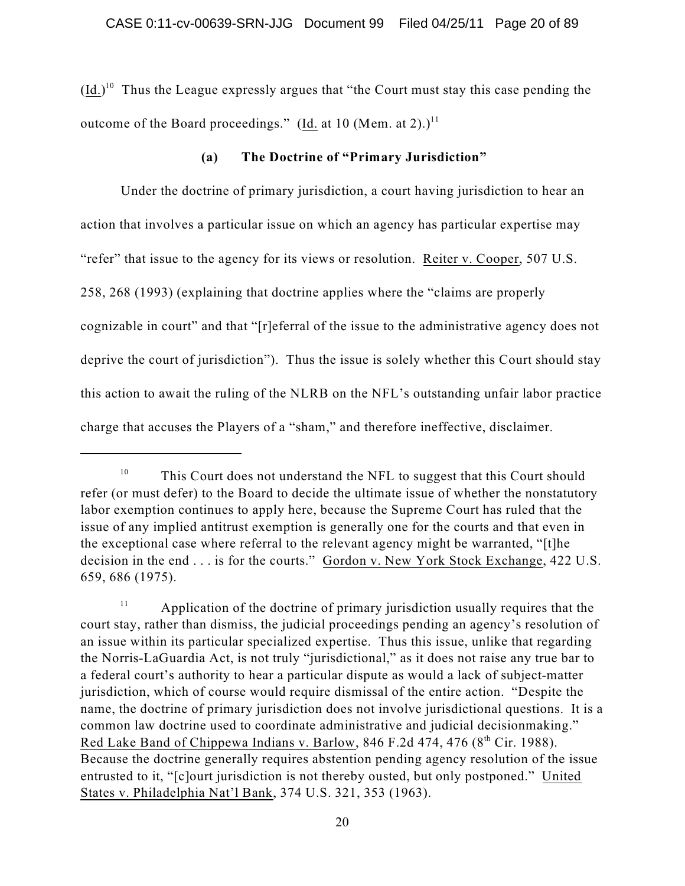$(\underline{Id.})^{10}$  Thus the League expressly argues that "the Court must stay this case pending the outcome of the Board proceedings." (Id. at 10 (Mem. at 2).) $^{11}$ 

### **(a) The Doctrine of "Primary Jurisdiction"**

Under the doctrine of primary jurisdiction, a court having jurisdiction to hear an action that involves a particular issue on which an agency has particular expertise may "refer" that issue to the agency for its views or resolution. Reiter v. Cooper, 507 U.S. 258, 268 (1993) (explaining that doctrine applies where the "claims are properly cognizable in court" and that "[r]eferral of the issue to the administrative agency does not deprive the court of jurisdiction"). Thus the issue is solely whether this Court should stay this action to await the ruling of the NLRB on the NFL's outstanding unfair labor practice charge that accuses the Players of a "sham," and therefore ineffective, disclaimer.

This Court does not understand the NFL to suggest that this Court should 10 refer (or must defer) to the Board to decide the ultimate issue of whether the nonstatutory labor exemption continues to apply here, because the Supreme Court has ruled that the issue of any implied antitrust exemption is generally one for the courts and that even in the exceptional case where referral to the relevant agency might be warranted, "[t]he decision in the end . . . is for the courts." Gordon v. New York Stock Exchange, 422 U.S. 659, 686 (1975).

Application of the doctrine of primary jurisdiction usually requires that the 11 court stay, rather than dismiss, the judicial proceedings pending an agency's resolution of an issue within its particular specialized expertise. Thus this issue, unlike that regarding the Norris-LaGuardia Act, is not truly "jurisdictional," as it does not raise any true bar to a federal court's authority to hear a particular dispute as would a lack of subject-matter jurisdiction, which of course would require dismissal of the entire action. "Despite the name, the doctrine of primary jurisdiction does not involve jurisdictional questions. It is a common law doctrine used to coordinate administrative and judicial decisionmaking." Red Lake Band of Chippewa Indians v. Barlow, 846 F.2d 474, 476 (8<sup>th</sup> Cir. 1988). Because the doctrine generally requires abstention pending agency resolution of the issue entrusted to it, "[c]ourt jurisdiction is not thereby ousted, but only postponed." United States v. Philadelphia Nat'l Bank, 374 U.S. 321, 353 (1963).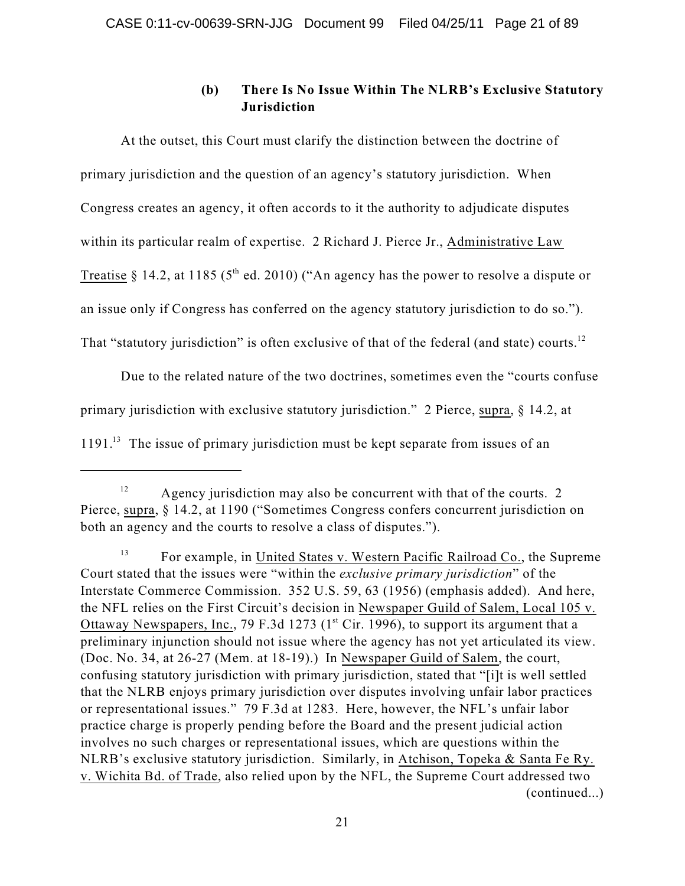# **(b) There Is No Issue Within The NLRB's Exclusive Statutory Jurisdiction**

At the outset, this Court must clarify the distinction between the doctrine of primary jurisdiction and the question of an agency's statutory jurisdiction. When Congress creates an agency, it often accords to it the authority to adjudicate disputes within its particular realm of expertise. 2 Richard J. Pierce Jr., Administrative Law Treatise § 14.2, at 1185 (5<sup>th</sup> ed. 2010) ("An agency has the power to resolve a dispute or an issue only if Congress has conferred on the agency statutory jurisdiction to do so."). That "statutory jurisdiction" is often exclusive of that of the federal (and state) courts.<sup>12</sup>

Due to the related nature of the two doctrines, sometimes even the "courts confuse primary jurisdiction with exclusive statutory jurisdiction." 2 Pierce, supra, § 14.2, at  $1191<sup>13</sup>$  The issue of primary jurisdiction must be kept separate from issues of an

Agency jurisdiction may also be concurrent with that of the courts. 2 12 Pierce, supra, § 14.2, at 1190 ("Sometimes Congress confers concurrent jurisdiction on both an agency and the courts to resolve a class of disputes.").

For example, in United States v. Western Pacific Railroad Co., the Supreme 13 Court stated that the issues were "within the *exclusive primary jurisdiction*" of the Interstate Commerce Commission. 352 U.S. 59, 63 (1956) (emphasis added). And here, the NFL relies on the First Circuit's decision in Newspaper Guild of Salem, Local 105 v. Ottaway Newspapers, Inc., 79 F.3d 1273 ( $1<sup>st</sup>$  Cir. 1996), to support its argument that a preliminary injunction should not issue where the agency has not yet articulated its view. (Doc. No. 34, at 26-27 (Mem. at 18-19).) In Newspaper Guild of Salem, the court, confusing statutory jurisdiction with primary jurisdiction, stated that "[i]t is well settled that the NLRB enjoys primary jurisdiction over disputes involving unfair labor practices or representational issues." 79 F.3d at 1283. Here, however, the NFL's unfair labor practice charge is properly pending before the Board and the present judicial action involves no such charges or representational issues, which are questions within the NLRB's exclusive statutory jurisdiction. Similarly, in Atchison, Topeka & Santa Fe Ry. v. Wichita Bd. of Trade, also relied upon by the NFL, the Supreme Court addressed two (continued...)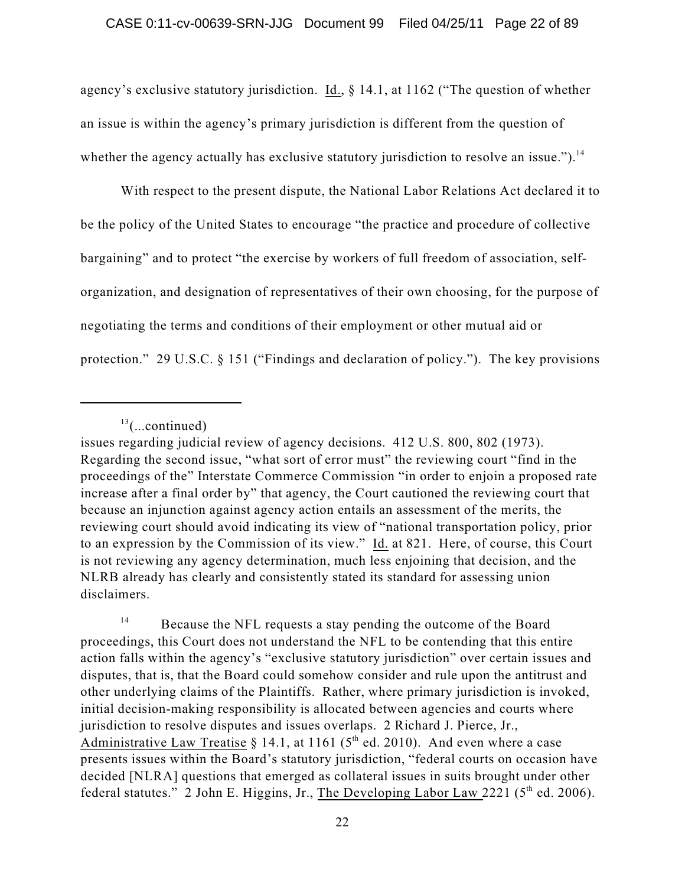agency's exclusive statutory jurisdiction. Id., § 14.1, at 1162 ("The question of whether an issue is within the agency's primary jurisdiction is different from the question of whether the agency actually has exclusive statutory jurisdiction to resolve an issue.").<sup>14</sup>

With respect to the present dispute, the National Labor Relations Act declared it to be the policy of the United States to encourage "the practice and procedure of collective bargaining" and to protect "the exercise by workers of full freedom of association, selforganization, and designation of representatives of their own choosing, for the purpose of negotiating the terms and conditions of their employment or other mutual aid or protection." 29 U.S.C. § 151 ("Findings and declaration of policy."). The key provisions

 $13$ (...continued)

issues regarding judicial review of agency decisions. 412 U.S. 800, 802 (1973). Regarding the second issue, "what sort of error must" the reviewing court "find in the proceedings of the" Interstate Commerce Commission "in order to enjoin a proposed rate increase after a final order by" that agency, the Court cautioned the reviewing court that because an injunction against agency action entails an assessment of the merits, the reviewing court should avoid indicating its view of "national transportation policy, prior to an expression by the Commission of its view." Id. at 821. Here, of course, this Court is not reviewing any agency determination, much less enjoining that decision, and the NLRB already has clearly and consistently stated its standard for assessing union disclaimers.

Because the NFL requests a stay pending the outcome of the Board 14 proceedings, this Court does not understand the NFL to be contending that this entire action falls within the agency's "exclusive statutory jurisdiction" over certain issues and disputes, that is, that the Board could somehow consider and rule upon the antitrust and other underlying claims of the Plaintiffs. Rather, where primary jurisdiction is invoked, initial decision-making responsibility is allocated between agencies and courts where jurisdiction to resolve disputes and issues overlaps. 2 Richard J. Pierce, Jr., Administrative Law Treatise § 14.1, at 1161 (5<sup>th</sup> ed. 2010). And even where a case presents issues within the Board's statutory jurisdiction, "federal courts on occasion have decided [NLRA] questions that emerged as collateral issues in suits brought under other federal statutes." 2 John E. Higgins, Jr., The Developing Labor Law 2221 ( $5<sup>th</sup>$  ed. 2006).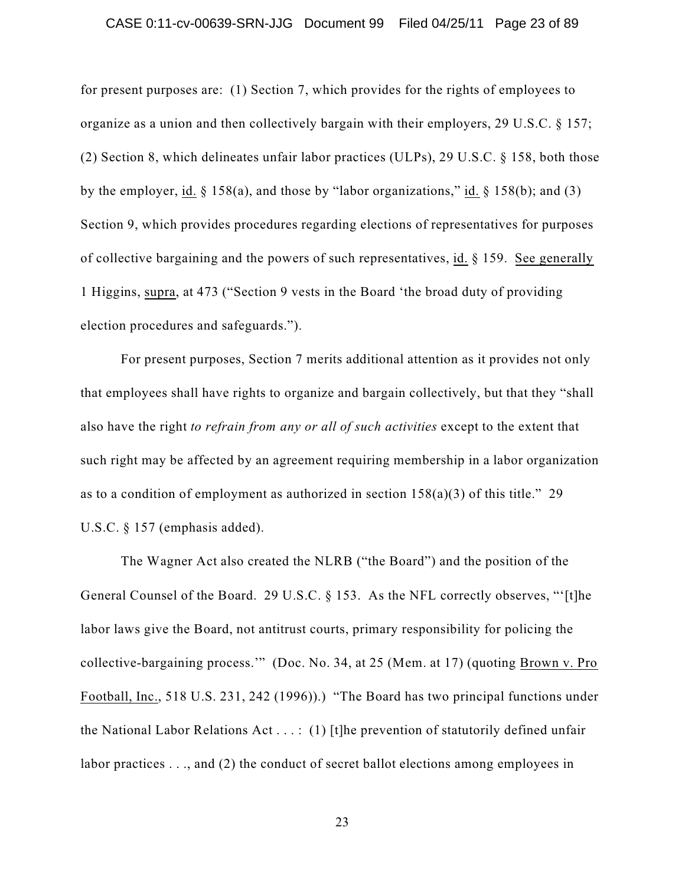#### CASE 0:11-cv-00639-SRN-JJG Document 99 Filed 04/25/11 Page 23 of 89

for present purposes are: (1) Section 7, which provides for the rights of employees to organize as a union and then collectively bargain with their employers, 29 U.S.C. § 157; (2) Section 8, which delineates unfair labor practices (ULPs), 29 U.S.C. § 158, both those by the employer, id.  $\S 158(a)$ , and those by "labor organizations," id.  $\S 158(b)$ ; and (3) Section 9, which provides procedures regarding elections of representatives for purposes of collective bargaining and the powers of such representatives, id. § 159. See generally 1 Higgins, supra, at 473 ("Section 9 vests in the Board 'the broad duty of providing election procedures and safeguards.").

For present purposes, Section 7 merits additional attention as it provides not only that employees shall have rights to organize and bargain collectively, but that they "shall also have the right *to refrain from any or all of such activities* except to the extent that such right may be affected by an agreement requiring membership in a labor organization as to a condition of employment as authorized in section 158(a)(3) of this title." 29 U.S.C. § 157 (emphasis added).

The Wagner Act also created the NLRB ("the Board") and the position of the General Counsel of the Board. 29 U.S.C. § 153. As the NFL correctly observes, "'[t]he labor laws give the Board, not antitrust courts, primary responsibility for policing the collective-bargaining process.'" (Doc. No. 34, at 25 (Mem. at 17) (quoting Brown v. Pro Football, Inc., 518 U.S. 231, 242 (1996)).) "The Board has two principal functions under the National Labor Relations Act . . . : (1) [t]he prevention of statutorily defined unfair labor practices . . ., and (2) the conduct of secret ballot elections among employees in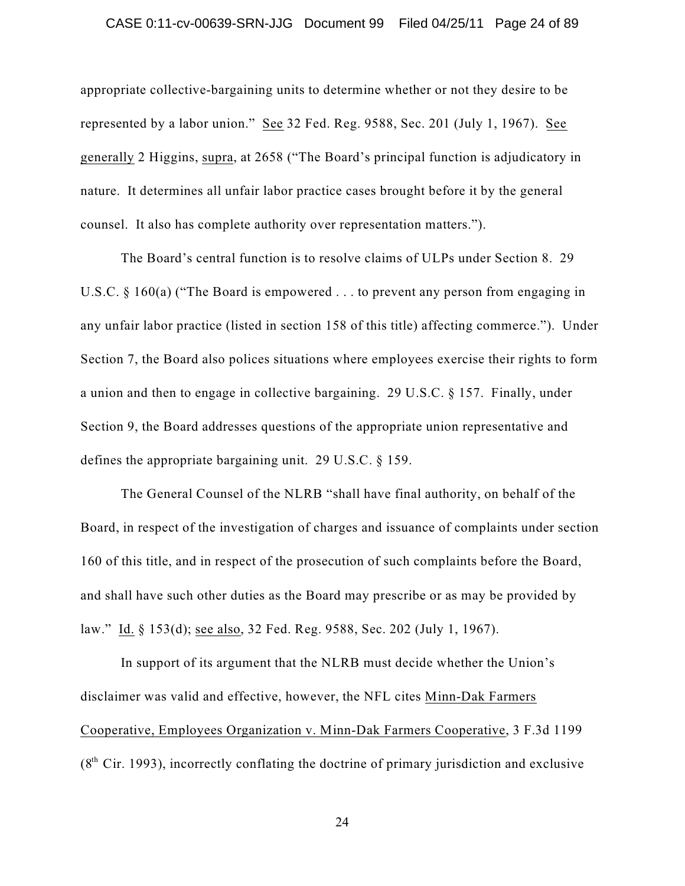### CASE 0:11-cv-00639-SRN-JJG Document 99 Filed 04/25/11 Page 24 of 89

appropriate collective-bargaining units to determine whether or not they desire to be represented by a labor union." See 32 Fed. Reg. 9588, Sec. 201 (July 1, 1967). See generally 2 Higgins, supra, at 2658 ("The Board's principal function is adjudicatory in nature. It determines all unfair labor practice cases brought before it by the general counsel. It also has complete authority over representation matters.").

The Board's central function is to resolve claims of ULPs under Section 8. 29 U.S.C. § 160(a) ("The Board is empowered . . . to prevent any person from engaging in any unfair labor practice (listed in section 158 of this title) affecting commerce."). Under Section 7, the Board also polices situations where employees exercise their rights to form a union and then to engage in collective bargaining. 29 U.S.C. § 157. Finally, under Section 9, the Board addresses questions of the appropriate union representative and defines the appropriate bargaining unit. 29 U.S.C. § 159.

The General Counsel of the NLRB "shall have final authority, on behalf of the Board, in respect of the investigation of charges and issuance of complaints under section 160 of this title, and in respect of the prosecution of such complaints before the Board, and shall have such other duties as the Board may prescribe or as may be provided by law." Id. § 153(d); see also, 32 Fed. Reg. 9588, Sec. 202 (July 1, 1967).

In support of its argument that the NLRB must decide whether the Union's disclaimer was valid and effective, however, the NFL cites Minn-Dak Farmers Cooperative, Employees Organization v. Minn-Dak Farmers Cooperative, 3 F.3d 1199  $(8<sup>th</sup> Cir. 1993)$ , incorrectly conflating the doctrine of primary jurisdiction and exclusive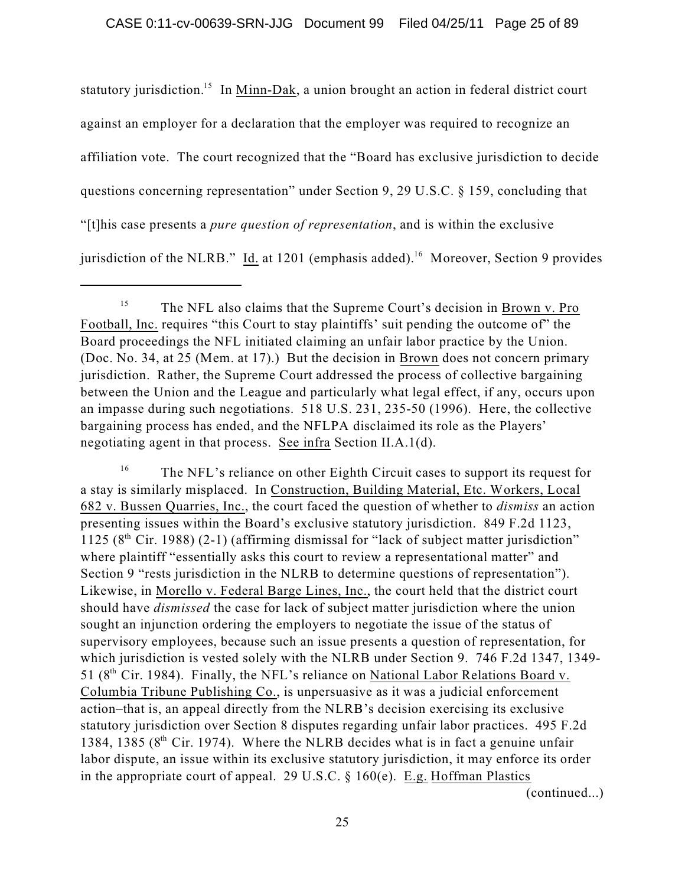statutory jurisdiction.<sup>15</sup> In Minn-Dak, a union brought an action in federal district court against an employer for a declaration that the employer was required to recognize an affiliation vote. The court recognized that the "Board has exclusive jurisdiction to decide questions concerning representation" under Section 9, 29 U.S.C. § 159, concluding that "[t]his case presents a *pure question of representation*, and is within the exclusive jurisdiction of the NLRB." Id. at 1201 (emphasis added).<sup>16</sup> Moreover, Section 9 provides

The NFL's reliance on other Eighth Circuit cases to support its request for 16 a stay is similarly misplaced. In Construction, Building Material, Etc. Workers, Local 682 v. Bussen Quarries, Inc., the court faced the question of whether to *dismiss* an action presenting issues within the Board's exclusive statutory jurisdiction. 849 F.2d 1123, 1125 ( $8<sup>th</sup>$  Cir. 1988) (2-1) (affirming dismissal for "lack of subject matter jurisdiction" where plaintiff "essentially asks this court to review a representational matter" and Section 9 "rests jurisdiction in the NLRB to determine questions of representation"). Likewise, in Morello v. Federal Barge Lines, Inc., the court held that the district court should have *dismissed* the case for lack of subject matter jurisdiction where the union sought an injunction ordering the employers to negotiate the issue of the status of supervisory employees, because such an issue presents a question of representation, for which jurisdiction is vested solely with the NLRB under Section 9. 746 F.2d 1347, 1349- 51 ( $8<sup>th</sup>$  Cir. 1984). Finally, the NFL's reliance on National Labor Relations Board v. Columbia Tribune Publishing Co., is unpersuasive as it was a judicial enforcement action–that is, an appeal directly from the NLRB's decision exercising its exclusive statutory jurisdiction over Section 8 disputes regarding unfair labor practices. 495 F.2d 1384, 1385 ( $8<sup>th</sup>$  Cir. 1974). Where the NLRB decides what is in fact a genuine unfair labor dispute, an issue within its exclusive statutory jurisdiction, it may enforce its order in the appropriate court of appeal. 29 U.S.C. § 160(e). E.g. Hoffman Plastics

(continued...)

The NFL also claims that the Supreme Court's decision in Brown v. Pro 15 Football, Inc. requires "this Court to stay plaintiffs' suit pending the outcome of" the Board proceedings the NFL initiated claiming an unfair labor practice by the Union. (Doc. No. 34, at 25 (Mem. at 17).) But the decision in Brown does not concern primary jurisdiction. Rather, the Supreme Court addressed the process of collective bargaining between the Union and the League and particularly what legal effect, if any, occurs upon an impasse during such negotiations. 518 U.S. 231, 235-50 (1996). Here, the collective bargaining process has ended, and the NFLPA disclaimed its role as the Players' negotiating agent in that process. See infra Section II.A.1(d).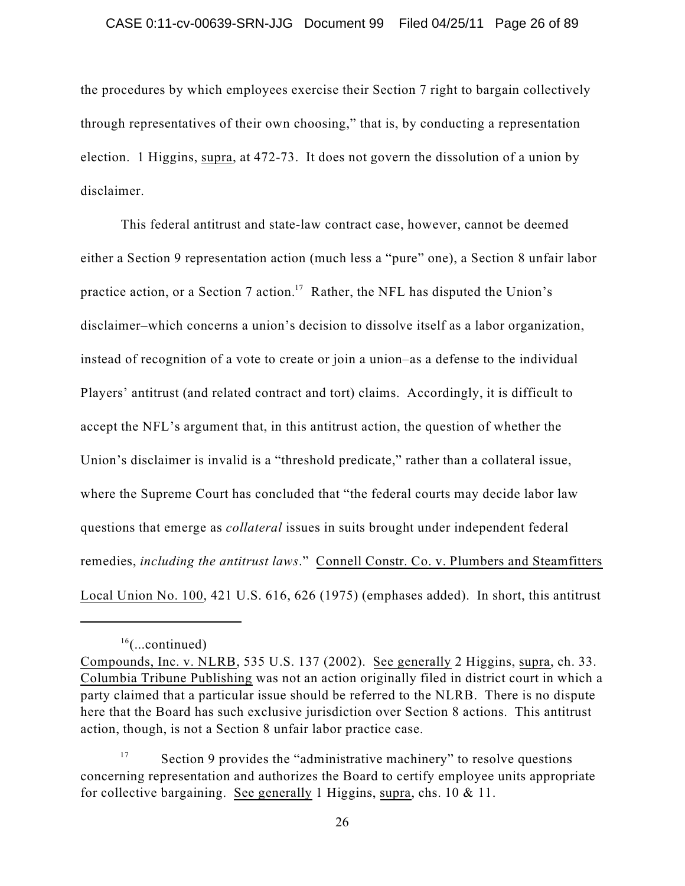### CASE 0:11-cv-00639-SRN-JJG Document 99 Filed 04/25/11 Page 26 of 89

the procedures by which employees exercise their Section 7 right to bargain collectively through representatives of their own choosing," that is, by conducting a representation election. 1 Higgins, supra, at 472-73. It does not govern the dissolution of a union by disclaimer.

This federal antitrust and state-law contract case, however, cannot be deemed either a Section 9 representation action (much less a "pure" one), a Section 8 unfair labor practice action, or a Section 7 action.<sup>17</sup> Rather, the NFL has disputed the Union's disclaimer–which concerns a union's decision to dissolve itself as a labor organization, instead of recognition of a vote to create or join a union–as a defense to the individual Players' antitrust (and related contract and tort) claims. Accordingly, it is difficult to accept the NFL's argument that, in this antitrust action, the question of whether the Union's disclaimer is invalid is a "threshold predicate," rather than a collateral issue, where the Supreme Court has concluded that "the federal courts may decide labor law questions that emerge as *collateral* issues in suits brought under independent federal remedies, *including the antitrust laws*." Connell Constr. Co. v. Plumbers and Steamfitters Local Union No. 100, 421 U.S. 616, 626 (1975) (emphases added). In short, this antitrust

 $16$ (...continued)

Compounds, Inc. v. NLRB, 535 U.S. 137 (2002). See generally 2 Higgins, supra, ch. 33. Columbia Tribune Publishing was not an action originally filed in district court in which a party claimed that a particular issue should be referred to the NLRB. There is no dispute here that the Board has such exclusive jurisdiction over Section 8 actions. This antitrust action, though, is not a Section 8 unfair labor practice case.

Section 9 provides the "administrative machinery" to resolve questions 17 concerning representation and authorizes the Board to certify employee units appropriate for collective bargaining. See generally 1 Higgins, supra, chs. 10 & 11.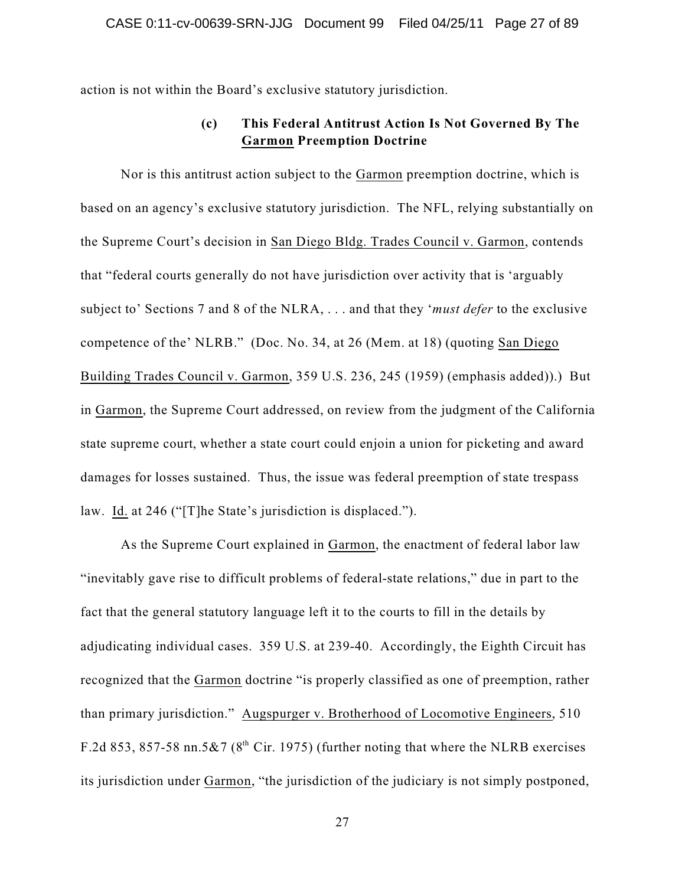action is not within the Board's exclusive statutory jurisdiction.

## **(c) This Federal Antitrust Action Is Not Governed By The Garmon Preemption Doctrine**

Nor is this antitrust action subject to the Garmon preemption doctrine, which is based on an agency's exclusive statutory jurisdiction. The NFL, relying substantially on the Supreme Court's decision in San Diego Bldg. Trades Council v. Garmon, contends that "federal courts generally do not have jurisdiction over activity that is 'arguably subject to' Sections 7 and 8 of the NLRA, . . . and that they '*must defer* to the exclusive competence of the' NLRB." (Doc. No. 34, at 26 (Mem. at 18) (quoting San Diego Building Trades Council v. Garmon, 359 U.S. 236, 245 (1959) (emphasis added)).) But in Garmon, the Supreme Court addressed, on review from the judgment of the California state supreme court, whether a state court could enjoin a union for picketing and award damages for losses sustained. Thus, the issue was federal preemption of state trespass law. Id. at 246 ("[T]he State's jurisdiction is displaced.").

As the Supreme Court explained in Garmon, the enactment of federal labor law "inevitably gave rise to difficult problems of federal-state relations," due in part to the fact that the general statutory language left it to the courts to fill in the details by adjudicating individual cases. 359 U.S. at 239-40. Accordingly, the Eighth Circuit has recognized that the Garmon doctrine "is properly classified as one of preemption, rather than primary jurisdiction." Augspurger v. Brotherhood of Locomotive Engineers, 510 F.2d 853, 857-58 nn.5&7 ( $8<sup>th</sup>$  Cir. 1975) (further noting that where the NLRB exercises its jurisdiction under Garmon, "the jurisdiction of the judiciary is not simply postponed,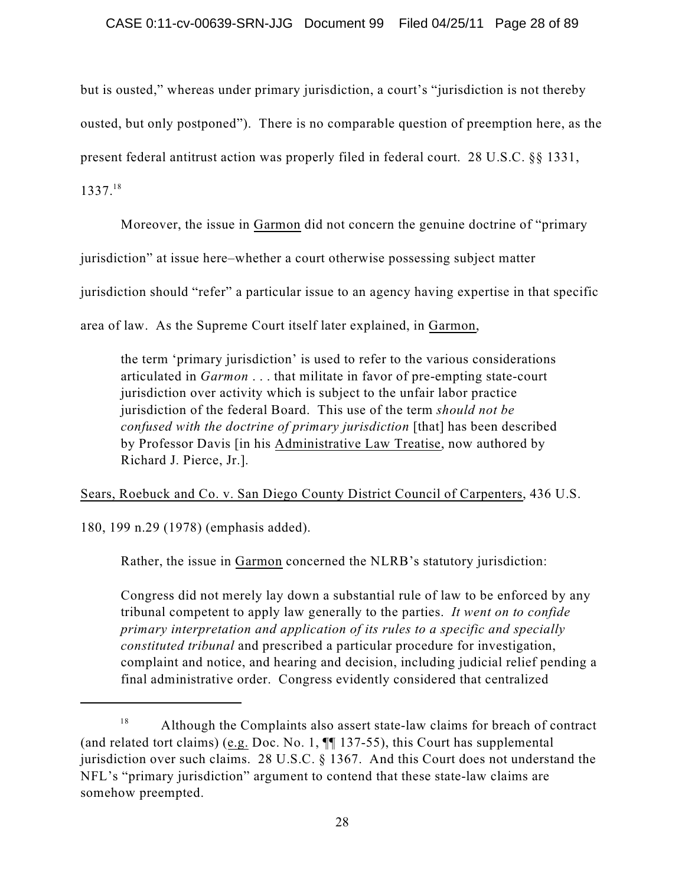but is ousted," whereas under primary jurisdiction, a court's "jurisdiction is not thereby ousted, but only postponed"). There is no comparable question of preemption here, as the present federal antitrust action was properly filed in federal court. 28 U.S.C. §§ 1331,

1337. 18

Moreover, the issue in Garmon did not concern the genuine doctrine of "primary

jurisdiction" at issue here–whether a court otherwise possessing subject matter

jurisdiction should "refer" a particular issue to an agency having expertise in that specific

area of law. As the Supreme Court itself later explained, in Garmon,

the term 'primary jurisdiction' is used to refer to the various considerations articulated in *Garmon* . . . that militate in favor of pre-empting state-court jurisdiction over activity which is subject to the unfair labor practice jurisdiction of the federal Board. This use of the term *should not be confused with the doctrine of primary jurisdiction* [that] has been described by Professor Davis [in his Administrative Law Treatise, now authored by Richard J. Pierce, Jr.].

Sears, Roebuck and Co. v. San Diego County District Council of Carpenters, 436 U.S.

180, 199 n.29 (1978) (emphasis added).

Rather, the issue in Garmon concerned the NLRB's statutory jurisdiction:

Congress did not merely lay down a substantial rule of law to be enforced by any tribunal competent to apply law generally to the parties. *It went on to confide primary interpretation and application of its rules to a specific and specially constituted tribunal* and prescribed a particular procedure for investigation, complaint and notice, and hearing and decision, including judicial relief pending a final administrative order. Congress evidently considered that centralized

Although the Complaints also assert state-law claims for breach of contract 18 (and related tort claims) (e.g. Doc. No. 1, ¶¶ 137-55), this Court has supplemental jurisdiction over such claims. 28 U.S.C. § 1367. And this Court does not understand the NFL's "primary jurisdiction" argument to contend that these state-law claims are somehow preempted.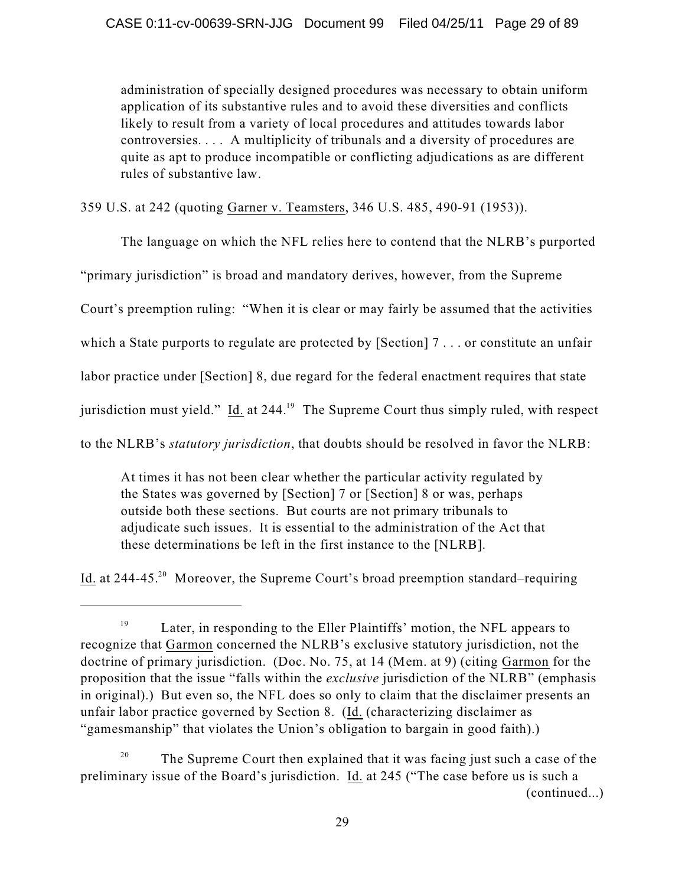administration of specially designed procedures was necessary to obtain uniform application of its substantive rules and to avoid these diversities and conflicts likely to result from a variety of local procedures and attitudes towards labor controversies. . . . A multiplicity of tribunals and a diversity of procedures are quite as apt to produce incompatible or conflicting adjudications as are different rules of substantive law.

359 U.S. at 242 (quoting Garner v. Teamsters, 346 U.S. 485, 490-91 (1953)).

The language on which the NFL relies here to contend that the NLRB's purported

"primary jurisdiction" is broad and mandatory derives, however, from the Supreme

Court's preemption ruling: "When it is clear or may fairly be assumed that the activities

which a State purports to regulate are protected by [Section] 7... or constitute an unfair

labor practice under [Section] 8, due regard for the federal enactment requires that state

jurisdiction must yield." Id. at 244.<sup>19</sup> The Supreme Court thus simply ruled, with respect

to the NLRB's *statutory jurisdiction*, that doubts should be resolved in favor the NLRB:

At times it has not been clear whether the particular activity regulated by the States was governed by [Section] 7 or [Section] 8 or was, perhaps outside both these sections. But courts are not primary tribunals to adjudicate such issues. It is essential to the administration of the Act that these determinations be left in the first instance to the [NLRB].

Id. at 244-45.<sup>20</sup> Moreover, the Supreme Court's broad preemption standard–requiring

Later, in responding to the Eller Plaintiffs' motion, the NFL appears to 19 recognize that Garmon concerned the NLRB's exclusive statutory jurisdiction, not the doctrine of primary jurisdiction. (Doc. No. 75, at 14 (Mem. at 9) (citing Garmon for the proposition that the issue "falls within the *exclusive* jurisdiction of the NLRB" (emphasis in original).) But even so, the NFL does so only to claim that the disclaimer presents an unfair labor practice governed by Section 8. (Id. (characterizing disclaimer as "gamesmanship" that violates the Union's obligation to bargain in good faith).)

The Supreme Court then explained that it was facing just such a case of the 20 preliminary issue of the Board's jurisdiction. Id. at 245 ("The case before us is such a (continued...)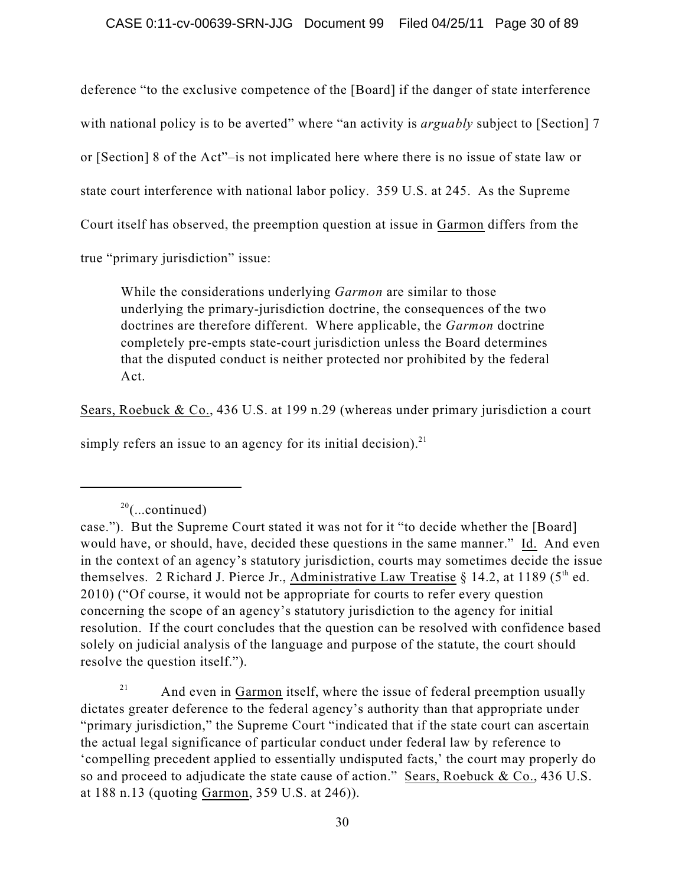deference "to the exclusive competence of the [Board] if the danger of state interference with national policy is to be averted" where "an activity is *arguably* subject to [Section] 7 or [Section] 8 of the Act"–is not implicated here where there is no issue of state law or state court interference with national labor policy. 359 U.S. at 245. As the Supreme Court itself has observed, the preemption question at issue in Garmon differs from the

true "primary jurisdiction" issue:

While the considerations underlying *Garmon* are similar to those underlying the primary-jurisdiction doctrine, the consequences of the two doctrines are therefore different. Where applicable, the *Garmon* doctrine completely pre-empts state-court jurisdiction unless the Board determines that the disputed conduct is neither protected nor prohibited by the federal Act.

Sears, Roebuck & Co., 436 U.S. at 199 n.29 (whereas under primary jurisdiction a court

simply refers an issue to an agency for its initial decision). $^{21}$ 

And even in Garmon itself, where the issue of federal preemption usually 21 dictates greater deference to the federal agency's authority than that appropriate under "primary jurisdiction," the Supreme Court "indicated that if the state court can ascertain the actual legal significance of particular conduct under federal law by reference to 'compelling precedent applied to essentially undisputed facts,' the court may properly do so and proceed to adjudicate the state cause of action." Sears, Roebuck & Co., 436 U.S. at 188 n.13 (quoting Garmon, 359 U.S. at 246)).

 $20$ (...continued)

case."). But the Supreme Court stated it was not for it "to decide whether the [Board] would have, or should, have, decided these questions in the same manner." Id. And even in the context of an agency's statutory jurisdiction, courts may sometimes decide the issue themselves. 2 Richard J. Pierce Jr., Administrative Law Treatise § 14.2, at 1189 (5<sup>th</sup> ed. 2010) ("Of course, it would not be appropriate for courts to refer every question concerning the scope of an agency's statutory jurisdiction to the agency for initial resolution. If the court concludes that the question can be resolved with confidence based solely on judicial analysis of the language and purpose of the statute, the court should resolve the question itself.").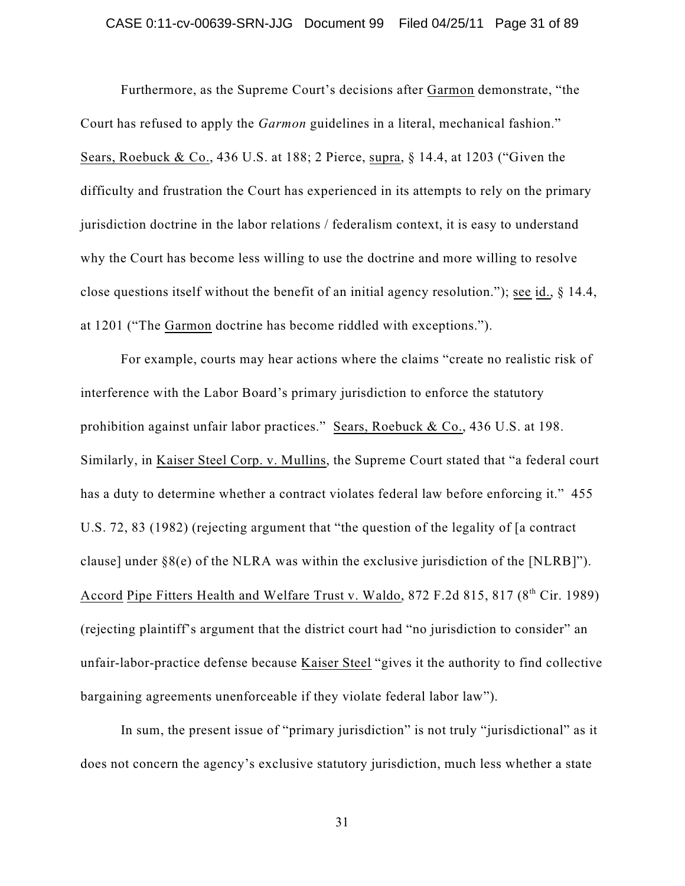### CASE 0:11-cv-00639-SRN-JJG Document 99 Filed 04/25/11 Page 31 of 89

Furthermore, as the Supreme Court's decisions after Garmon demonstrate, "the Court has refused to apply the *Garmon* guidelines in a literal, mechanical fashion." Sears, Roebuck & Co., 436 U.S. at 188; 2 Pierce, supra, § 14.4, at 1203 ("Given the difficulty and frustration the Court has experienced in its attempts to rely on the primary jurisdiction doctrine in the labor relations / federalism context, it is easy to understand why the Court has become less willing to use the doctrine and more willing to resolve close questions itself without the benefit of an initial agency resolution."); see id., § 14.4, at 1201 ("The Garmon doctrine has become riddled with exceptions.").

For example, courts may hear actions where the claims "create no realistic risk of interference with the Labor Board's primary jurisdiction to enforce the statutory prohibition against unfair labor practices." Sears, Roebuck & Co., 436 U.S. at 198. Similarly, in Kaiser Steel Corp. v. Mullins, the Supreme Court stated that "a federal court has a duty to determine whether a contract violates federal law before enforcing it." 455 U.S. 72, 83 (1982) (rejecting argument that "the question of the legality of [a contract clause] under §8(e) of the NLRA was within the exclusive jurisdiction of the [NLRB]"). Accord Pipe Fitters Health and Welfare Trust v. Waldo, 872 F.2d 815, 817 (8<sup>th</sup> Cir. 1989) (rejecting plaintiff's argument that the district court had "no jurisdiction to consider" an unfair-labor-practice defense because Kaiser Steel "gives it the authority to find collective bargaining agreements unenforceable if they violate federal labor law").

In sum, the present issue of "primary jurisdiction" is not truly "jurisdictional" as it does not concern the agency's exclusive statutory jurisdiction, much less whether a state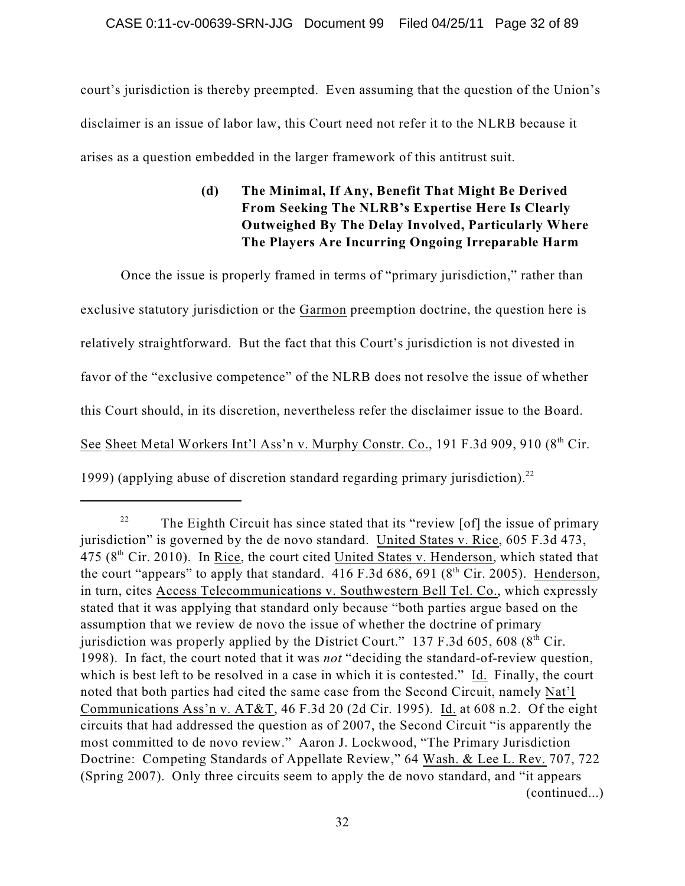court's jurisdiction is thereby preempted. Even assuming that the question of the Union's disclaimer is an issue of labor law, this Court need not refer it to the NLRB because it arises as a question embedded in the larger framework of this antitrust suit.

# **(d) The Minimal, If Any, Benefit That Might Be Derived From Seeking The NLRB's Expertise Here Is Clearly Outweighed By The Delay Involved, Particularly Where The Players Are Incurring Ongoing Irreparable Harm**

Once the issue is properly framed in terms of "primary jurisdiction," rather than exclusive statutory jurisdiction or the Garmon preemption doctrine, the question here is relatively straightforward. But the fact that this Court's jurisdiction is not divested in favor of the "exclusive competence" of the NLRB does not resolve the issue of whether this Court should, in its discretion, nevertheless refer the disclaimer issue to the Board. See Sheet Metal Workers Int'l Ass'n v. Murphy Constr. Co., 191 F.3d 909, 910 (8<sup>th</sup> Cir. 1999) (applying abuse of discretion standard regarding primary jurisdiction). 22

The Eighth Circuit has since stated that its "review [of] the issue of primary 22 jurisdiction" is governed by the de novo standard. United States v. Rice, 605 F.3d 473, 475 (8<sup>th</sup> Cir. 2010). In <u>Rice</u>, the court cited United States v. Henderson, which stated that the court "appears" to apply that standard. 416 F.3d 686, 691 (8<sup>th</sup> Cir. 2005). Henderson, in turn, cites Access Telecommunications v. Southwestern Bell Tel. Co., which expressly stated that it was applying that standard only because "both parties argue based on the assumption that we review de novo the issue of whether the doctrine of primary jurisdiction was properly applied by the District Court."  $137$  F.3d 605, 608 (8<sup>th</sup> Cir. 1998). In fact, the court noted that it was *not* "deciding the standard-of-review question, which is best left to be resolved in a case in which it is contested." Id. Finally, the court noted that both parties had cited the same case from the Second Circuit, namely Nat'l Communications Ass'n v. AT&T, 46 F.3d 20 (2d Cir. 1995). Id. at 608 n.2. Of the eight circuits that had addressed the question as of 2007, the Second Circuit "is apparently the most committed to de novo review." Aaron J. Lockwood, "The Primary Jurisdiction Doctrine: Competing Standards of Appellate Review," 64 Wash. & Lee L. Rev. 707, 722 (Spring 2007). Only three circuits seem to apply the de novo standard, and "it appears (continued...)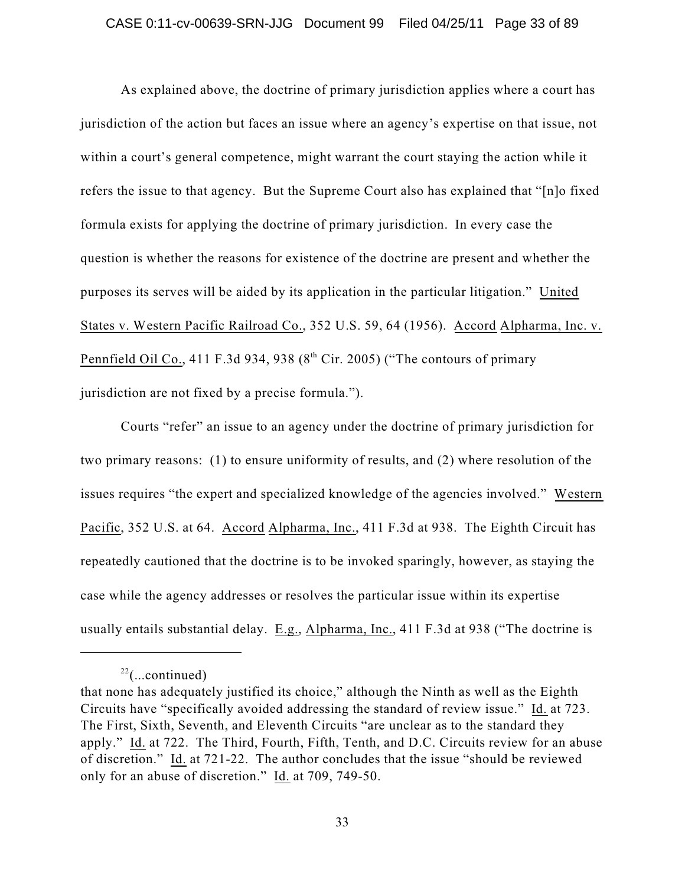### CASE 0:11-cv-00639-SRN-JJG Document 99 Filed 04/25/11 Page 33 of 89

As explained above, the doctrine of primary jurisdiction applies where a court has jurisdiction of the action but faces an issue where an agency's expertise on that issue, not within a court's general competence, might warrant the court staying the action while it refers the issue to that agency. But the Supreme Court also has explained that "[n]o fixed formula exists for applying the doctrine of primary jurisdiction. In every case the question is whether the reasons for existence of the doctrine are present and whether the purposes its serves will be aided by its application in the particular litigation." United States v. Western Pacific Railroad Co., 352 U.S. 59, 64 (1956). Accord Alpharma, Inc. v. Pennfield Oil Co., 411 F.3d 934, 938 ( $8<sup>th</sup>$  Cir. 2005) ("The contours of primary jurisdiction are not fixed by a precise formula.").

Courts "refer" an issue to an agency under the doctrine of primary jurisdiction for two primary reasons: (1) to ensure uniformity of results, and (2) where resolution of the issues requires "the expert and specialized knowledge of the agencies involved." Western Pacific, 352 U.S. at 64. Accord Alpharma, Inc., 411 F.3d at 938. The Eighth Circuit has repeatedly cautioned that the doctrine is to be invoked sparingly, however, as staying the case while the agency addresses or resolves the particular issue within its expertise usually entails substantial delay. E.g., Alpharma, Inc., 411 F.3d at 938 ("The doctrine is

 $22$ (...continued)

that none has adequately justified its choice," although the Ninth as well as the Eighth Circuits have "specifically avoided addressing the standard of review issue." Id. at 723. The First, Sixth, Seventh, and Eleventh Circuits "are unclear as to the standard they apply." Id. at 722. The Third, Fourth, Fifth, Tenth, and D.C. Circuits review for an abuse of discretion." Id. at 721-22. The author concludes that the issue "should be reviewed only for an abuse of discretion." Id. at 709, 749-50.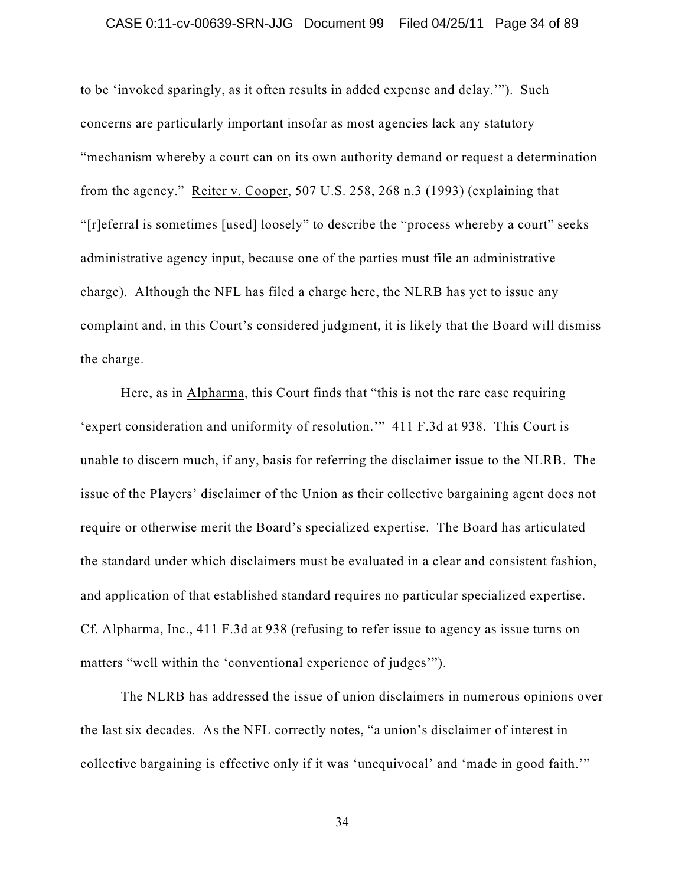### CASE 0:11-cv-00639-SRN-JJG Document 99 Filed 04/25/11 Page 34 of 89

to be 'invoked sparingly, as it often results in added expense and delay.'"). Such concerns are particularly important insofar as most agencies lack any statutory "mechanism whereby a court can on its own authority demand or request a determination from the agency." Reiter v. Cooper, 507 U.S. 258, 268 n.3 (1993) (explaining that "[r]eferral is sometimes [used] loosely" to describe the "process whereby a court" seeks administrative agency input, because one of the parties must file an administrative charge). Although the NFL has filed a charge here, the NLRB has yet to issue any complaint and, in this Court's considered judgment, it is likely that the Board will dismiss the charge.

Here, as in Alpharma, this Court finds that "this is not the rare case requiring 'expert consideration and uniformity of resolution.'" 411 F.3d at 938. This Court is unable to discern much, if any, basis for referring the disclaimer issue to the NLRB. The issue of the Players' disclaimer of the Union as their collective bargaining agent does not require or otherwise merit the Board's specialized expertise. The Board has articulated the standard under which disclaimers must be evaluated in a clear and consistent fashion, and application of that established standard requires no particular specialized expertise. Cf. Alpharma, Inc., 411 F.3d at 938 (refusing to refer issue to agency as issue turns on matters "well within the 'conventional experience of judges'").

The NLRB has addressed the issue of union disclaimers in numerous opinions over the last six decades. As the NFL correctly notes, "a union's disclaimer of interest in collective bargaining is effective only if it was 'unequivocal' and 'made in good faith.'"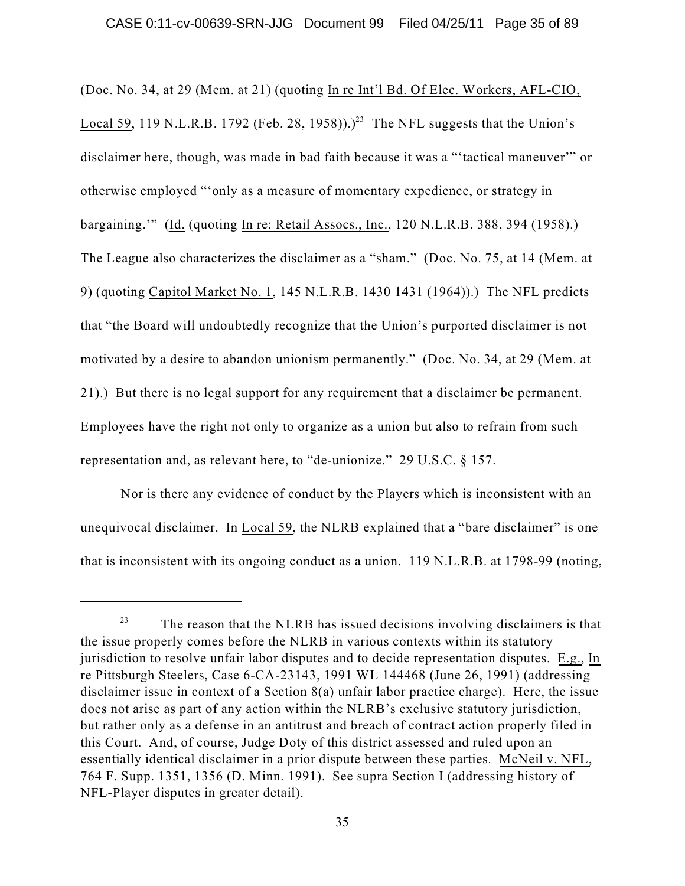(Doc. No. 34, at 29 (Mem. at 21) (quoting In re Int'l Bd. Of Elec. Workers, AFL-CIO, Local 59, 119 N.L.R.B. 1792 (Feb. 28, 1958)).)<sup>23</sup> The NFL suggests that the Union's disclaimer here, though, was made in bad faith because it was a "'tactical maneuver'" or otherwise employed "'only as a measure of momentary expedience, or strategy in bargaining.'" (Id. (quoting In re: Retail Assocs., Inc., 120 N.L.R.B. 388, 394 (1958).) The League also characterizes the disclaimer as a "sham." (Doc. No. 75, at 14 (Mem. at 9) (quoting Capitol Market No. 1, 145 N.L.R.B. 1430 1431 (1964)).) The NFL predicts that "the Board will undoubtedly recognize that the Union's purported disclaimer is not motivated by a desire to abandon unionism permanently." (Doc. No. 34, at 29 (Mem. at 21).) But there is no legal support for any requirement that a disclaimer be permanent. Employees have the right not only to organize as a union but also to refrain from such representation and, as relevant here, to "de-unionize." 29 U.S.C. § 157.

Nor is there any evidence of conduct by the Players which is inconsistent with an unequivocal disclaimer. In Local 59, the NLRB explained that a "bare disclaimer" is one that is inconsistent with its ongoing conduct as a union. 119 N.L.R.B. at 1798-99 (noting,

The reason that the NLRB has issued decisions involving disclaimers is that 23 the issue properly comes before the NLRB in various contexts within its statutory jurisdiction to resolve unfair labor disputes and to decide representation disputes. E.g., In re Pittsburgh Steelers, Case 6-CA-23143, 1991 WL 144468 (June 26, 1991) (addressing disclaimer issue in context of a Section 8(a) unfair labor practice charge). Here, the issue does not arise as part of any action within the NLRB's exclusive statutory jurisdiction, but rather only as a defense in an antitrust and breach of contract action properly filed in this Court. And, of course, Judge Doty of this district assessed and ruled upon an essentially identical disclaimer in a prior dispute between these parties. McNeil v. NFL, 764 F. Supp. 1351, 1356 (D. Minn. 1991). See supra Section I (addressing history of NFL-Player disputes in greater detail).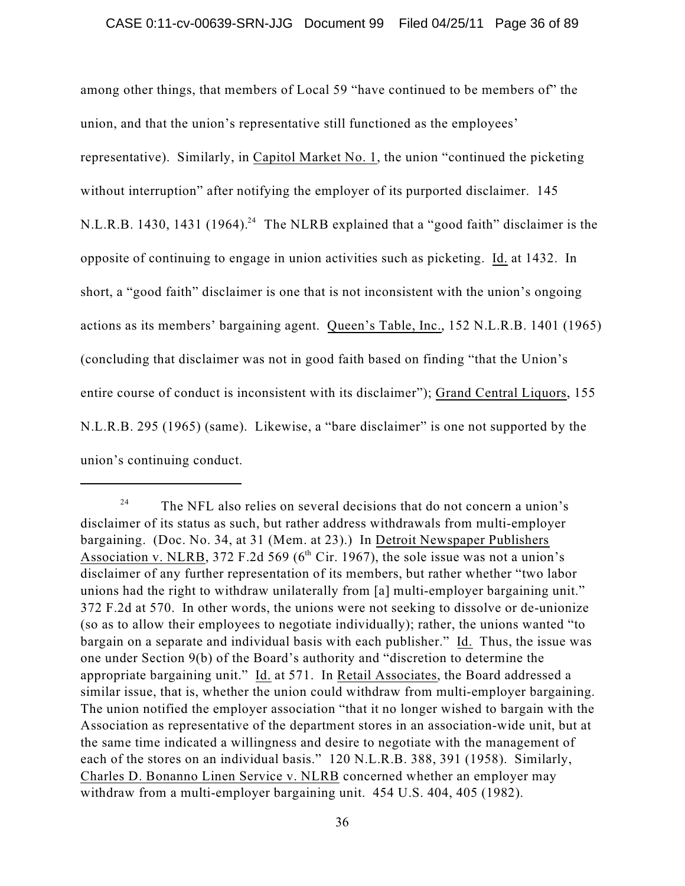among other things, that members of Local 59 "have continued to be members of" the union, and that the union's representative still functioned as the employees' representative). Similarly, in Capitol Market No. 1, the union "continued the picketing without interruption" after notifying the employer of its purported disclaimer. 145 N.L.R.B. 1430, 1431 (1964).<sup>24</sup> The NLRB explained that a "good faith" disclaimer is the opposite of continuing to engage in union activities such as picketing. Id. at 1432. In short, a "good faith" disclaimer is one that is not inconsistent with the union's ongoing actions as its members' bargaining agent. Queen's Table, Inc., 152 N.L.R.B. 1401 (1965) (concluding that disclaimer was not in good faith based on finding "that the Union's entire course of conduct is inconsistent with its disclaimer"); Grand Central Liquors, 155 N.L.R.B. 295 (1965) (same). Likewise, a "bare disclaimer" is one not supported by the union's continuing conduct.

The NFL also relies on several decisions that do not concern a union's 24 disclaimer of its status as such, but rather address withdrawals from multi-employer bargaining. (Doc. No. 34, at 31 (Mem. at 23).) In Detroit Newspaper Publishers Association v. NLRB, 372 F.2d 569 ( $6<sup>th</sup>$  Cir. 1967), the sole issue was not a union's disclaimer of any further representation of its members, but rather whether "two labor unions had the right to withdraw unilaterally from [a] multi-employer bargaining unit." 372 F.2d at 570. In other words, the unions were not seeking to dissolve or de-unionize (so as to allow their employees to negotiate individually); rather, the unions wanted "to bargain on a separate and individual basis with each publisher." Id. Thus, the issue was one under Section 9(b) of the Board's authority and "discretion to determine the appropriate bargaining unit." Id. at 571. In Retail Associates, the Board addressed a similar issue, that is, whether the union could withdraw from multi-employer bargaining. The union notified the employer association "that it no longer wished to bargain with the Association as representative of the department stores in an association-wide unit, but at the same time indicated a willingness and desire to negotiate with the management of each of the stores on an individual basis." 120 N.L.R.B. 388, 391 (1958). Similarly, Charles D. Bonanno Linen Service v. NLRB concerned whether an employer may withdraw from a multi-employer bargaining unit. 454 U.S. 404, 405 (1982).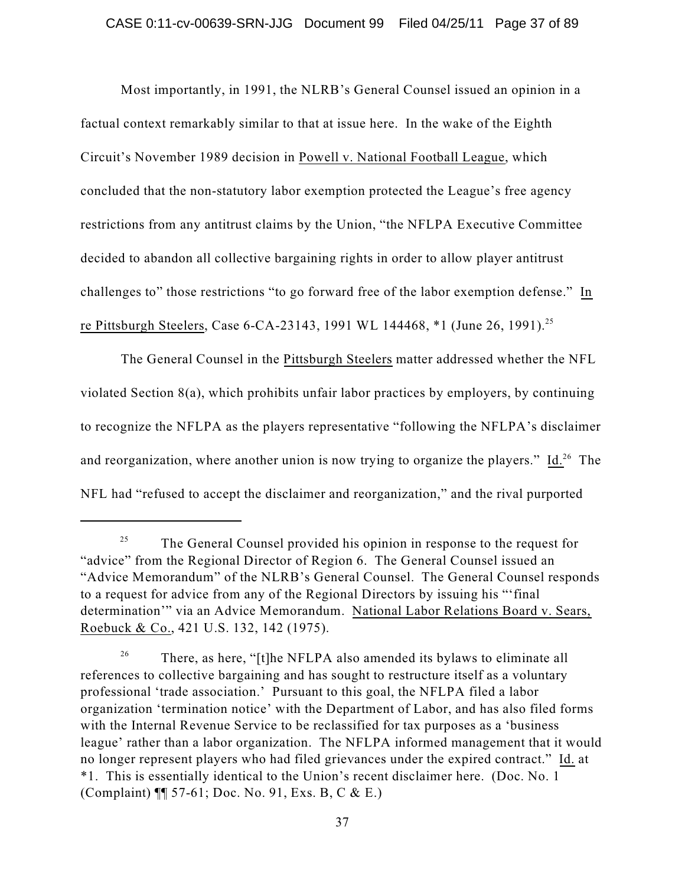Most importantly, in 1991, the NLRB's General Counsel issued an opinion in a factual context remarkably similar to that at issue here. In the wake of the Eighth Circuit's November 1989 decision in Powell v. National Football League, which concluded that the non-statutory labor exemption protected the League's free agency restrictions from any antitrust claims by the Union, "the NFLPA Executive Committee decided to abandon all collective bargaining rights in order to allow player antitrust challenges to" those restrictions "to go forward free of the labor exemption defense." In re Pittsburgh Steelers, Case 6-CA-23143, 1991 WL 144468, \*1 (June 26, 1991).<sup>25</sup>

The General Counsel in the Pittsburgh Steelers matter addressed whether the NFL violated Section 8(a), which prohibits unfair labor practices by employers, by continuing to recognize the NFLPA as the players representative "following the NFLPA's disclaimer and reorganization, where another union is now trying to organize the players."  $\underline{Id.}^{26}$  The NFL had "refused to accept the disclaimer and reorganization," and the rival purported

The General Counsel provided his opinion in response to the request for 25 "advice" from the Regional Director of Region 6. The General Counsel issued an "Advice Memorandum" of the NLRB's General Counsel. The General Counsel responds to a request for advice from any of the Regional Directors by issuing his "'final determination'" via an Advice Memorandum. National Labor Relations Board v. Sears, Roebuck & Co., 421 U.S. 132, 142 (1975).

There, as here, "[t]he NFLPA also amended its bylaws to eliminate all 26 references to collective bargaining and has sought to restructure itself as a voluntary professional 'trade association.' Pursuant to this goal, the NFLPA filed a labor organization 'termination notice' with the Department of Labor, and has also filed forms with the Internal Revenue Service to be reclassified for tax purposes as a 'business league' rather than a labor organization. The NFLPA informed management that it would no longer represent players who had filed grievances under the expired contract." Id. at \*1. This is essentially identical to the Union's recent disclaimer here. (Doc. No. 1 (Complaint) ¶¶ 57-61; Doc. No. 91, Exs. B, C & E.)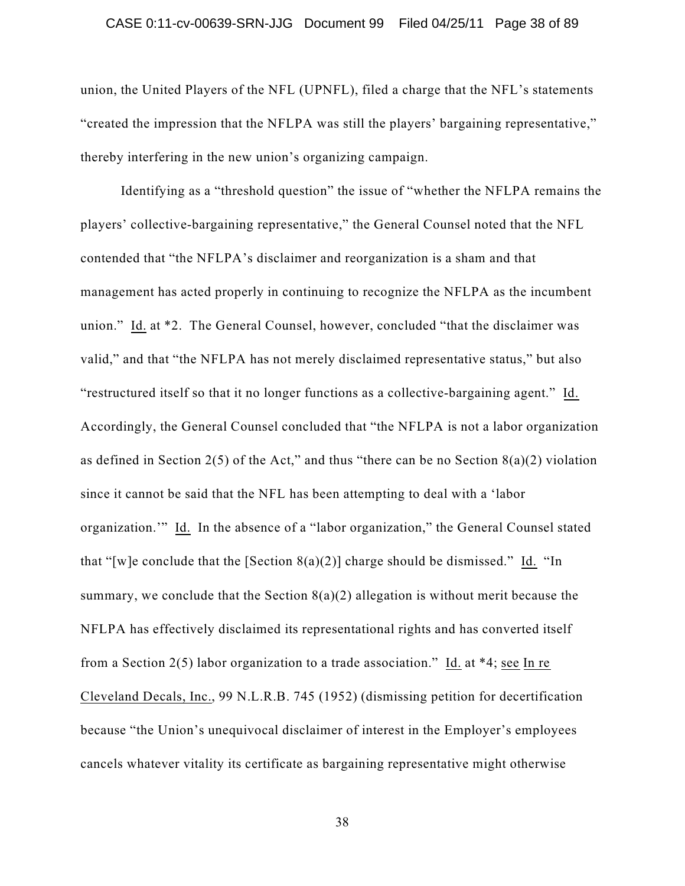### CASE 0:11-cv-00639-SRN-JJG Document 99 Filed 04/25/11 Page 38 of 89

union, the United Players of the NFL (UPNFL), filed a charge that the NFL's statements "created the impression that the NFLPA was still the players' bargaining representative," thereby interfering in the new union's organizing campaign.

Identifying as a "threshold question" the issue of "whether the NFLPA remains the players' collective-bargaining representative," the General Counsel noted that the NFL contended that "the NFLPA's disclaimer and reorganization is a sham and that management has acted properly in continuing to recognize the NFLPA as the incumbent union." Id. at \*2. The General Counsel, however, concluded "that the disclaimer was valid," and that "the NFLPA has not merely disclaimed representative status," but also "restructured itself so that it no longer functions as a collective-bargaining agent." Id. Accordingly, the General Counsel concluded that "the NFLPA is not a labor organization as defined in Section 2(5) of the Act," and thus "there can be no Section  $8(a)(2)$  violation since it cannot be said that the NFL has been attempting to deal with a 'labor organization.'" Id. In the absence of a "labor organization," the General Counsel stated that "[w]e conclude that the [Section  $8(a)(2)$ ] charge should be dismissed." Id. "In summary, we conclude that the Section  $8(a)(2)$  allegation is without merit because the NFLPA has effectively disclaimed its representational rights and has converted itself from a Section 2(5) labor organization to a trade association." Id. at \*4; see In re Cleveland Decals, Inc., 99 N.L.R.B. 745 (1952) (dismissing petition for decertification because "the Union's unequivocal disclaimer of interest in the Employer's employees cancels whatever vitality its certificate as bargaining representative might otherwise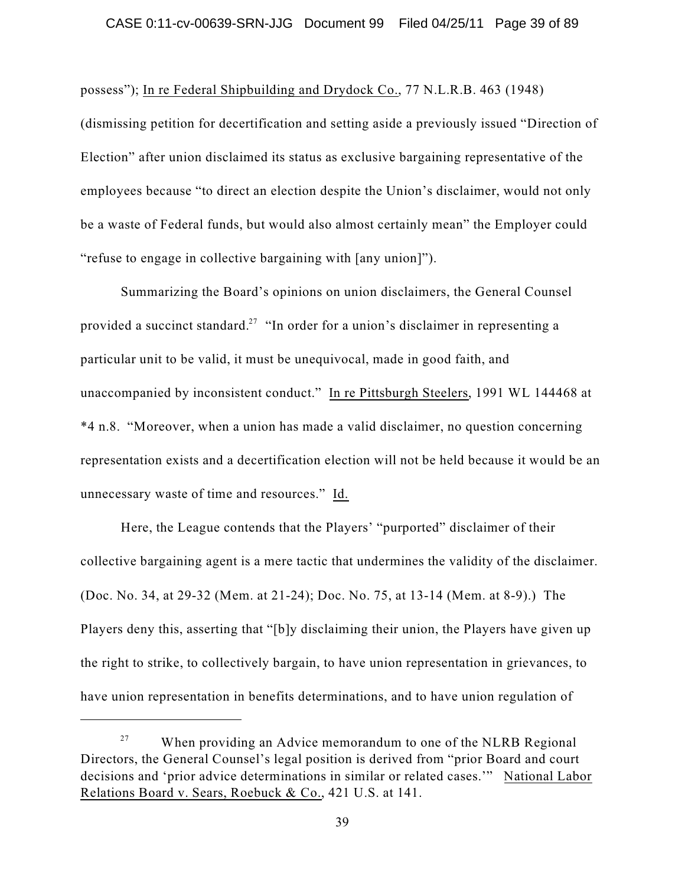possess"); In re Federal Shipbuilding and Drydock Co., 77 N.L.R.B. 463 (1948)

(dismissing petition for decertification and setting aside a previously issued "Direction of Election" after union disclaimed its status as exclusive bargaining representative of the employees because "to direct an election despite the Union's disclaimer, would not only be a waste of Federal funds, but would also almost certainly mean" the Employer could "refuse to engage in collective bargaining with [any union]").

Summarizing the Board's opinions on union disclaimers, the General Counsel provided a succinct standard.<sup>27</sup> "In order for a union's disclaimer in representing a particular unit to be valid, it must be unequivocal, made in good faith, and unaccompanied by inconsistent conduct." In re Pittsburgh Steelers, 1991 WL 144468 at \*4 n.8. "Moreover, when a union has made a valid disclaimer, no question concerning representation exists and a decertification election will not be held because it would be an unnecessary waste of time and resources." Id.

Here, the League contends that the Players' "purported" disclaimer of their collective bargaining agent is a mere tactic that undermines the validity of the disclaimer. (Doc. No. 34, at 29-32 (Mem. at 21-24); Doc. No. 75, at 13-14 (Mem. at 8-9).) The Players deny this, asserting that "[b]y disclaiming their union, the Players have given up the right to strike, to collectively bargain, to have union representation in grievances, to have union representation in benefits determinations, and to have union regulation of

When providing an Advice memorandum to one of the NLRB Regional 27 Directors, the General Counsel's legal position is derived from "prior Board and court decisions and 'prior advice determinations in similar or related cases.'" National Labor Relations Board v. Sears, Roebuck & Co., 421 U.S. at 141.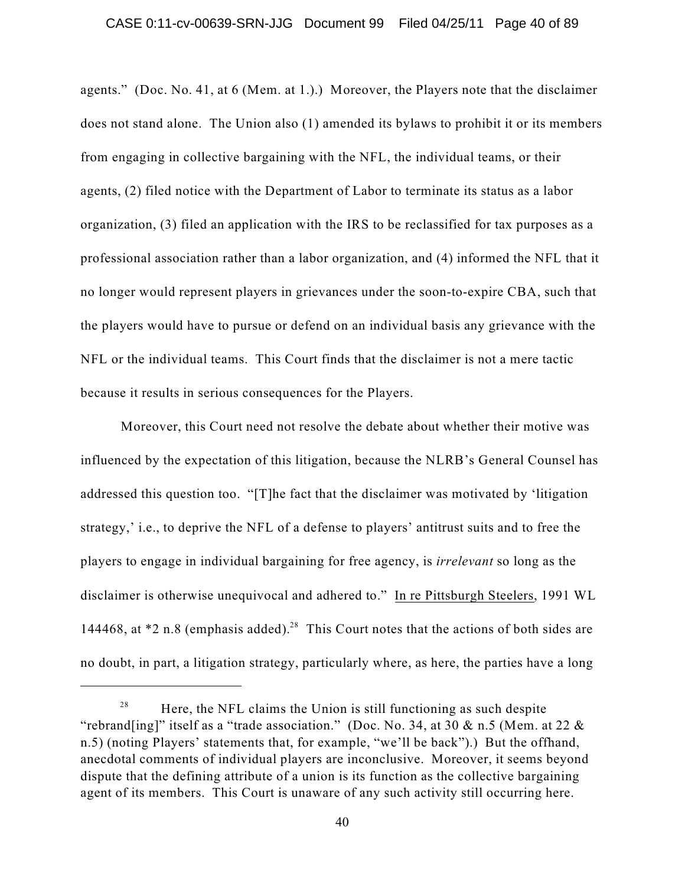### CASE 0:11-cv-00639-SRN-JJG Document 99 Filed 04/25/11 Page 40 of 89

agents." (Doc. No. 41, at 6 (Mem. at 1.).) Moreover, the Players note that the disclaimer does not stand alone. The Union also (1) amended its bylaws to prohibit it or its members from engaging in collective bargaining with the NFL, the individual teams, or their agents, (2) filed notice with the Department of Labor to terminate its status as a labor organization, (3) filed an application with the IRS to be reclassified for tax purposes as a professional association rather than a labor organization, and (4) informed the NFL that it no longer would represent players in grievances under the soon-to-expire CBA, such that the players would have to pursue or defend on an individual basis any grievance with the NFL or the individual teams. This Court finds that the disclaimer is not a mere tactic because it results in serious consequences for the Players.

Moreover, this Court need not resolve the debate about whether their motive was influenced by the expectation of this litigation, because the NLRB's General Counsel has addressed this question too. "[T]he fact that the disclaimer was motivated by 'litigation strategy,' i.e., to deprive the NFL of a defense to players' antitrust suits and to free the players to engage in individual bargaining for free agency, is *irrelevant* so long as the disclaimer is otherwise unequivocal and adhered to." In re Pittsburgh Steelers, 1991 WL 144468, at  $*2$  n.8 (emphasis added).<sup>28</sup> This Court notes that the actions of both sides are no doubt, in part, a litigation strategy, particularly where, as here, the parties have a long

Here, the NFL claims the Union is still functioning as such despite 28 "rebrand[ing]" itself as a "trade association." (Doc. No. 34, at 30  $\&$  n.5 (Mem. at 22  $\&$ n.5) (noting Players' statements that, for example, "we'll be back").) But the offhand, anecdotal comments of individual players are inconclusive. Moreover, it seems beyond dispute that the defining attribute of a union is its function as the collective bargaining agent of its members. This Court is unaware of any such activity still occurring here.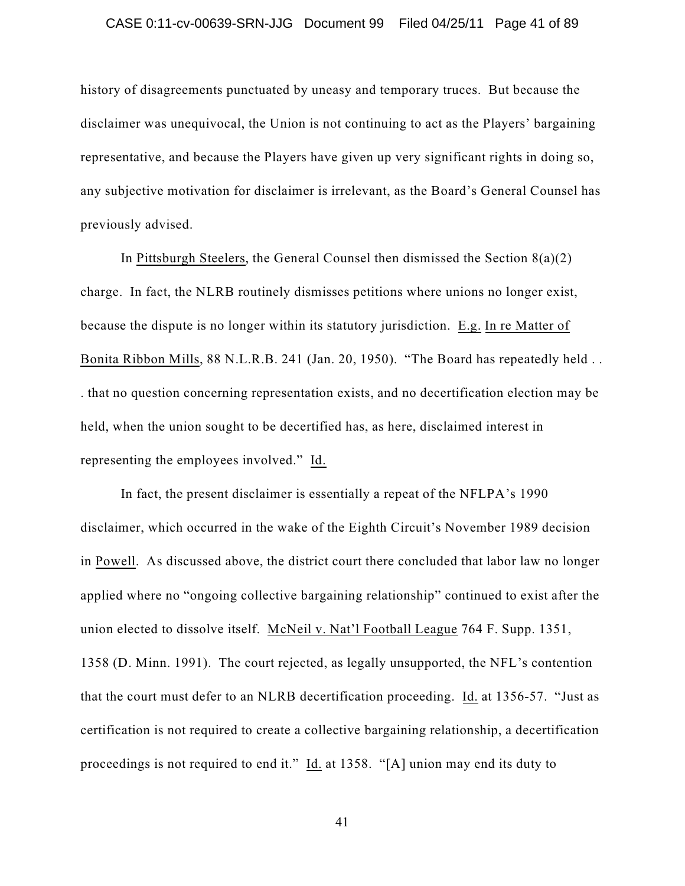history of disagreements punctuated by uneasy and temporary truces. But because the disclaimer was unequivocal, the Union is not continuing to act as the Players' bargaining representative, and because the Players have given up very significant rights in doing so, any subjective motivation for disclaimer is irrelevant, as the Board's General Counsel has previously advised.

In Pittsburgh Steelers, the General Counsel then dismissed the Section  $8(a)(2)$ charge. In fact, the NLRB routinely dismisses petitions where unions no longer exist, because the dispute is no longer within its statutory jurisdiction. E.g. In re Matter of Bonita Ribbon Mills, 88 N.L.R.B. 241 (Jan. 20, 1950). "The Board has repeatedly held . . . that no question concerning representation exists, and no decertification election may be held, when the union sought to be decertified has, as here, disclaimed interest in representing the employees involved." Id.

In fact, the present disclaimer is essentially a repeat of the NFLPA's 1990 disclaimer, which occurred in the wake of the Eighth Circuit's November 1989 decision in Powell. As discussed above, the district court there concluded that labor law no longer applied where no "ongoing collective bargaining relationship" continued to exist after the union elected to dissolve itself. McNeil v. Nat'l Football League 764 F. Supp. 1351, 1358 (D. Minn. 1991). The court rejected, as legally unsupported, the NFL's contention that the court must defer to an NLRB decertification proceeding. Id. at 1356-57. "Just as certification is not required to create a collective bargaining relationship, a decertification proceedings is not required to end it." Id. at 1358. "[A] union may end its duty to

41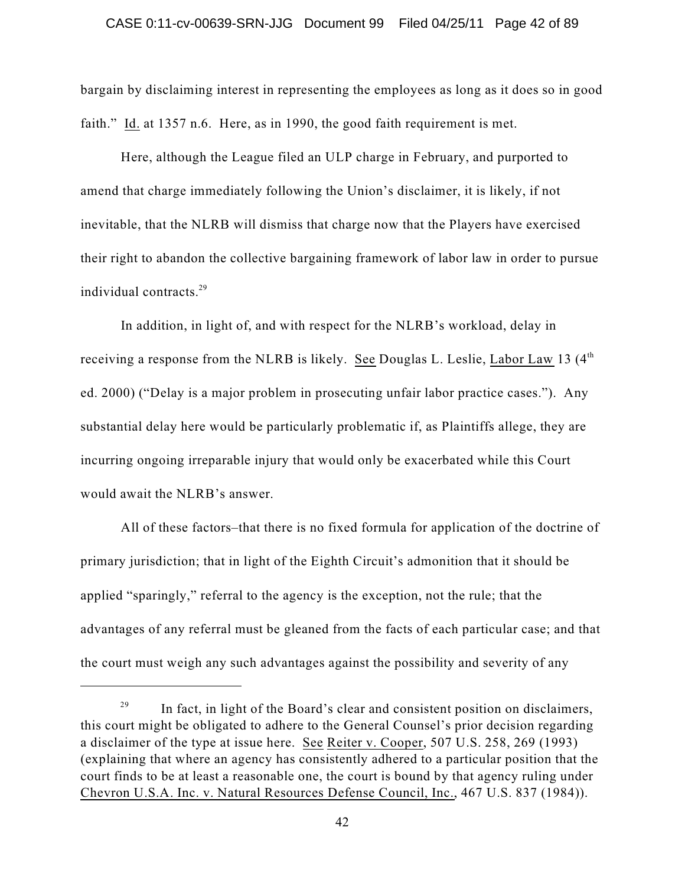### CASE 0:11-cv-00639-SRN-JJG Document 99 Filed 04/25/11 Page 42 of 89

bargain by disclaiming interest in representing the employees as long as it does so in good faith." Id. at 1357 n.6. Here, as in 1990, the good faith requirement is met.

Here, although the League filed an ULP charge in February, and purported to amend that charge immediately following the Union's disclaimer, it is likely, if not inevitable, that the NLRB will dismiss that charge now that the Players have exercised their right to abandon the collective bargaining framework of labor law in order to pursue individual contracts. 29

In addition, in light of, and with respect for the NLRB's workload, delay in receiving a response from the NLRB is likely. See Douglas L. Leslie, Labor Law 13 (4<sup>th</sup> ed. 2000) ("Delay is a major problem in prosecuting unfair labor practice cases."). Any substantial delay here would be particularly problematic if, as Plaintiffs allege, they are incurring ongoing irreparable injury that would only be exacerbated while this Court would await the NLRB's answer.

All of these factors–that there is no fixed formula for application of the doctrine of primary jurisdiction; that in light of the Eighth Circuit's admonition that it should be applied "sparingly," referral to the agency is the exception, not the rule; that the advantages of any referral must be gleaned from the facts of each particular case; and that the court must weigh any such advantages against the possibility and severity of any

In fact, in light of the Board's clear and consistent position on disclaimers, 29 this court might be obligated to adhere to the General Counsel's prior decision regarding a disclaimer of the type at issue here. See Reiter v. Cooper, 507 U.S. 258, 269 (1993) (explaining that where an agency has consistently adhered to a particular position that the court finds to be at least a reasonable one, the court is bound by that agency ruling under Chevron U.S.A. Inc. v. Natural Resources Defense Council, Inc., 467 U.S. 837 (1984)).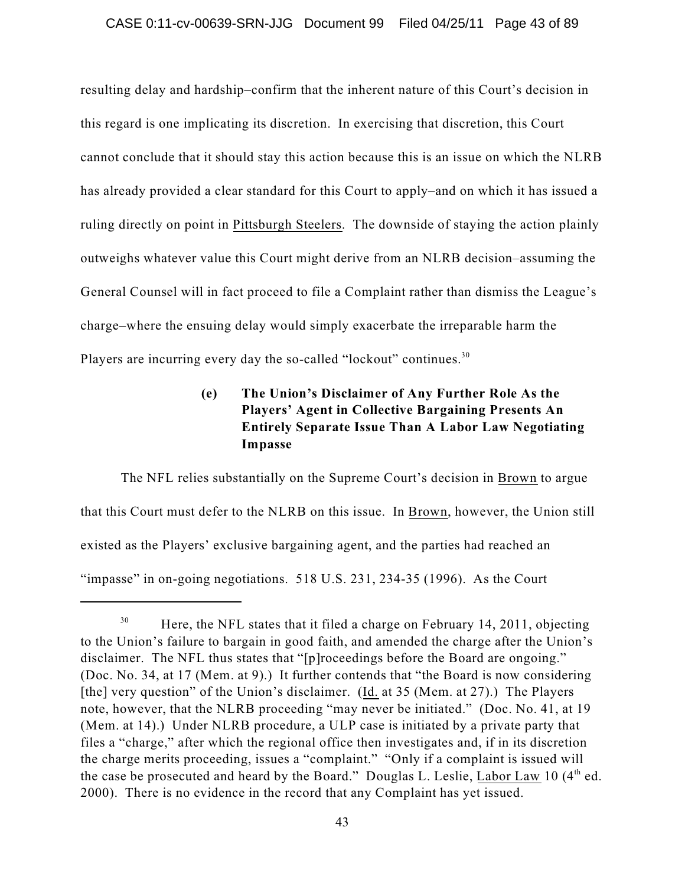resulting delay and hardship–confirm that the inherent nature of this Court's decision in this regard is one implicating its discretion. In exercising that discretion, this Court cannot conclude that it should stay this action because this is an issue on which the NLRB has already provided a clear standard for this Court to apply–and on which it has issued a ruling directly on point in Pittsburgh Steelers. The downside of staying the action plainly outweighs whatever value this Court might derive from an NLRB decision–assuming the General Counsel will in fact proceed to file a Complaint rather than dismiss the League's charge–where the ensuing delay would simply exacerbate the irreparable harm the Players are incurring every day the so-called "lockout" continues.<sup>30</sup>

# **(e) The Union's Disclaimer of Any Further Role As the Players' Agent in Collective Bargaining Presents An Entirely Separate Issue Than A Labor Law Negotiating Impasse**

The NFL relies substantially on the Supreme Court's decision in Brown to argue that this Court must defer to the NLRB on this issue. In Brown, however, the Union still existed as the Players' exclusive bargaining agent, and the parties had reached an "impasse" in on-going negotiations. 518 U.S. 231, 234-35 (1996). As the Court

Here, the NFL states that it filed a charge on February 14, 2011, objecting 30 to the Union's failure to bargain in good faith, and amended the charge after the Union's disclaimer. The NFL thus states that "[p]roceedings before the Board are ongoing." (Doc. No. 34, at 17 (Mem. at 9).) It further contends that "the Board is now considering [the] very question" of the Union's disclaimer. (Id. at 35 (Mem. at 27).) The Players note, however, that the NLRB proceeding "may never be initiated." (Doc. No. 41, at 19 (Mem. at 14).) Under NLRB procedure, a ULP case is initiated by a private party that files a "charge," after which the regional office then investigates and, if in its discretion the charge merits proceeding, issues a "complaint." "Only if a complaint is issued will the case be prosecuted and heard by the Board." Douglas L. Leslie, Labor Law 10 (4<sup>th</sup> ed. 2000). There is no evidence in the record that any Complaint has yet issued.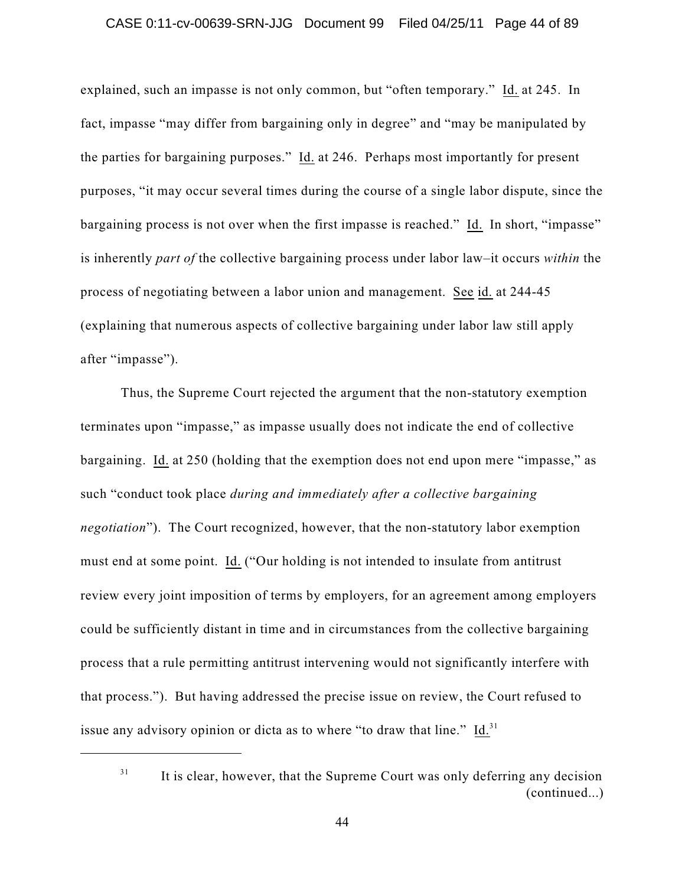## CASE 0:11-cv-00639-SRN-JJG Document 99 Filed 04/25/11 Page 44 of 89

explained, such an impasse is not only common, but "often temporary." Id. at 245. In fact, impasse "may differ from bargaining only in degree" and "may be manipulated by the parties for bargaining purposes." Id. at 246. Perhaps most importantly for present purposes, "it may occur several times during the course of a single labor dispute, since the bargaining process is not over when the first impasse is reached." Id. In short, "impasse" is inherently *part of* the collective bargaining process under labor law–it occurs *within* the process of negotiating between a labor union and management. See id. at 244-45 (explaining that numerous aspects of collective bargaining under labor law still apply after "impasse").

Thus, the Supreme Court rejected the argument that the non-statutory exemption terminates upon "impasse," as impasse usually does not indicate the end of collective bargaining. Id. at 250 (holding that the exemption does not end upon mere "impasse," as such "conduct took place *during and immediately after a collective bargaining negotiation*"). The Court recognized, however, that the non-statutory labor exemption must end at some point. Id. ("Our holding is not intended to insulate from antitrust review every joint imposition of terms by employers, for an agreement among employers could be sufficiently distant in time and in circumstances from the collective bargaining process that a rule permitting antitrust intervening would not significantly interfere with that process."). But having addressed the precise issue on review, the Court refused to issue any advisory opinion or dicta as to where "to draw that line."  $Id.^{31}$ 

31

It is clear, however, that the Supreme Court was only deferring any decision (continued...)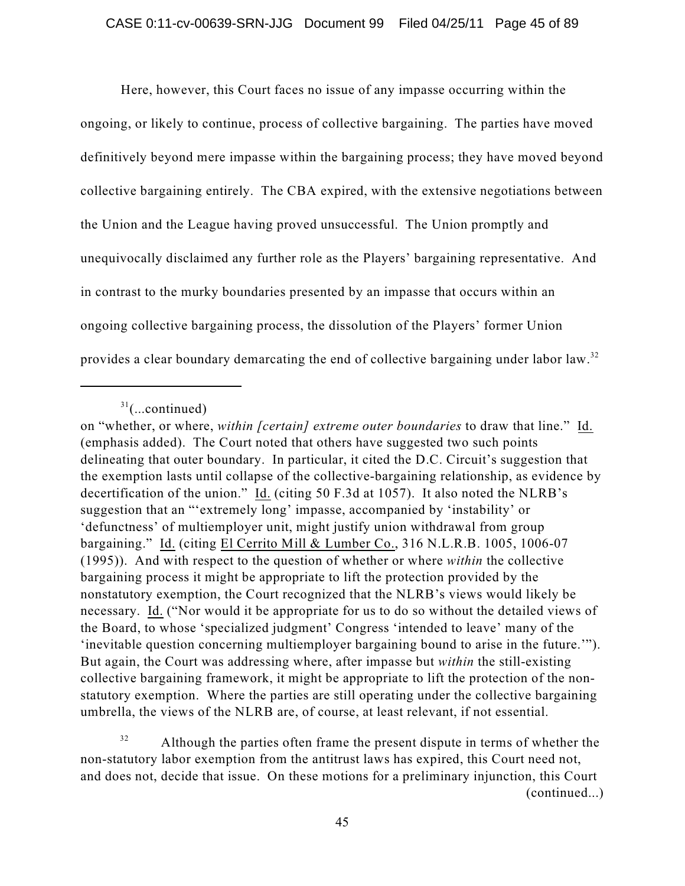Here, however, this Court faces no issue of any impasse occurring within the ongoing, or likely to continue, process of collective bargaining. The parties have moved definitively beyond mere impasse within the bargaining process; they have moved beyond collective bargaining entirely. The CBA expired, with the extensive negotiations between the Union and the League having proved unsuccessful. The Union promptly and unequivocally disclaimed any further role as the Players' bargaining representative. And in contrast to the murky boundaries presented by an impasse that occurs within an ongoing collective bargaining process, the dissolution of the Players' former Union provides a clear boundary demarcating the end of collective bargaining under labor law.<sup>32</sup>

Although the parties often frame the present dispute in terms of whether the 32 non-statutory labor exemption from the antitrust laws has expired, this Court need not, and does not, decide that issue. On these motions for a preliminary injunction, this Court (continued...)

 $31$ (...continued)

on "whether, or where, *within [certain] extreme outer boundaries* to draw that line." Id. (emphasis added). The Court noted that others have suggested two such points delineating that outer boundary. In particular, it cited the D.C. Circuit's suggestion that the exemption lasts until collapse of the collective-bargaining relationship, as evidence by decertification of the union." Id. (citing 50 F.3d at 1057). It also noted the NLRB's suggestion that an "'extremely long' impasse, accompanied by 'instability' or 'defunctness' of multiemployer unit, might justify union withdrawal from group bargaining." Id. (citing El Cerrito Mill & Lumber Co., 316 N.L.R.B. 1005, 1006-07 (1995)). And with respect to the question of whether or where *within* the collective bargaining process it might be appropriate to lift the protection provided by the nonstatutory exemption, the Court recognized that the NLRB's views would likely be necessary. Id. ("Nor would it be appropriate for us to do so without the detailed views of the Board, to whose 'specialized judgment' Congress 'intended to leave' many of the 'inevitable question concerning multiemployer bargaining bound to arise in the future.'"). But again, the Court was addressing where, after impasse but *within* the still-existing collective bargaining framework, it might be appropriate to lift the protection of the nonstatutory exemption. Where the parties are still operating under the collective bargaining umbrella, the views of the NLRB are, of course, at least relevant, if not essential.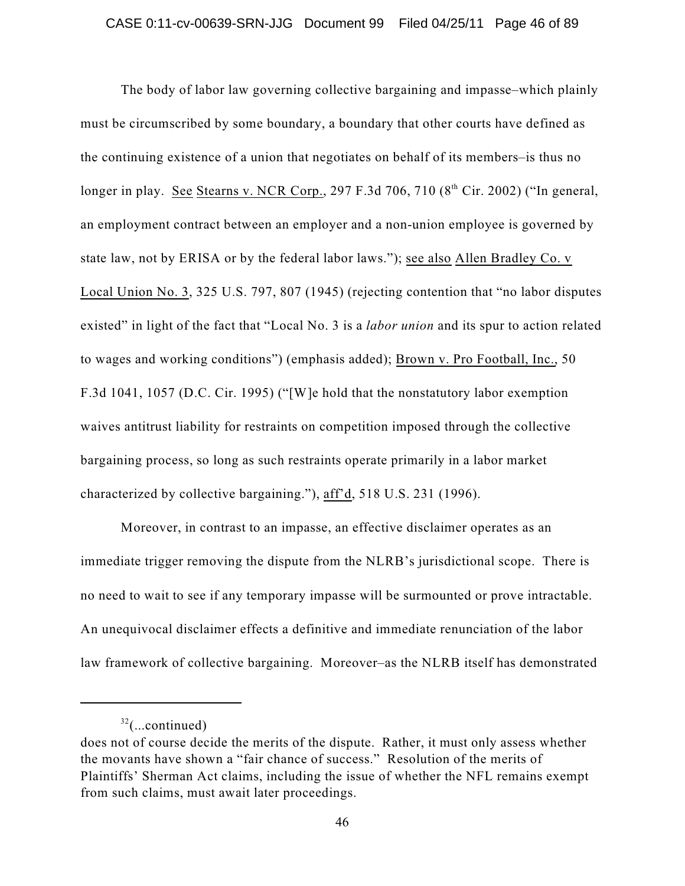The body of labor law governing collective bargaining and impasse–which plainly must be circumscribed by some boundary, a boundary that other courts have defined as the continuing existence of a union that negotiates on behalf of its members–is thus no longer in play. See Stearns v. NCR Corp., 297 F.3d 706, 710 (8<sup>th</sup> Cir. 2002) ("In general, an employment contract between an employer and a non-union employee is governed by state law, not by ERISA or by the federal labor laws."); see also Allen Bradley Co. v Local Union No. 3, 325 U.S. 797, 807 (1945) (rejecting contention that "no labor disputes existed" in light of the fact that "Local No. 3 is a *labor union* and its spur to action related to wages and working conditions") (emphasis added); Brown v. Pro Football, Inc., 50 F.3d 1041, 1057 (D.C. Cir. 1995) ("[W]e hold that the nonstatutory labor exemption waives antitrust liability for restraints on competition imposed through the collective bargaining process, so long as such restraints operate primarily in a labor market characterized by collective bargaining."), aff'd, 518 U.S. 231 (1996).

Moreover, in contrast to an impasse, an effective disclaimer operates as an immediate trigger removing the dispute from the NLRB's jurisdictional scope. There is no need to wait to see if any temporary impasse will be surmounted or prove intractable. An unequivocal disclaimer effects a definitive and immediate renunciation of the labor law framework of collective bargaining. Moreover–as the NLRB itself has demonstrated

 $32$ (...continued)

does not of course decide the merits of the dispute. Rather, it must only assess whether the movants have shown a "fair chance of success." Resolution of the merits of Plaintiffs' Sherman Act claims, including the issue of whether the NFL remains exempt from such claims, must await later proceedings.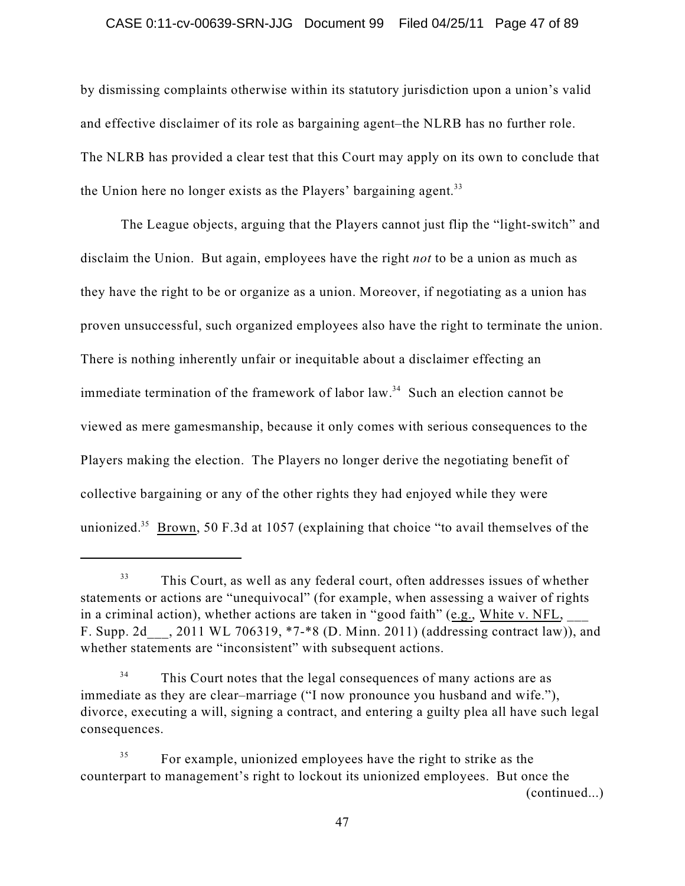## CASE 0:11-cv-00639-SRN-JJG Document 99 Filed 04/25/11 Page 47 of 89

by dismissing complaints otherwise within its statutory jurisdiction upon a union's valid and effective disclaimer of its role as bargaining agent–the NLRB has no further role. The NLRB has provided a clear test that this Court may apply on its own to conclude that the Union here no longer exists as the Players' bargaining agent.<sup>33</sup>

The League objects, arguing that the Players cannot just flip the "light-switch" and disclaim the Union. But again, employees have the right *not* to be a union as much as they have the right to be or organize as a union. Moreover, if negotiating as a union has proven unsuccessful, such organized employees also have the right to terminate the union. There is nothing inherently unfair or inequitable about a disclaimer effecting an immediate termination of the framework of labor  $law.<sup>34</sup>$  Such an election cannot be viewed as mere gamesmanship, because it only comes with serious consequences to the Players making the election. The Players no longer derive the negotiating benefit of collective bargaining or any of the other rights they had enjoyed while they were unionized.<sup>35</sup> Brown, 50 F.3d at 1057 (explaining that choice "to avail themselves of the

This Court, as well as any federal court, often addresses issues of whether 33 statements or actions are "unequivocal" (for example, when assessing a waiver of rights in a criminal action), whether actions are taken in "good faith" (e.g., White v. NFL, F. Supp. 2d\_\_\_, 2011 WL 706319, \*7-\*8 (D. Minn. 2011) (addressing contract law)), and whether statements are "inconsistent" with subsequent actions.

This Court notes that the legal consequences of many actions are as 34 immediate as they are clear–marriage ("I now pronounce you husband and wife."), divorce, executing a will, signing a contract, and entering a guilty plea all have such legal consequences.

For example, unionized employees have the right to strike as the 35 counterpart to management's right to lockout its unionized employees. But once the (continued...)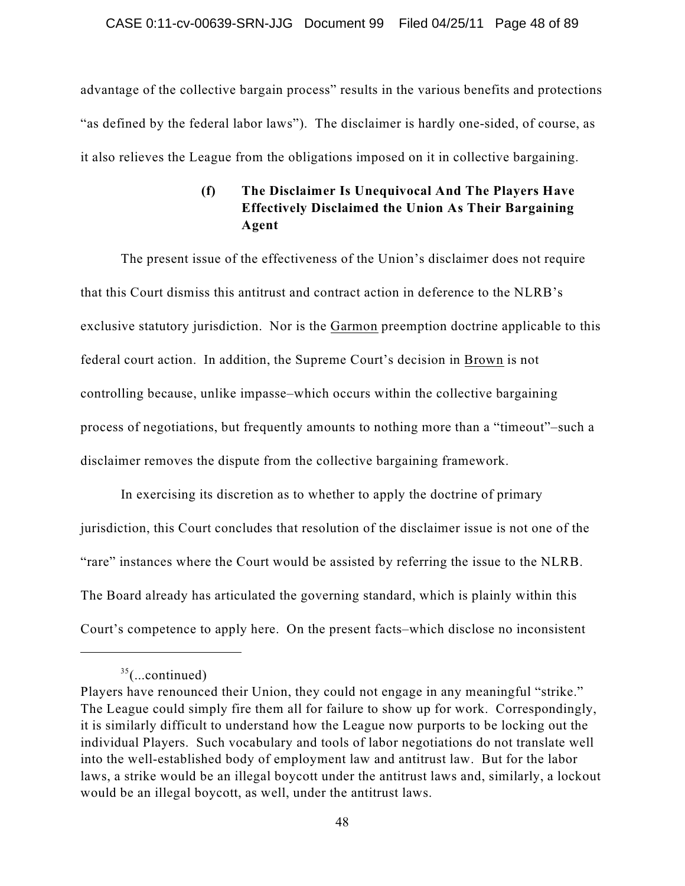advantage of the collective bargain process" results in the various benefits and protections "as defined by the federal labor laws"). The disclaimer is hardly one-sided, of course, as it also relieves the League from the obligations imposed on it in collective bargaining.

# **(f) The Disclaimer Is Unequivocal And The Players Have Effectively Disclaimed the Union As Their Bargaining Agent**

The present issue of the effectiveness of the Union's disclaimer does not require that this Court dismiss this antitrust and contract action in deference to the NLRB's exclusive statutory jurisdiction. Nor is the Garmon preemption doctrine applicable to this federal court action. In addition, the Supreme Court's decision in Brown is not controlling because, unlike impasse–which occurs within the collective bargaining process of negotiations, but frequently amounts to nothing more than a "timeout"–such a disclaimer removes the dispute from the collective bargaining framework.

In exercising its discretion as to whether to apply the doctrine of primary jurisdiction, this Court concludes that resolution of the disclaimer issue is not one of the "rare" instances where the Court would be assisted by referring the issue to the NLRB. The Board already has articulated the governing standard, which is plainly within this Court's competence to apply here. On the present facts–which disclose no inconsistent

 $35$ (...continued)

Players have renounced their Union, they could not engage in any meaningful "strike." The League could simply fire them all for failure to show up for work. Correspondingly, it is similarly difficult to understand how the League now purports to be locking out the individual Players. Such vocabulary and tools of labor negotiations do not translate well into the well-established body of employment law and antitrust law. But for the labor laws, a strike would be an illegal boycott under the antitrust laws and, similarly, a lockout would be an illegal boycott, as well, under the antitrust laws.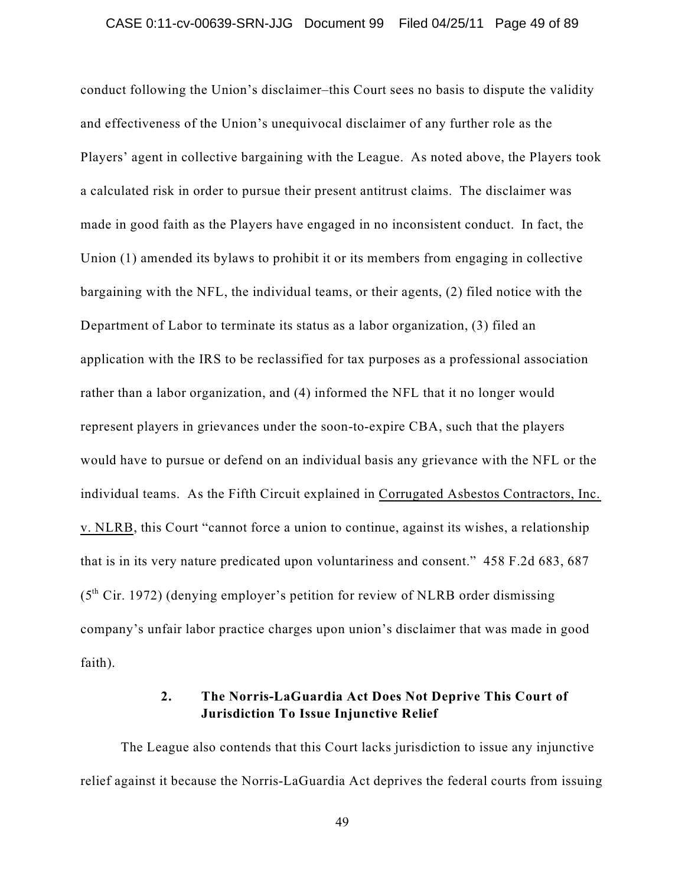conduct following the Union's disclaimer–this Court sees no basis to dispute the validity and effectiveness of the Union's unequivocal disclaimer of any further role as the Players' agent in collective bargaining with the League. As noted above, the Players took a calculated risk in order to pursue their present antitrust claims. The disclaimer was made in good faith as the Players have engaged in no inconsistent conduct. In fact, the Union (1) amended its bylaws to prohibit it or its members from engaging in collective bargaining with the NFL, the individual teams, or their agents, (2) filed notice with the Department of Labor to terminate its status as a labor organization, (3) filed an application with the IRS to be reclassified for tax purposes as a professional association rather than a labor organization, and (4) informed the NFL that it no longer would represent players in grievances under the soon-to-expire CBA, such that the players would have to pursue or defend on an individual basis any grievance with the NFL or the individual teams. As the Fifth Circuit explained in Corrugated Asbestos Contractors, Inc. v. NLRB, this Court "cannot force a union to continue, against its wishes, a relationship that is in its very nature predicated upon voluntariness and consent." 458 F.2d 683, 687  $(5<sup>th</sup> Cir. 1972)$  (denying employer's petition for review of NLRB order dismissing company's unfair labor practice charges upon union's disclaimer that was made in good faith).

# **2. The Norris-LaGuardia Act Does Not Deprive This Court of Jurisdiction To Issue Injunctive Relief**

The League also contends that this Court lacks jurisdiction to issue any injunctive relief against it because the Norris-LaGuardia Act deprives the federal courts from issuing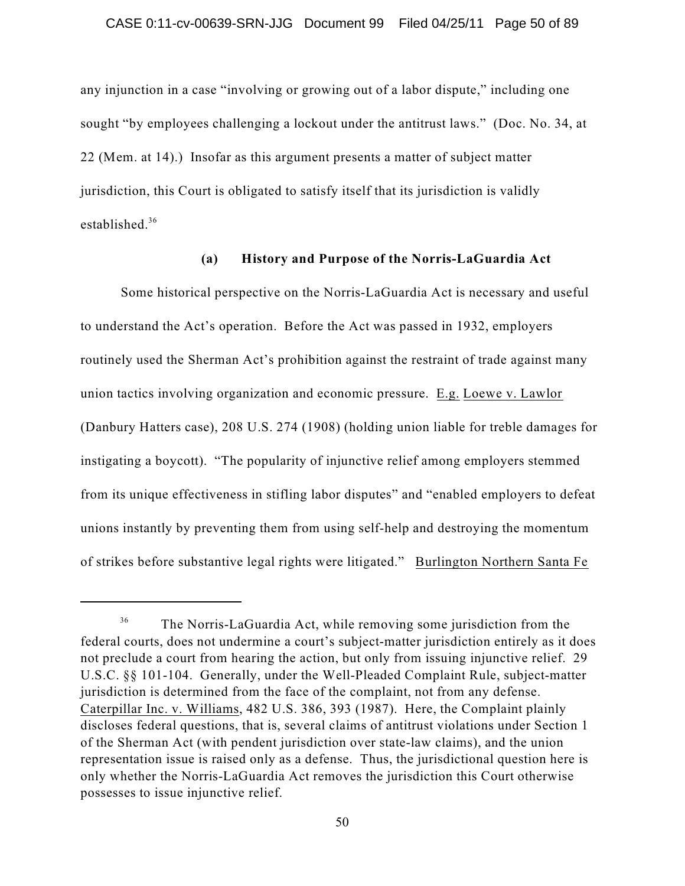any injunction in a case "involving or growing out of a labor dispute," including one sought "by employees challenging a lockout under the antitrust laws." (Doc. No. 34, at 22 (Mem. at 14).) Insofar as this argument presents a matter of subject matter jurisdiction, this Court is obligated to satisfy itself that its jurisdiction is validly established. 36

## **(a) History and Purpose of the Norris-LaGuardia Act**

Some historical perspective on the Norris-LaGuardia Act is necessary and useful to understand the Act's operation. Before the Act was passed in 1932, employers routinely used the Sherman Act's prohibition against the restraint of trade against many union tactics involving organization and economic pressure. E.g. Loewe v. Lawlor (Danbury Hatters case), 208 U.S. 274 (1908) (holding union liable for treble damages for instigating a boycott). "The popularity of injunctive relief among employers stemmed from its unique effectiveness in stifling labor disputes" and "enabled employers to defeat unions instantly by preventing them from using self-help and destroying the momentum of strikes before substantive legal rights were litigated." Burlington Northern Santa Fe

The Norris-LaGuardia Act, while removing some jurisdiction from the 36 federal courts, does not undermine a court's subject-matter jurisdiction entirely as it does not preclude a court from hearing the action, but only from issuing injunctive relief. 29 U.S.C. §§ 101-104. Generally, under the Well-Pleaded Complaint Rule, subject-matter jurisdiction is determined from the face of the complaint, not from any defense. Caterpillar Inc. v. Williams, 482 U.S. 386, 393 (1987). Here, the Complaint plainly discloses federal questions, that is, several claims of antitrust violations under Section 1 of the Sherman Act (with pendent jurisdiction over state-law claims), and the union representation issue is raised only as a defense. Thus, the jurisdictional question here is only whether the Norris-LaGuardia Act removes the jurisdiction this Court otherwise possesses to issue injunctive relief.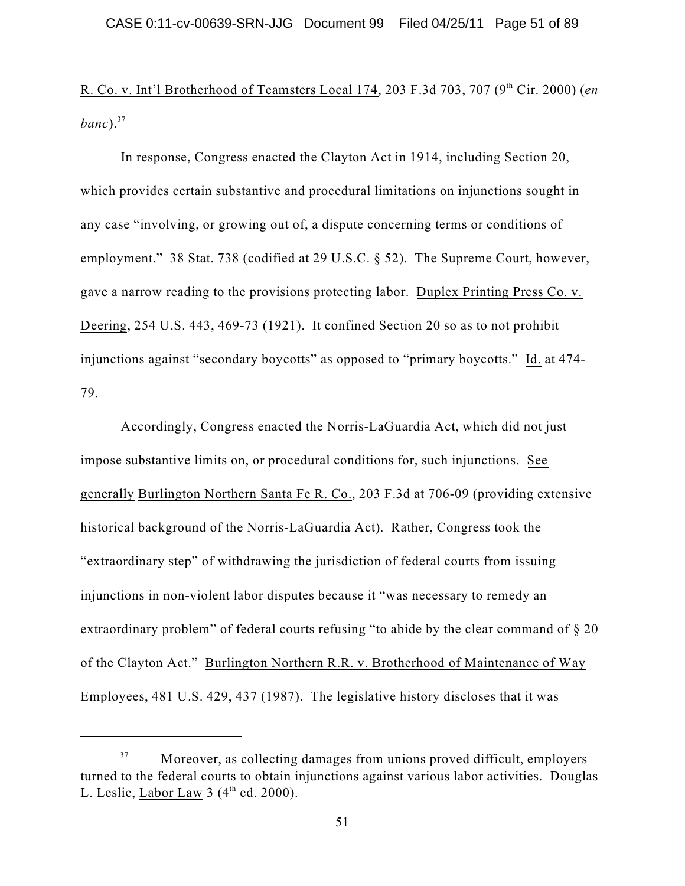R. Co. v. Int'l Brotherhood of Teamsters Local 174, 203 F.3d 703, 707 (9<sup>th</sup> Cir. 2000) (*en banc*). 37

In response, Congress enacted the Clayton Act in 1914, including Section 20, which provides certain substantive and procedural limitations on injunctions sought in any case "involving, or growing out of, a dispute concerning terms or conditions of employment." 38 Stat. 738 (codified at 29 U.S.C. § 52). The Supreme Court, however, gave a narrow reading to the provisions protecting labor. Duplex Printing Press Co. v. Deering, 254 U.S. 443, 469-73 (1921). It confined Section 20 so as to not prohibit injunctions against "secondary boycotts" as opposed to "primary boycotts." Id. at 474- 79.

Accordingly, Congress enacted the Norris-LaGuardia Act, which did not just impose substantive limits on, or procedural conditions for, such injunctions. See generally Burlington Northern Santa Fe R. Co., 203 F.3d at 706-09 (providing extensive historical background of the Norris-LaGuardia Act). Rather, Congress took the "extraordinary step" of withdrawing the jurisdiction of federal courts from issuing injunctions in non-violent labor disputes because it "was necessary to remedy an extraordinary problem" of federal courts refusing "to abide by the clear command of § 20 of the Clayton Act." Burlington Northern R.R. v. Brotherhood of Maintenance of Way Employees, 481 U.S. 429, 437 (1987). The legislative history discloses that it was

Moreover, as collecting damages from unions proved difficult, employers 37 turned to the federal courts to obtain injunctions against various labor activities. Douglas L. Leslie,  $\underline{\text{Labor Law}}$  3 (4<sup>th</sup> ed. 2000).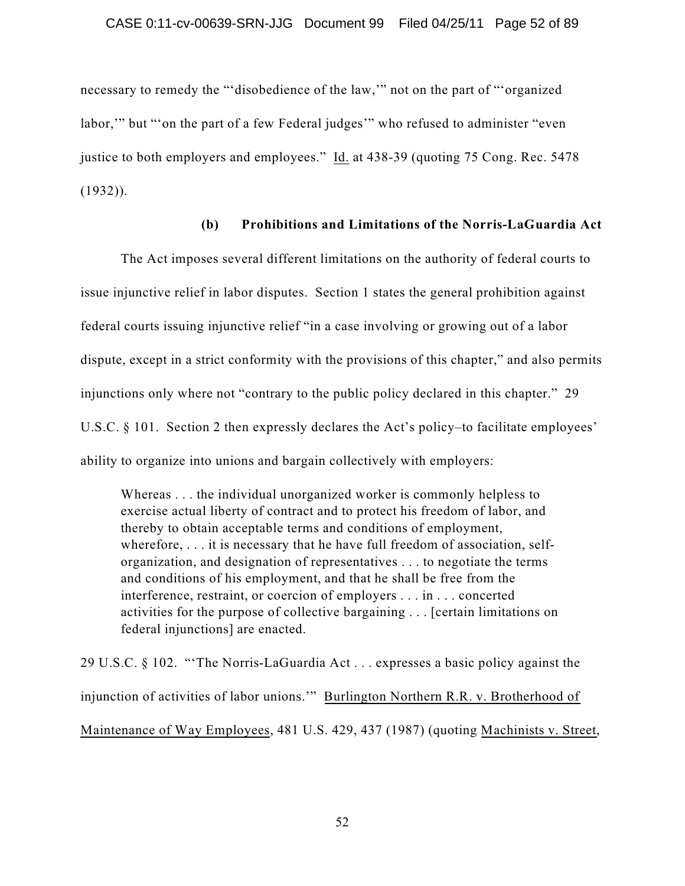necessary to remedy the "'disobedience of the law,'" not on the part of "'organized labor,'" but "'on the part of a few Federal judges'" who refused to administer "even justice to both employers and employees." Id. at 438-39 (quoting 75 Cong. Rec. 5478 (1932)).

## **(b) Prohibitions and Limitations of the Norris-LaGuardia Act**

The Act imposes several different limitations on the authority of federal courts to issue injunctive relief in labor disputes. Section 1 states the general prohibition against federal courts issuing injunctive relief "in a case involving or growing out of a labor dispute, except in a strict conformity with the provisions of this chapter," and also permits injunctions only where not "contrary to the public policy declared in this chapter." 29 U.S.C. § 101. Section 2 then expressly declares the Act's policy–to facilitate employees' ability to organize into unions and bargain collectively with employers:

Whereas . . . the individual unorganized worker is commonly helpless to exercise actual liberty of contract and to protect his freedom of labor, and thereby to obtain acceptable terms and conditions of employment, wherefore, . . . it is necessary that he have full freedom of association, selforganization, and designation of representatives . . . to negotiate the terms and conditions of his employment, and that he shall be free from the interference, restraint, or coercion of employers . . . in . . . concerted activities for the purpose of collective bargaining . . . [certain limitations on federal injunctions] are enacted.

29 U.S.C. § 102. "'The Norris-LaGuardia Act . . . expresses a basic policy against the injunction of activities of labor unions.'" Burlington Northern R.R. v. Brotherhood of Maintenance of Way Employees, 481 U.S. 429, 437 (1987) (quoting Machinists v. Street,

52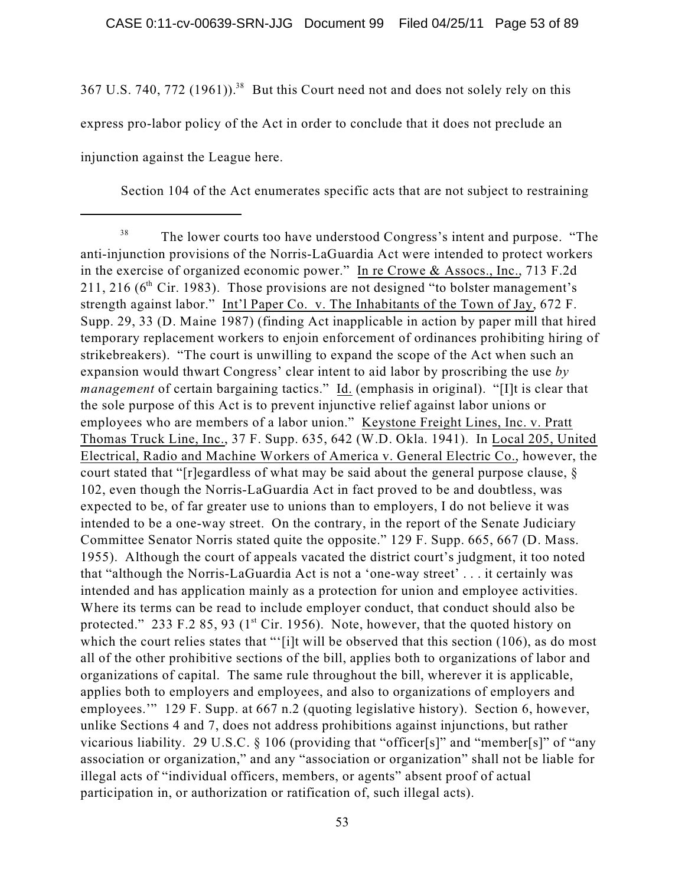367 U.S. 740, 772 (1961)).<sup>38</sup> But this Court need not and does not solely rely on this express pro-labor policy of the Act in order to conclude that it does not preclude an injunction against the League here.

Section 104 of the Act enumerates specific acts that are not subject to restraining

The lower courts too have understood Congress's intent and purpose. "The 38 anti-injunction provisions of the Norris-LaGuardia Act were intended to protect workers in the exercise of organized economic power." In re Crowe & Assocs., Inc., 713 F.2d 211, 216 ( $6<sup>th</sup>$  Cir. 1983). Those provisions are not designed "to bolster management's strength against labor." Int'l Paper Co. v. The Inhabitants of the Town of Jay, 672 F. Supp. 29, 33 (D. Maine 1987) (finding Act inapplicable in action by paper mill that hired temporary replacement workers to enjoin enforcement of ordinances prohibiting hiring of strikebreakers). "The court is unwilling to expand the scope of the Act when such an expansion would thwart Congress' clear intent to aid labor by proscribing the use *by management* of certain bargaining tactics." Id. (emphasis in original). "[I]t is clear that the sole purpose of this Act is to prevent injunctive relief against labor unions or employees who are members of a labor union." Keystone Freight Lines, Inc. v. Pratt Thomas Truck Line, Inc., 37 F. Supp. 635, 642 (W.D. Okla. 1941). In Local 205, United Electrical, Radio and Machine Workers of America v. General Electric Co., however, the court stated that "[r]egardless of what may be said about the general purpose clause, § 102, even though the Norris-LaGuardia Act in fact proved to be and doubtless, was expected to be, of far greater use to unions than to employers, I do not believe it was intended to be a one-way street. On the contrary, in the report of the Senate Judiciary Committee Senator Norris stated quite the opposite." 129 F. Supp. 665, 667 (D. Mass. 1955). Although the court of appeals vacated the district court's judgment, it too noted that "although the Norris-LaGuardia Act is not a 'one-way street' . . . it certainly was intended and has application mainly as a protection for union and employee activities. Where its terms can be read to include employer conduct, that conduct should also be protected." 233 F.2 85, 93 ( $1<sup>st</sup>$  Cir. 1956). Note, however, that the quoted history on which the court relies states that "'[i]t will be observed that this section (106), as do most all of the other prohibitive sections of the bill, applies both to organizations of labor and organizations of capital. The same rule throughout the bill, wherever it is applicable, applies both to employers and employees, and also to organizations of employers and employees.'" 129 F. Supp. at 667 n.2 (quoting legislative history). Section 6, however, unlike Sections 4 and 7, does not address prohibitions against injunctions, but rather vicarious liability. 29 U.S.C. § 106 (providing that "officer[s]" and "member[s]" of "any association or organization," and any "association or organization" shall not be liable for illegal acts of "individual officers, members, or agents" absent proof of actual participation in, or authorization or ratification of, such illegal acts).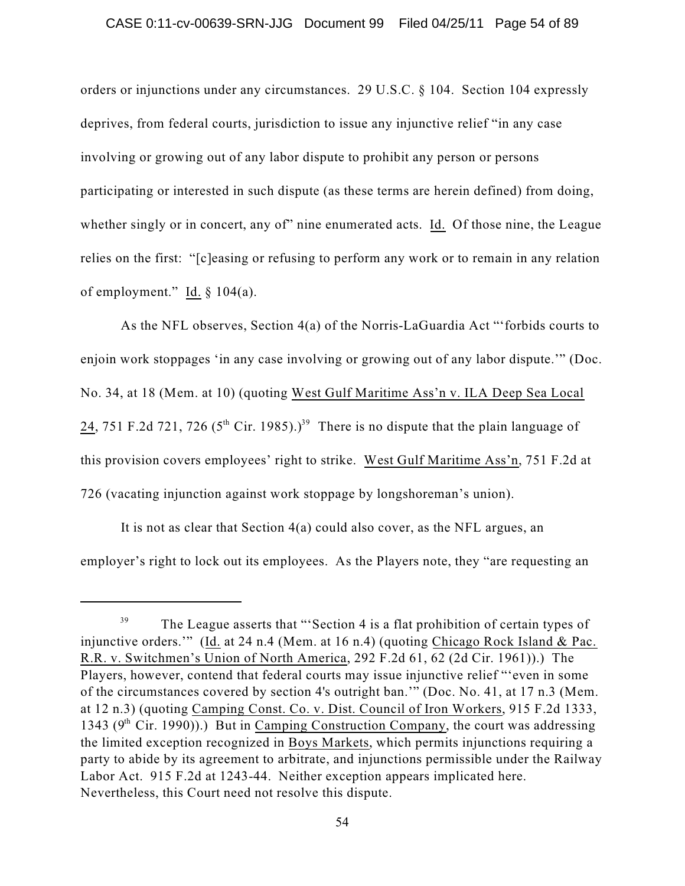orders or injunctions under any circumstances. 29 U.S.C. § 104. Section 104 expressly deprives, from federal courts, jurisdiction to issue any injunctive relief "in any case involving or growing out of any labor dispute to prohibit any person or persons participating or interested in such dispute (as these terms are herein defined) from doing, whether singly or in concert, any of" nine enumerated acts. Id. Of those nine, the League relies on the first: "[c]easing or refusing to perform any work or to remain in any relation of employment." Id.  $\S$  104(a).

As the NFL observes, Section 4(a) of the Norris-LaGuardia Act "'forbids courts to enjoin work stoppages 'in any case involving or growing out of any labor dispute.'" (Doc. No. 34, at 18 (Mem. at 10) (quoting West Gulf Maritime Ass'n v. ILA Deep Sea Local 24, 751 F.2d 721, 726 (5<sup>th</sup> Cir. 1985).)<sup>39</sup> There is no dispute that the plain language of this provision covers employees' right to strike. West Gulf Maritime Ass'n, 751 F.2d at 726 (vacating injunction against work stoppage by longshoreman's union).

It is not as clear that Section 4(a) could also cover, as the NFL argues, an employer's right to lock out its employees. As the Players note, they "are requesting an

The League asserts that "'Section 4 is a flat prohibition of certain types of 39 injunctive orders."" (Id. at 24 n.4 (Mem. at 16 n.4) (quoting Chicago Rock Island & Pac. R.R. v. Switchmen's Union of North America, 292 F.2d 61, 62 (2d Cir. 1961)).) The Players, however, contend that federal courts may issue injunctive relief "'even in some of the circumstances covered by section 4's outright ban.'" (Doc. No. 41, at 17 n.3 (Mem. at 12 n.3) (quoting Camping Const. Co. v. Dist. Council of Iron Workers, 915 F.2d 1333, 1343 ( $9<sup>th</sup>$  Cir. 1990)).) But in Camping Construction Company, the court was addressing the limited exception recognized in Boys Markets, which permits injunctions requiring a party to abide by its agreement to arbitrate, and injunctions permissible under the Railway Labor Act. 915 F.2d at 1243-44. Neither exception appears implicated here. Nevertheless, this Court need not resolve this dispute.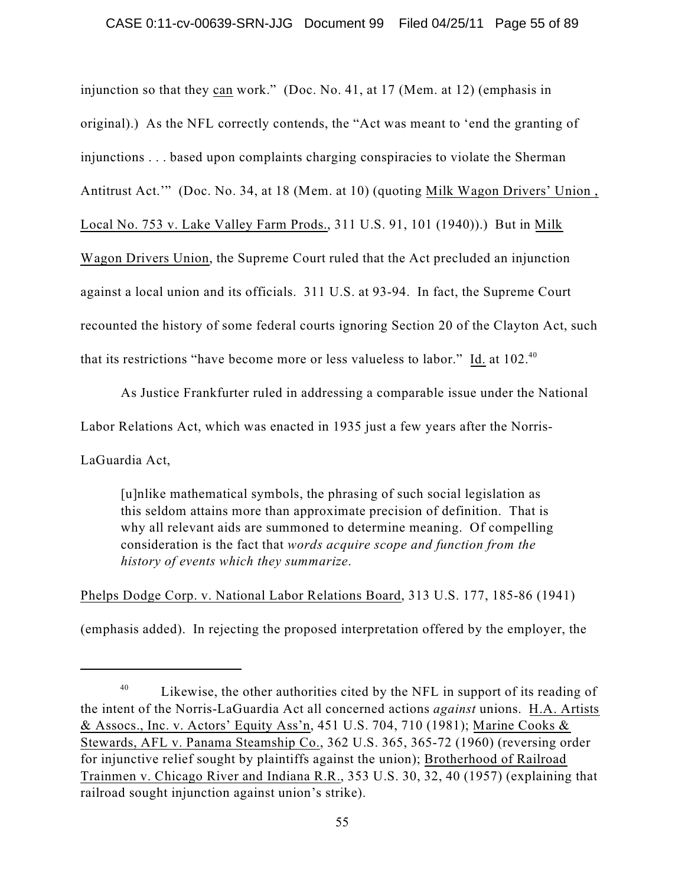injunction so that they can work." (Doc. No. 41, at 17 (Mem. at 12) (emphasis in original).) As the NFL correctly contends, the "Act was meant to 'end the granting of injunctions . . . based upon complaints charging conspiracies to violate the Sherman Antitrust Act.'" (Doc. No. 34, at 18 (Mem. at 10) (quoting Milk Wagon Drivers' Union , Local No. 753 v. Lake Valley Farm Prods., 311 U.S. 91, 101 (1940)).) But in Milk Wagon Drivers Union, the Supreme Court ruled that the Act precluded an injunction against a local union and its officials. 311 U.S. at 93-94. In fact, the Supreme Court recounted the history of some federal courts ignoring Section 20 of the Clayton Act, such that its restrictions "have become more or less valueless to labor." Id. at  $102.^{40}$ 

As Justice Frankfurter ruled in addressing a comparable issue under the National

Labor Relations Act, which was enacted in 1935 just a few years after the Norris-

LaGuardia Act,

[u]nlike mathematical symbols, the phrasing of such social legislation as this seldom attains more than approximate precision of definition. That is why all relevant aids are summoned to determine meaning. Of compelling consideration is the fact that *words acquire scope and function from the history of events which they summarize*.

Phelps Dodge Corp. v. National Labor Relations Board, 313 U.S. 177, 185-86 (1941)

(emphasis added). In rejecting the proposed interpretation offered by the employer, the

Likewise, the other authorities cited by the NFL in support of its reading of 40 the intent of the Norris-LaGuardia Act all concerned actions *against* unions. H.A. Artists & Assocs., Inc. v. Actors' Equity Ass'n, 451 U.S. 704, 710 (1981); Marine Cooks & Stewards, AFL v. Panama Steamship Co., 362 U.S. 365, 365-72 (1960) (reversing order for injunctive relief sought by plaintiffs against the union); Brotherhood of Railroad Trainmen v. Chicago River and Indiana R.R., 353 U.S. 30, 32, 40 (1957) (explaining that railroad sought injunction against union's strike).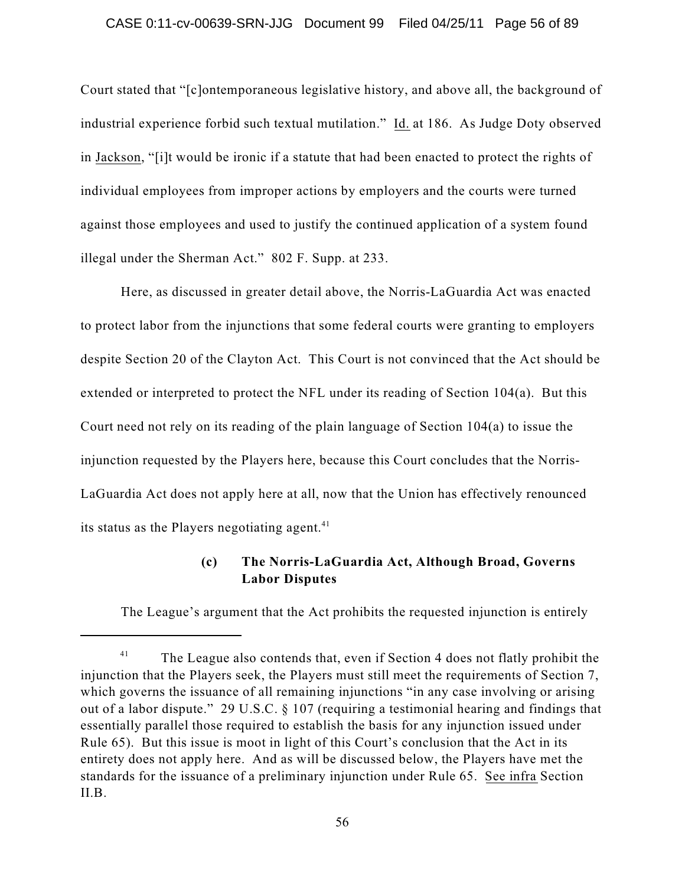## CASE 0:11-cv-00639-SRN-JJG Document 99 Filed 04/25/11 Page 56 of 89

Court stated that "[c]ontemporaneous legislative history, and above all, the background of industrial experience forbid such textual mutilation." Id. at 186. As Judge Doty observed in Jackson, "[i]t would be ironic if a statute that had been enacted to protect the rights of individual employees from improper actions by employers and the courts were turned against those employees and used to justify the continued application of a system found illegal under the Sherman Act." 802 F. Supp. at 233.

Here, as discussed in greater detail above, the Norris-LaGuardia Act was enacted to protect labor from the injunctions that some federal courts were granting to employers despite Section 20 of the Clayton Act. This Court is not convinced that the Act should be extended or interpreted to protect the NFL under its reading of Section 104(a). But this Court need not rely on its reading of the plain language of Section 104(a) to issue the injunction requested by the Players here, because this Court concludes that the Norris-LaGuardia Act does not apply here at all, now that the Union has effectively renounced its status as the Players negotiating agent.<sup>41</sup>

## **(c) The Norris-LaGuardia Act, Although Broad, Governs Labor Disputes**

The League's argument that the Act prohibits the requested injunction is entirely

The League also contends that, even if Section 4 does not flatly prohibit the 41 injunction that the Players seek, the Players must still meet the requirements of Section 7, which governs the issuance of all remaining injunctions "in any case involving or arising out of a labor dispute." 29 U.S.C. § 107 (requiring a testimonial hearing and findings that essentially parallel those required to establish the basis for any injunction issued under Rule 65). But this issue is moot in light of this Court's conclusion that the Act in its entirety does not apply here. And as will be discussed below, the Players have met the standards for the issuance of a preliminary injunction under Rule 65. See infra Section II.B.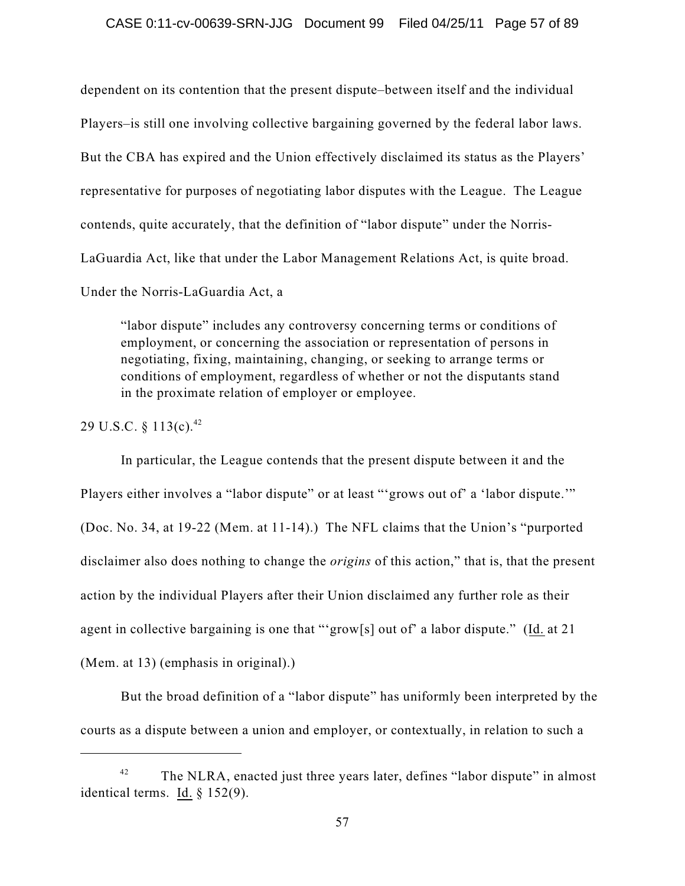dependent on its contention that the present dispute–between itself and the individual Players–is still one involving collective bargaining governed by the federal labor laws. But the CBA has expired and the Union effectively disclaimed its status as the Players' representative for purposes of negotiating labor disputes with the League. The League contends, quite accurately, that the definition of "labor dispute" under the Norris-LaGuardia Act, like that under the Labor Management Relations Act, is quite broad. Under the Norris-LaGuardia Act, a

"labor dispute" includes any controversy concerning terms or conditions of employment, or concerning the association or representation of persons in negotiating, fixing, maintaining, changing, or seeking to arrange terms or conditions of employment, regardless of whether or not the disputants stand in the proximate relation of employer or employee.

29 U.S.C. § 113(c). 42

In particular, the League contends that the present dispute between it and the Players either involves a "labor dispute" or at least "'grows out of' a 'labor dispute.'" (Doc. No. 34, at 19-22 (Mem. at 11-14).) The NFL claims that the Union's "purported disclaimer also does nothing to change the *origins* of this action," that is, that the present action by the individual Players after their Union disclaimed any further role as their agent in collective bargaining is one that "'grow[s] out of' a labor dispute." (Id. at 21 (Mem. at 13) (emphasis in original).)

But the broad definition of a "labor dispute" has uniformly been interpreted by the courts as a dispute between a union and employer, or contextually, in relation to such a

The NLRA, enacted just three years later, defines "labor dispute" in almost 42 identical terms. Id. § 152(9).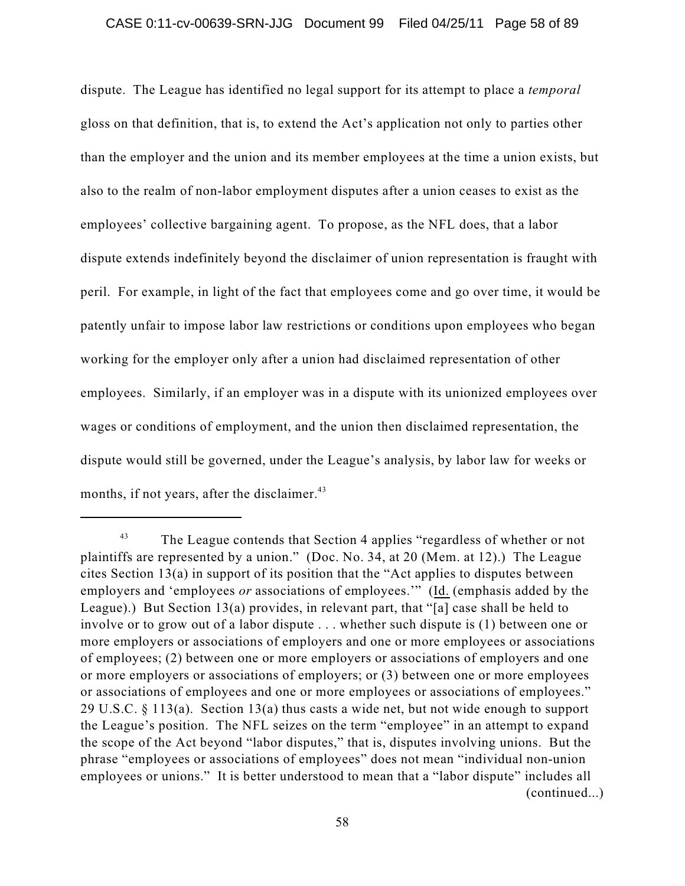dispute. The League has identified no legal support for its attempt to place a *temporal* gloss on that definition, that is, to extend the Act's application not only to parties other than the employer and the union and its member employees at the time a union exists, but also to the realm of non-labor employment disputes after a union ceases to exist as the employees' collective bargaining agent. To propose, as the NFL does, that a labor dispute extends indefinitely beyond the disclaimer of union representation is fraught with peril. For example, in light of the fact that employees come and go over time, it would be patently unfair to impose labor law restrictions or conditions upon employees who began working for the employer only after a union had disclaimed representation of other employees. Similarly, if an employer was in a dispute with its unionized employees over wages or conditions of employment, and the union then disclaimed representation, the dispute would still be governed, under the League's analysis, by labor law for weeks or months, if not years, after the disclaimer.<sup>43</sup>

The League contends that Section 4 applies "regardless of whether or not 43 plaintiffs are represented by a union." (Doc. No. 34, at 20 (Mem. at 12).) The League cites Section 13(a) in support of its position that the "Act applies to disputes between employers and 'employees *or* associations of employees.'" (Id. (emphasis added by the League).) But Section 13(a) provides, in relevant part, that "[a] case shall be held to involve or to grow out of a labor dispute . . . whether such dispute is (1) between one or more employers or associations of employers and one or more employees or associations of employees; (2) between one or more employers or associations of employers and one or more employers or associations of employers; or (3) between one or more employees or associations of employees and one or more employees or associations of employees." 29 U.S.C. § 113(a). Section 13(a) thus casts a wide net, but not wide enough to support the League's position. The NFL seizes on the term "employee" in an attempt to expand the scope of the Act beyond "labor disputes," that is, disputes involving unions. But the phrase "employees or associations of employees" does not mean "individual non-union employees or unions." It is better understood to mean that a "labor dispute" includes all (continued...)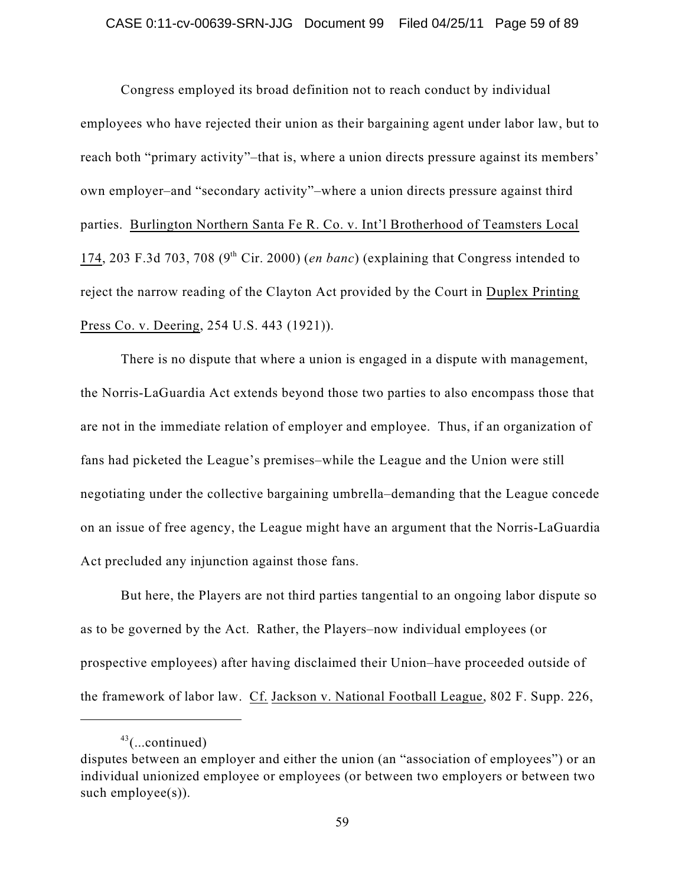### CASE 0:11-cv-00639-SRN-JJG Document 99 Filed 04/25/11 Page 59 of 89

Congress employed its broad definition not to reach conduct by individual employees who have rejected their union as their bargaining agent under labor law, but to reach both "primary activity"–that is, where a union directs pressure against its members' own employer–and "secondary activity"–where a union directs pressure against third parties. Burlington Northern Santa Fe R. Co. v. Int'l Brotherhood of Teamsters Local 174, 203 F.3d 703, 708 ( $9<sup>th</sup>$  Cir. 2000) (*en banc*) (explaining that Congress intended to reject the narrow reading of the Clayton Act provided by the Court in Duplex Printing Press Co. v. Deering, 254 U.S. 443 (1921)).

There is no dispute that where a union is engaged in a dispute with management, the Norris-LaGuardia Act extends beyond those two parties to also encompass those that are not in the immediate relation of employer and employee. Thus, if an organization of fans had picketed the League's premises–while the League and the Union were still negotiating under the collective bargaining umbrella–demanding that the League concede on an issue of free agency, the League might have an argument that the Norris-LaGuardia Act precluded any injunction against those fans.

But here, the Players are not third parties tangential to an ongoing labor dispute so as to be governed by the Act. Rather, the Players–now individual employees (or prospective employees) after having disclaimed their Union–have proceeded outside of the framework of labor law. Cf. Jackson v. National Football League, 802 F. Supp. 226,

 $43$ (...continued)

disputes between an employer and either the union (an "association of employees") or an individual unionized employee or employees (or between two employers or between two such employee(s)).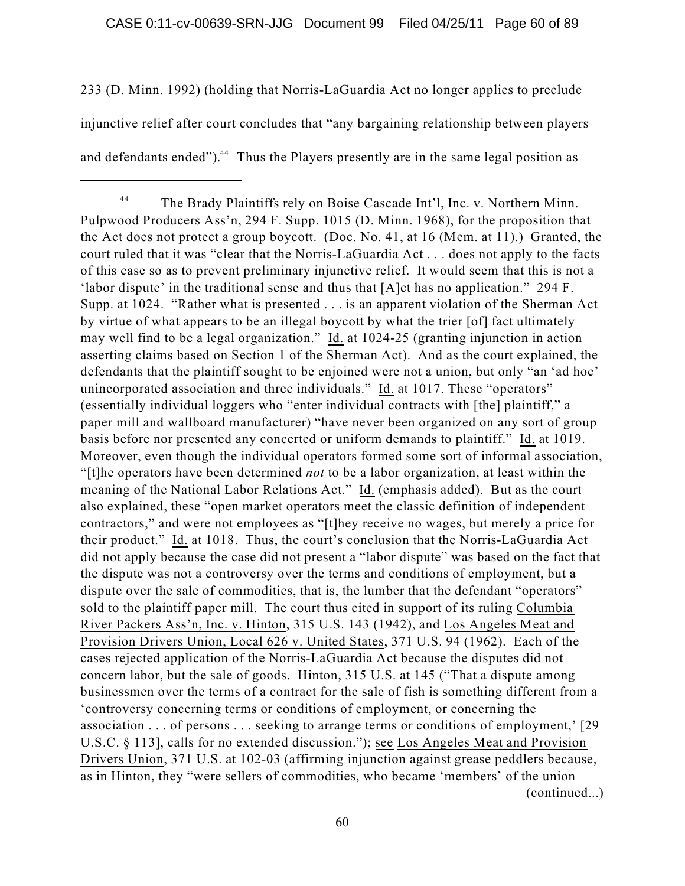233 (D. Minn. 1992) (holding that Norris-LaGuardia Act no longer applies to preclude injunctive relief after court concludes that "any bargaining relationship between players and defendants ended"). $44$  Thus the Players presently are in the same legal position as

The Brady Plaintiffs rely on Boise Cascade Int'l, Inc. v. Northern Minn. 44 Pulpwood Producers Ass'n, 294 F. Supp. 1015 (D. Minn. 1968), for the proposition that the Act does not protect a group boycott. (Doc. No. 41, at 16 (Mem. at 11).) Granted, the court ruled that it was "clear that the Norris-LaGuardia Act . . . does not apply to the facts of this case so as to prevent preliminary injunctive relief. It would seem that this is not a 'labor dispute' in the traditional sense and thus that [A]ct has no application." 294 F. Supp. at 1024. "Rather what is presented . . . is an apparent violation of the Sherman Act by virtue of what appears to be an illegal boycott by what the trier [of] fact ultimately may well find to be a legal organization." Id. at 1024-25 (granting injunction in action asserting claims based on Section 1 of the Sherman Act). And as the court explained, the defendants that the plaintiff sought to be enjoined were not a union, but only "an 'ad hoc' unincorporated association and three individuals." Id. at 1017. These "operators" (essentially individual loggers who "enter individual contracts with [the] plaintiff," a paper mill and wallboard manufacturer) "have never been organized on any sort of group basis before nor presented any concerted or uniform demands to plaintiff." Id. at 1019. Moreover, even though the individual operators formed some sort of informal association, "[t]he operators have been determined *not* to be a labor organization, at least within the meaning of the National Labor Relations Act." Id. (emphasis added). But as the court also explained, these "open market operators meet the classic definition of independent contractors," and were not employees as "[t]hey receive no wages, but merely a price for their product." Id. at 1018. Thus, the court's conclusion that the Norris-LaGuardia Act did not apply because the case did not present a "labor dispute" was based on the fact that the dispute was not a controversy over the terms and conditions of employment, but a dispute over the sale of commodities, that is, the lumber that the defendant "operators" sold to the plaintiff paper mill. The court thus cited in support of its ruling Columbia River Packers Ass'n, Inc. v. Hinton, 315 U.S. 143 (1942), and Los Angeles Meat and Provision Drivers Union, Local 626 v. United States, 371 U.S. 94 (1962). Each of the cases rejected application of the Norris-LaGuardia Act because the disputes did not concern labor, but the sale of goods. Hinton, 315 U.S. at 145 ("That a dispute among businessmen over the terms of a contract for the sale of fish is something different from a 'controversy concerning terms or conditions of employment, or concerning the association . . . of persons . . . seeking to arrange terms or conditions of employment,' [29 U.S.C. § 113], calls for no extended discussion."); see Los Angeles Meat and Provision Drivers Union, 371 U.S. at 102-03 (affirming injunction against grease peddlers because, as in Hinton, they "were sellers of commodities, who became 'members' of the union (continued...)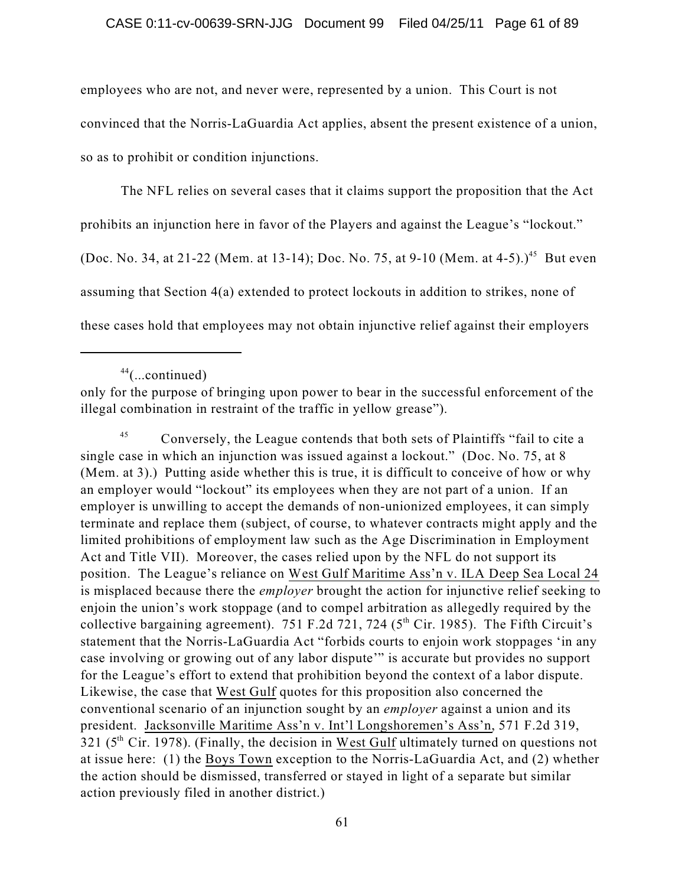employees who are not, and never were, represented by a union. This Court is not convinced that the Norris-LaGuardia Act applies, absent the present existence of a union, so as to prohibit or condition injunctions.

The NFL relies on several cases that it claims support the proposition that the Act prohibits an injunction here in favor of the Players and against the League's "lockout." (Doc. No. 34, at 21-22 (Mem. at 13-14); Doc. No. 75, at 9-10 (Mem. at 4-5).)<sup>45</sup> But even assuming that Section 4(a) extended to protect lockouts in addition to strikes, none of these cases hold that employees may not obtain injunctive relief against their employers

only for the purpose of bringing upon power to bear in the successful enforcement of the illegal combination in restraint of the traffic in yellow grease").

Conversely, the League contends that both sets of Plaintiffs "fail to cite a 45 single case in which an injunction was issued against a lockout." (Doc. No. 75, at 8 (Mem. at 3).) Putting aside whether this is true, it is difficult to conceive of how or why an employer would "lockout" its employees when they are not part of a union. If an employer is unwilling to accept the demands of non-unionized employees, it can simply terminate and replace them (subject, of course, to whatever contracts might apply and the limited prohibitions of employment law such as the Age Discrimination in Employment Act and Title VII). Moreover, the cases relied upon by the NFL do not support its position. The League's reliance on West Gulf Maritime Ass'n v. ILA Deep Sea Local 24 is misplaced because there the *employer* brought the action for injunctive relief seeking to enjoin the union's work stoppage (and to compel arbitration as allegedly required by the collective bargaining agreement). 751 F.2d 721, 724 ( $5<sup>th</sup>$  Cir. 1985). The Fifth Circuit's statement that the Norris-LaGuardia Act "forbids courts to enjoin work stoppages 'in any case involving or growing out of any labor dispute'" is accurate but provides no support for the League's effort to extend that prohibition beyond the context of a labor dispute. Likewise, the case that West Gulf quotes for this proposition also concerned the conventional scenario of an injunction sought by an *employer* against a union and its president. Jacksonville Maritime Ass'n v. Int'l Longshoremen's Ass'n, 571 F.2d 319, 321 ( $5<sup>th</sup>$  Cir. 1978). (Finally, the decision in West Gulf ultimately turned on questions not at issue here: (1) the Boys Town exception to the Norris-LaGuardia Act, and (2) whether the action should be dismissed, transferred or stayed in light of a separate but similar action previously filed in another district.)

 $44$ (...continued)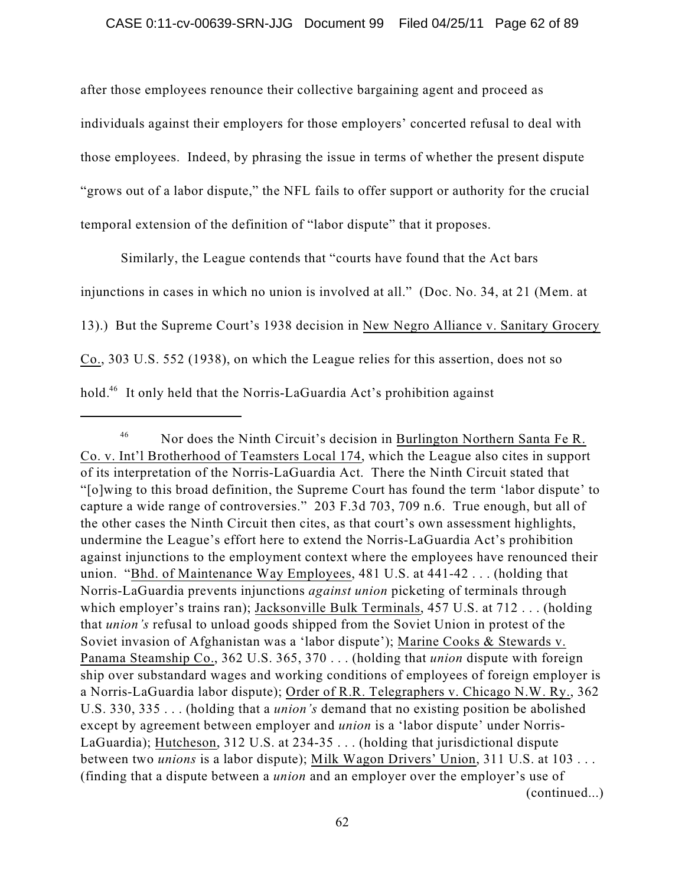after those employees renounce their collective bargaining agent and proceed as individuals against their employers for those employers' concerted refusal to deal with those employees. Indeed, by phrasing the issue in terms of whether the present dispute "grows out of a labor dispute," the NFL fails to offer support or authority for the crucial temporal extension of the definition of "labor dispute" that it proposes.

Similarly, the League contends that "courts have found that the Act bars injunctions in cases in which no union is involved at all." (Doc. No. 34, at 21 (Mem. at 13).) But the Supreme Court's 1938 decision in New Negro Alliance v. Sanitary Grocery Co., 303 U.S. 552 (1938), on which the League relies for this assertion, does not so hold.<sup>46</sup> It only held that the Norris-LaGuardia Act's prohibition against

Nor does the Ninth Circuit's decision in Burlington Northern Santa Fe R. 46 Co. v. Int'l Brotherhood of Teamsters Local 174, which the League also cites in support of its interpretation of the Norris-LaGuardia Act. There the Ninth Circuit stated that "[o]wing to this broad definition, the Supreme Court has found the term 'labor dispute' to capture a wide range of controversies." 203 F.3d 703, 709 n.6. True enough, but all of the other cases the Ninth Circuit then cites, as that court's own assessment highlights, undermine the League's effort here to extend the Norris-LaGuardia Act's prohibition against injunctions to the employment context where the employees have renounced their union. "Bhd. of Maintenance Way Employees, 481 U.S. at 441-42 . . . (holding that Norris-LaGuardia prevents injunctions *against union* picketing of terminals through which employer's trains ran); Jacksonville Bulk Terminals, 457 U.S. at 712 . . . (holding that *union's* refusal to unload goods shipped from the Soviet Union in protest of the Soviet invasion of Afghanistan was a 'labor dispute'); Marine Cooks & Stewards v. Panama Steamship Co., 362 U.S. 365, 370 . . . (holding that *union* dispute with foreign ship over substandard wages and working conditions of employees of foreign employer is a Norris-LaGuardia labor dispute); Order of R.R. Telegraphers v. Chicago N.W. Ry., 362 U.S. 330, 335 . . . (holding that a *union's* demand that no existing position be abolished except by agreement between employer and *union* is a 'labor dispute' under Norris-LaGuardia); Hutcheson, 312 U.S. at 234-35 . . . (holding that jurisdictional dispute between two *unions* is a labor dispute); Milk Wagon Drivers' Union, 311 U.S. at 103 . . . (finding that a dispute between a *union* and an employer over the employer's use of (continued...)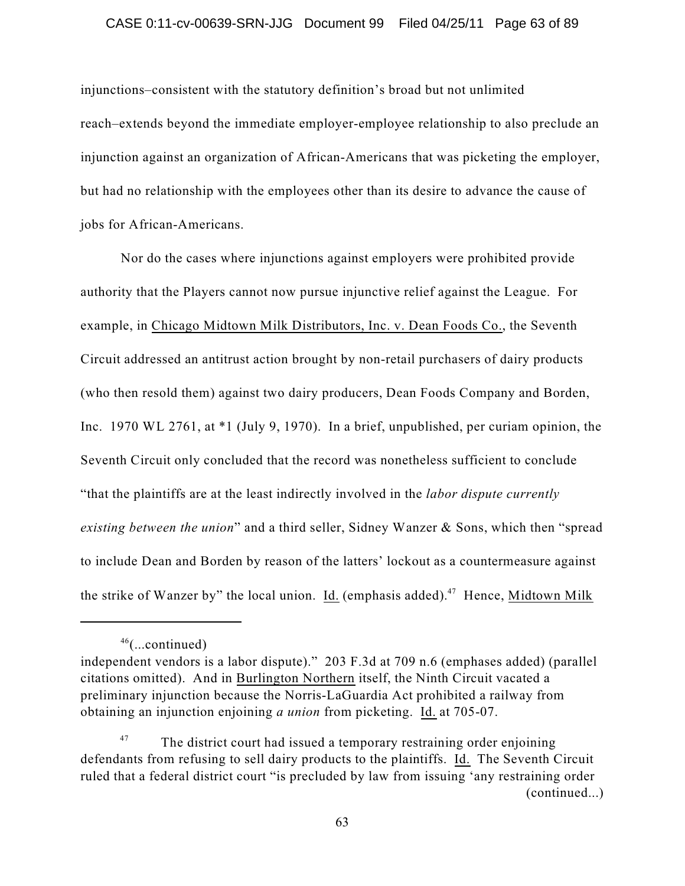### CASE 0:11-cv-00639-SRN-JJG Document 99 Filed 04/25/11 Page 63 of 89

injunctions–consistent with the statutory definition's broad but not unlimited reach–extends beyond the immediate employer-employee relationship to also preclude an injunction against an organization of African-Americans that was picketing the employer, but had no relationship with the employees other than its desire to advance the cause of jobs for African-Americans.

Nor do the cases where injunctions against employers were prohibited provide authority that the Players cannot now pursue injunctive relief against the League. For example, in Chicago Midtown Milk Distributors, Inc. v. Dean Foods Co., the Seventh Circuit addressed an antitrust action brought by non-retail purchasers of dairy products (who then resold them) against two dairy producers, Dean Foods Company and Borden, Inc. 1970 WL 2761, at \*1 (July 9, 1970). In a brief, unpublished, per curiam opinion, the Seventh Circuit only concluded that the record was nonetheless sufficient to conclude "that the plaintiffs are at the least indirectly involved in the *labor dispute currently existing between the union*" and a third seller, Sidney Wanzer & Sons, which then "spread to include Dean and Borden by reason of the latters' lockout as a countermeasure against the strike of Wanzer by" the local union. Id. (emphasis added).<sup>47</sup> Hence, Midtown Milk

 $46$ (...continued)

independent vendors is a labor dispute)." 203 F.3d at 709 n.6 (emphases added) (parallel citations omitted). And in Burlington Northern itself, the Ninth Circuit vacated a preliminary injunction because the Norris-LaGuardia Act prohibited a railway from obtaining an injunction enjoining *a union* from picketing. Id. at 705-07.

The district court had issued a temporary restraining order enjoining 47 defendants from refusing to sell dairy products to the plaintiffs. Id. The Seventh Circuit ruled that a federal district court "is precluded by law from issuing 'any restraining order (continued...)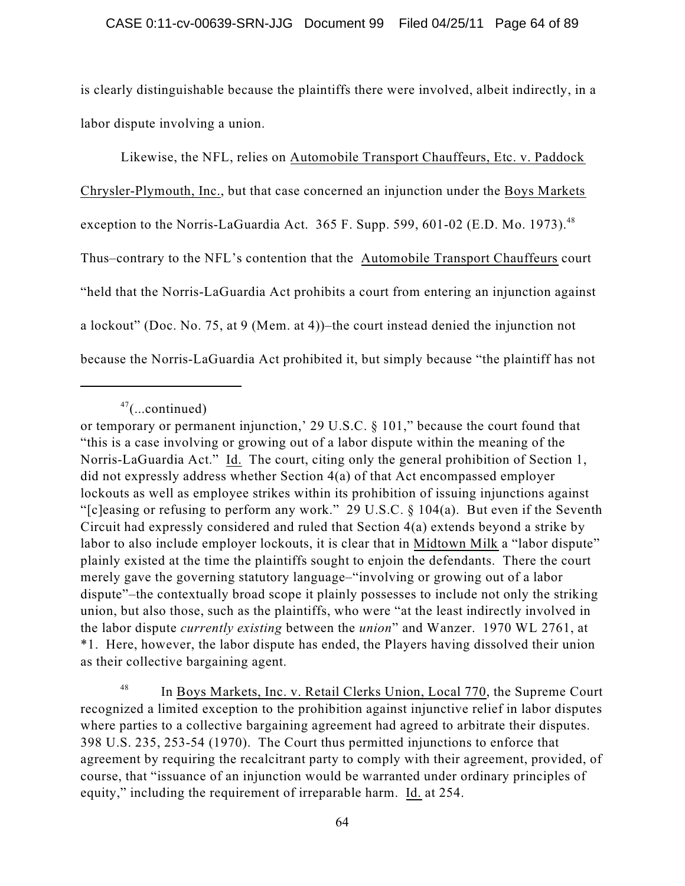is clearly distinguishable because the plaintiffs there were involved, albeit indirectly, in a labor dispute involving a union.

Likewise, the NFL, relies on Automobile Transport Chauffeurs, Etc. v. Paddock Chrysler-Plymouth, Inc., but that case concerned an injunction under the Boys Markets exception to the Norris-LaGuardia Act. 365 F. Supp. 599, 601-02 (E.D. Mo. 1973).<sup>48</sup> Thus–contrary to the NFL's contention that the Automobile Transport Chauffeurs court "held that the Norris-LaGuardia Act prohibits a court from entering an injunction against a lockout" (Doc. No. 75, at 9 (Mem. at 4))–the court instead denied the injunction not because the Norris-LaGuardia Act prohibited it, but simply because "the plaintiff has not

 $47$ (...continued)

or temporary or permanent injunction,' 29 U.S.C. § 101," because the court found that "this is a case involving or growing out of a labor dispute within the meaning of the Norris-LaGuardia Act." Id. The court, citing only the general prohibition of Section 1, did not expressly address whether Section 4(a) of that Act encompassed employer lockouts as well as employee strikes within its prohibition of issuing injunctions against "[c]easing or refusing to perform any work." 29 U.S.C. § 104(a). But even if the Seventh Circuit had expressly considered and ruled that Section 4(a) extends beyond a strike by labor to also include employer lockouts, it is clear that in Midtown Milk a "labor dispute" plainly existed at the time the plaintiffs sought to enjoin the defendants. There the court merely gave the governing statutory language–"involving or growing out of a labor dispute"–the contextually broad scope it plainly possesses to include not only the striking union, but also those, such as the plaintiffs, who were "at the least indirectly involved in the labor dispute *currently existing* between the *union*" and Wanzer. 1970 WL 2761, at \*1. Here, however, the labor dispute has ended, the Players having dissolved their union as their collective bargaining agent.

In Boys Markets, Inc. v. Retail Clerks Union, Local 770, the Supreme Court 48 recognized a limited exception to the prohibition against injunctive relief in labor disputes where parties to a collective bargaining agreement had agreed to arbitrate their disputes. 398 U.S. 235, 253-54 (1970). The Court thus permitted injunctions to enforce that agreement by requiring the recalcitrant party to comply with their agreement, provided, of course, that "issuance of an injunction would be warranted under ordinary principles of equity," including the requirement of irreparable harm. Id. at 254.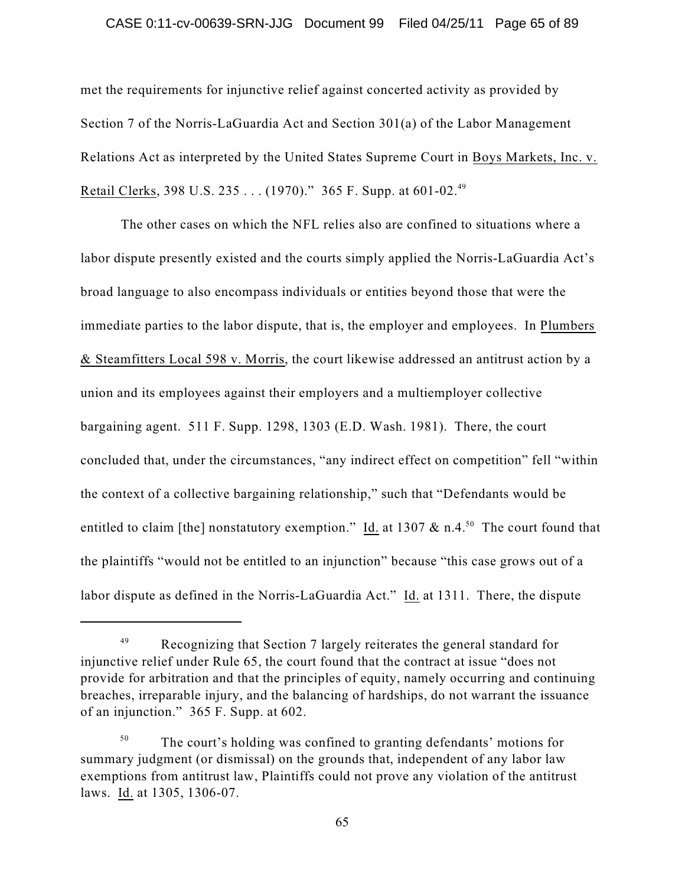### CASE 0:11-cv-00639-SRN-JJG Document 99 Filed 04/25/11 Page 65 of 89

met the requirements for injunctive relief against concerted activity as provided by Section 7 of the Norris-LaGuardia Act and Section 301(a) of the Labor Management Relations Act as interpreted by the United States Supreme Court in Boys Markets, Inc. v. Retail Clerks, 398 U.S. 235 . . . (1970)." 365 F. Supp. at 601-02.<sup>49</sup>

The other cases on which the NFL relies also are confined to situations where a labor dispute presently existed and the courts simply applied the Norris-LaGuardia Act's broad language to also encompass individuals or entities beyond those that were the immediate parties to the labor dispute, that is, the employer and employees. In Plumbers & Steamfitters Local 598 v. Morris, the court likewise addressed an antitrust action by a union and its employees against their employers and a multiemployer collective bargaining agent. 511 F. Supp. 1298, 1303 (E.D. Wash. 1981). There, the court concluded that, under the circumstances, "any indirect effect on competition" fell "within the context of a collective bargaining relationship," such that "Defendants would be entitled to claim [the] nonstatutory exemption."  $\underline{Id}$  at 1307 & n.4.<sup>50</sup> The court found that the plaintiffs "would not be entitled to an injunction" because "this case grows out of a labor dispute as defined in the Norris-LaGuardia Act." Id. at 1311. There, the dispute

Recognizing that Section 7 largely reiterates the general standard for 49 injunctive relief under Rule 65, the court found that the contract at issue "does not provide for arbitration and that the principles of equity, namely occurring and continuing breaches, irreparable injury, and the balancing of hardships, do not warrant the issuance of an injunction." 365 F. Supp. at 602.

The court's holding was confined to granting defendants' motions for 50 summary judgment (or dismissal) on the grounds that, independent of any labor law exemptions from antitrust law, Plaintiffs could not prove any violation of the antitrust laws. Id. at 1305, 1306-07.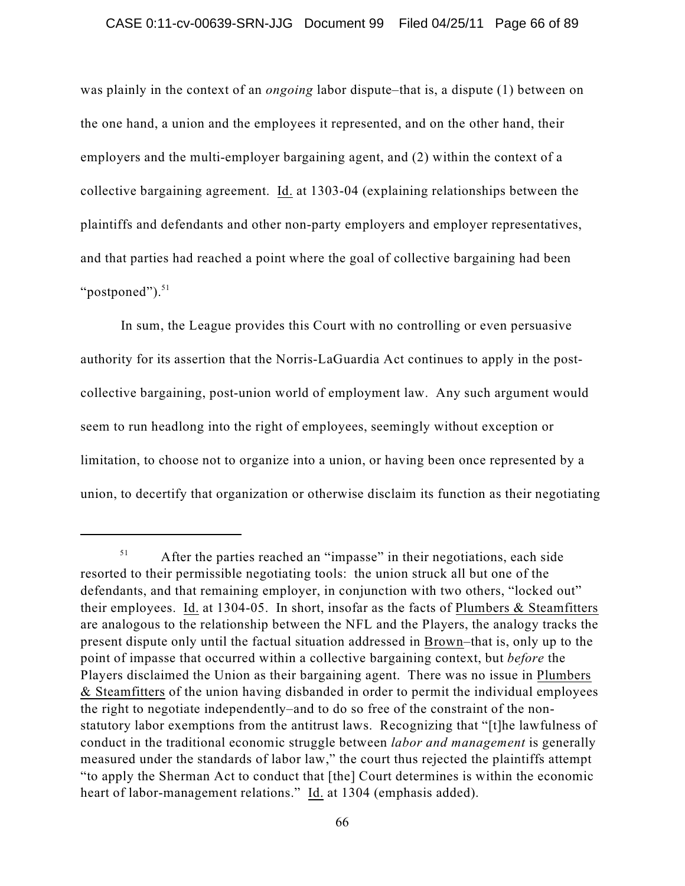was plainly in the context of an *ongoing* labor dispute–that is, a dispute (1) between on the one hand, a union and the employees it represented, and on the other hand, their employers and the multi-employer bargaining agent, and (2) within the context of a collective bargaining agreement. Id. at 1303-04 (explaining relationships between the plaintiffs and defendants and other non-party employers and employer representatives, and that parties had reached a point where the goal of collective bargaining had been "postponed").<sup>51</sup>

In sum, the League provides this Court with no controlling or even persuasive authority for its assertion that the Norris-LaGuardia Act continues to apply in the postcollective bargaining, post-union world of employment law. Any such argument would seem to run headlong into the right of employees, seemingly without exception or limitation, to choose not to organize into a union, or having been once represented by a union, to decertify that organization or otherwise disclaim its function as their negotiating

After the parties reached an "impasse" in their negotiations, each side 51 resorted to their permissible negotiating tools: the union struck all but one of the defendants, and that remaining employer, in conjunction with two others, "locked out" their employees. Id. at 1304-05. In short, insofar as the facts of Plumbers & Steamfitters are analogous to the relationship between the NFL and the Players, the analogy tracks the present dispute only until the factual situation addressed in Brown–that is, only up to the point of impasse that occurred within a collective bargaining context, but *before* the Players disclaimed the Union as their bargaining agent. There was no issue in Plumbers & Steamfitters of the union having disbanded in order to permit the individual employees the right to negotiate independently–and to do so free of the constraint of the nonstatutory labor exemptions from the antitrust laws. Recognizing that "[t]he lawfulness of conduct in the traditional economic struggle between *labor and management* is generally measured under the standards of labor law," the court thus rejected the plaintiffs attempt "to apply the Sherman Act to conduct that [the] Court determines is within the economic heart of labor-management relations." Id. at 1304 (emphasis added).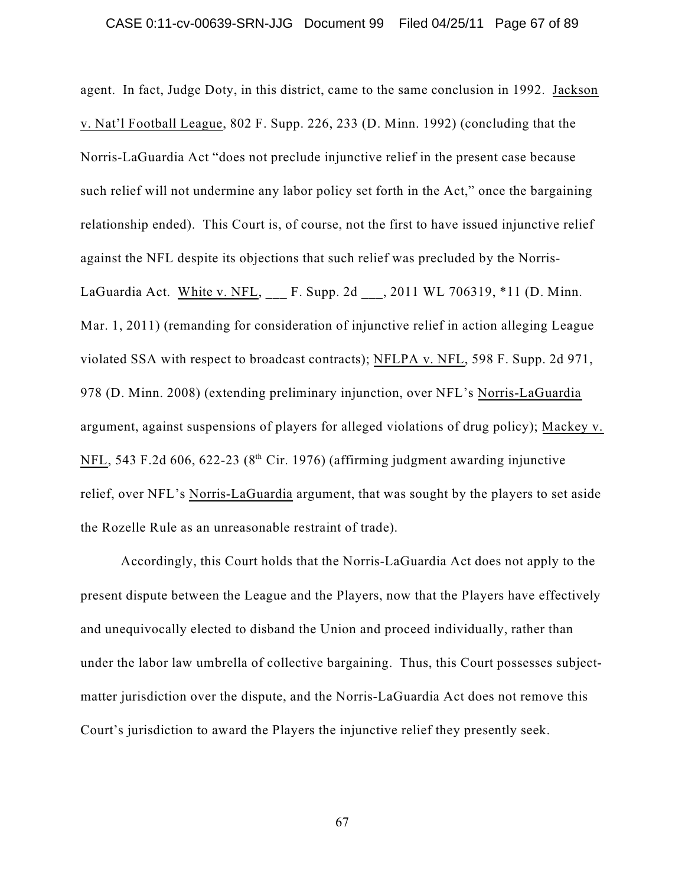### CASE 0:11-cv-00639-SRN-JJG Document 99 Filed 04/25/11 Page 67 of 89

agent. In fact, Judge Doty, in this district, came to the same conclusion in 1992. Jackson v. Nat'l Football League, 802 F. Supp. 226, 233 (D. Minn. 1992) (concluding that the Norris-LaGuardia Act "does not preclude injunctive relief in the present case because such relief will not undermine any labor policy set forth in the Act," once the bargaining relationship ended). This Court is, of course, not the first to have issued injunctive relief against the NFL despite its objections that such relief was precluded by the Norris-LaGuardia Act. White v. NFL, F. Supp. 2d , 2011 WL 706319, \*11 (D. Minn. Mar. 1, 2011) (remanding for consideration of injunctive relief in action alleging League violated SSA with respect to broadcast contracts); NFLPA v. NFL, 598 F. Supp. 2d 971, 978 (D. Minn. 2008) (extending preliminary injunction, over NFL's Norris-LaGuardia argument, against suspensions of players for alleged violations of drug policy); Mackey v.  $NFL$ , 543 F.2d 606, 622-23 ( $8<sup>th</sup>$  Cir. 1976) (affirming judgment awarding injunctive relief, over NFL's Norris-LaGuardia argument, that was sought by the players to set aside the Rozelle Rule as an unreasonable restraint of trade).

Accordingly, this Court holds that the Norris-LaGuardia Act does not apply to the present dispute between the League and the Players, now that the Players have effectively and unequivocally elected to disband the Union and proceed individually, rather than under the labor law umbrella of collective bargaining. Thus, this Court possesses subjectmatter jurisdiction over the dispute, and the Norris-LaGuardia Act does not remove this Court's jurisdiction to award the Players the injunctive relief they presently seek.

67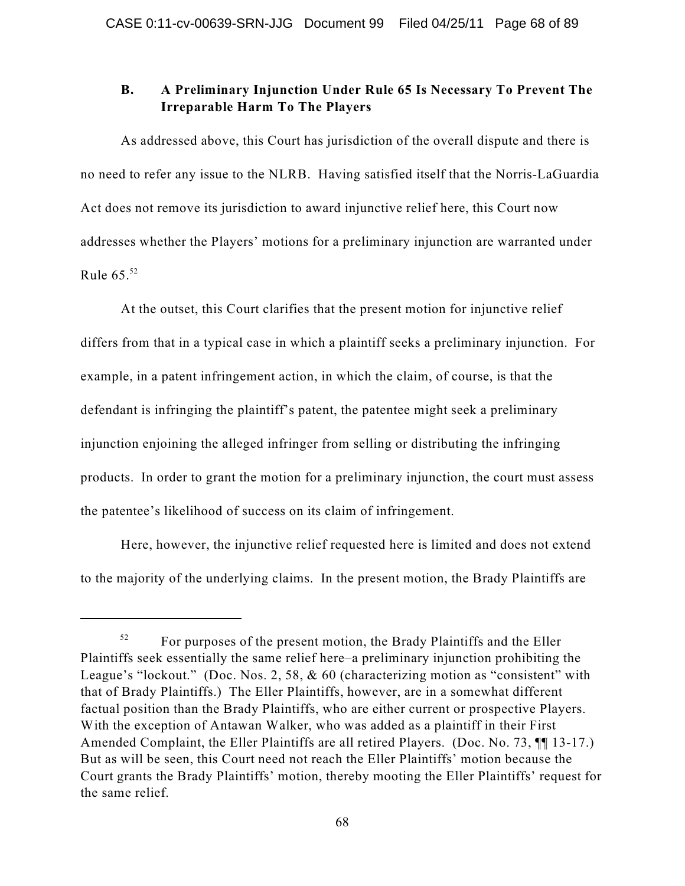# **B. A Preliminary Injunction Under Rule 65 Is Necessary To Prevent The Irreparable Harm To The Players**

As addressed above, this Court has jurisdiction of the overall dispute and there is no need to refer any issue to the NLRB. Having satisfied itself that the Norris-LaGuardia Act does not remove its jurisdiction to award injunctive relief here, this Court now addresses whether the Players' motions for a preliminary injunction are warranted under Rule  $65.^{52}$ 

At the outset, this Court clarifies that the present motion for injunctive relief differs from that in a typical case in which a plaintiff seeks a preliminary injunction. For example, in a patent infringement action, in which the claim, of course, is that the defendant is infringing the plaintiff's patent, the patentee might seek a preliminary injunction enjoining the alleged infringer from selling or distributing the infringing products. In order to grant the motion for a preliminary injunction, the court must assess the patentee's likelihood of success on its claim of infringement.

Here, however, the injunctive relief requested here is limited and does not extend to the majority of the underlying claims. In the present motion, the Brady Plaintiffs are

For purposes of the present motion, the Brady Plaintiffs and the Eller 52 Plaintiffs seek essentially the same relief here–a preliminary injunction prohibiting the League's "lockout." (Doc. Nos. 2, 58, & 60 (characterizing motion as "consistent" with that of Brady Plaintiffs.) The Eller Plaintiffs, however, are in a somewhat different factual position than the Brady Plaintiffs, who are either current or prospective Players. With the exception of Antawan Walker, who was added as a plaintiff in their First Amended Complaint, the Eller Plaintiffs are all retired Players. (Doc. No. 73, ¶¶ 13-17.) But as will be seen, this Court need not reach the Eller Plaintiffs' motion because the Court grants the Brady Plaintiffs' motion, thereby mooting the Eller Plaintiffs' request for the same relief.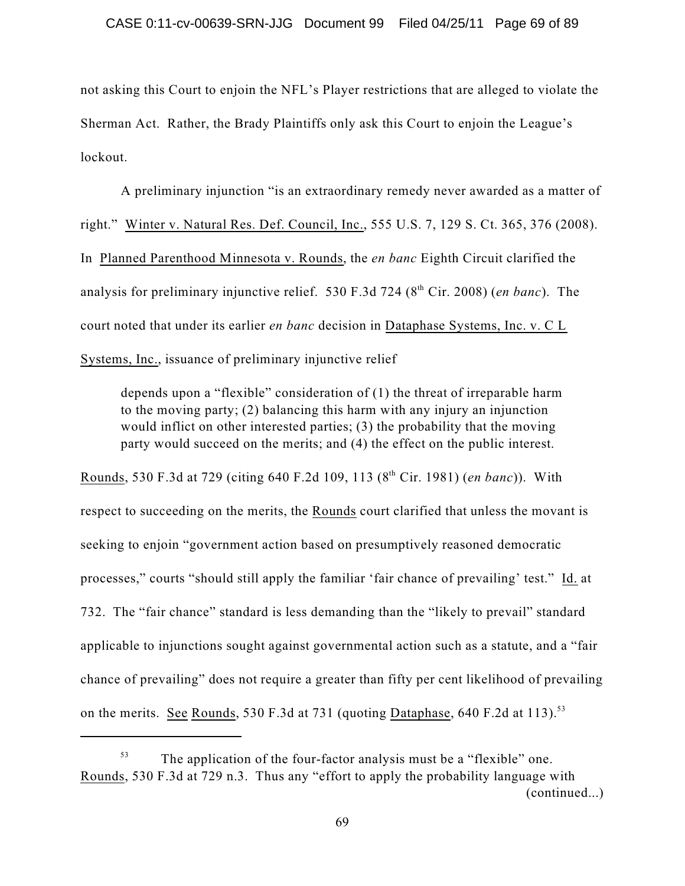not asking this Court to enjoin the NFL's Player restrictions that are alleged to violate the Sherman Act. Rather, the Brady Plaintiffs only ask this Court to enjoin the League's lockout.

A preliminary injunction "is an extraordinary remedy never awarded as a matter of right." Winter v. Natural Res. Def. Council, Inc., 555 U.S. 7, 129 S. Ct. 365, 376 (2008). In Planned Parenthood Minnesota v. Rounds, the *en banc* Eighth Circuit clarified the analysis for preliminary injunctive relief. 530 F.3d 724 (8<sup>th</sup> Cir. 2008) (*en banc*). The court noted that under its earlier *en banc* decision in Dataphase Systems, Inc. v. C L Systems, Inc., issuance of preliminary injunctive relief

depends upon a "flexible" consideration of (1) the threat of irreparable harm to the moving party; (2) balancing this harm with any injury an injunction would inflict on other interested parties; (3) the probability that the moving party would succeed on the merits; and (4) the effect on the public interest.

Rounds, 530 F.3d at 729 (citing 640 F.2d 109, 113 (8<sup>th</sup> Cir. 1981) (*en banc*)). With respect to succeeding on the merits, the Rounds court clarified that unless the movant is seeking to enjoin "government action based on presumptively reasoned democratic processes," courts "should still apply the familiar 'fair chance of prevailing' test." Id. at 732. The "fair chance" standard is less demanding than the "likely to prevail" standard applicable to injunctions sought against governmental action such as a statute, and a "fair chance of prevailing" does not require a greater than fifty per cent likelihood of prevailing on the merits. See Rounds, 530 F.3d at 731 (quoting Dataphase, 640 F.2d at 113).<sup>53</sup>

The application of the four-factor analysis must be a "flexible" one. 53 Rounds, 530 F.3d at 729 n.3. Thus any "effort to apply the probability language with (continued...)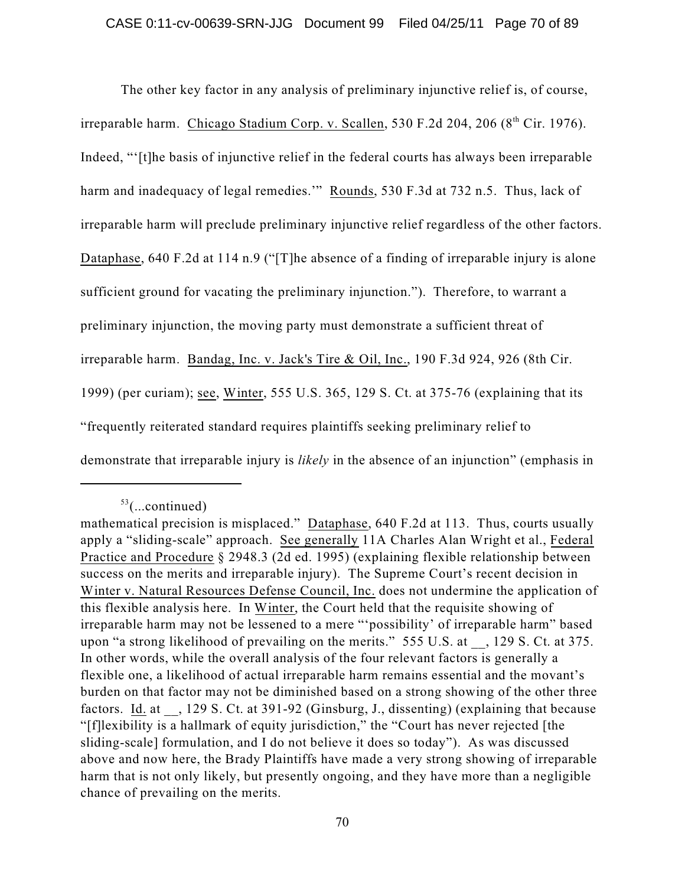The other key factor in any analysis of preliminary injunctive relief is, of course, irreparable harm. Chicago Stadium Corp. v. Scallen, 530 F.2d 204, 206 (8th Cir. 1976). Indeed, "'[t]he basis of injunctive relief in the federal courts has always been irreparable harm and inadequacy of legal remedies." Rounds, 530 F.3d at 732 n.5. Thus, lack of irreparable harm will preclude preliminary injunctive relief regardless of the other factors. Dataphase, 640 F.2d at 114 n.9 ("[T]he absence of a finding of irreparable injury is alone sufficient ground for vacating the preliminary injunction."). Therefore, to warrant a preliminary injunction, the moving party must demonstrate a sufficient threat of irreparable harm. Bandag, Inc. v. Jack's Tire & Oil, Inc., 190 F.3d 924, 926 (8th Cir. 1999) (per curiam); see, Winter, 555 U.S. 365, 129 S. Ct. at 375-76 (explaining that its "frequently reiterated standard requires plaintiffs seeking preliminary relief to demonstrate that irreparable injury is *likely* in the absence of an injunction" (emphasis in

 $53$ (...continued)

mathematical precision is misplaced." Dataphase, 640 F.2d at 113. Thus, courts usually apply a "sliding-scale" approach. See generally 11A Charles Alan Wright et al., Federal Practice and Procedure § 2948.3 (2d ed. 1995) (explaining flexible relationship between success on the merits and irreparable injury). The Supreme Court's recent decision in Winter v. Natural Resources Defense Council, Inc. does not undermine the application of this flexible analysis here. In Winter, the Court held that the requisite showing of irreparable harm may not be lessened to a mere "'possibility' of irreparable harm" based upon "a strong likelihood of prevailing on the merits." 555 U.S. at \_\_, 129 S. Ct. at 375. In other words, while the overall analysis of the four relevant factors is generally a flexible one, a likelihood of actual irreparable harm remains essential and the movant's burden on that factor may not be diminished based on a strong showing of the other three factors. Id. at \, 129 S. Ct. at 391-92 (Ginsburg, J., dissenting) (explaining that because "[f]lexibility is a hallmark of equity jurisdiction," the "Court has never rejected [the sliding-scale] formulation, and I do not believe it does so today"). As was discussed above and now here, the Brady Plaintiffs have made a very strong showing of irreparable harm that is not only likely, but presently ongoing, and they have more than a negligible chance of prevailing on the merits.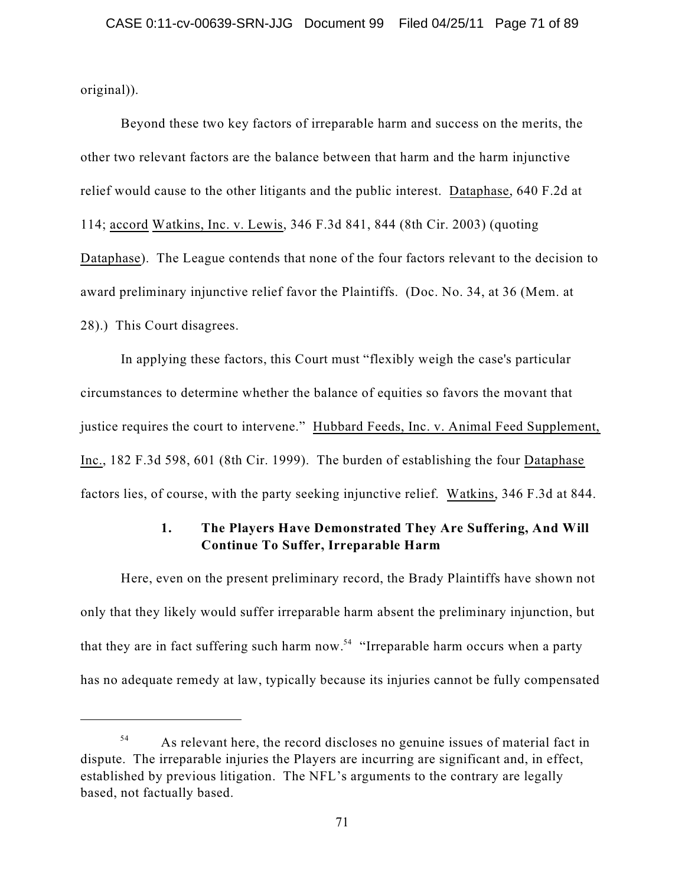original)).

Beyond these two key factors of irreparable harm and success on the merits, the other two relevant factors are the balance between that harm and the harm injunctive relief would cause to the other litigants and the public interest. Dataphase, 640 F.2d at 114; accord Watkins, Inc. v. Lewis, 346 F.3d 841, 844 (8th Cir. 2003) (quoting Dataphase). The League contends that none of the four factors relevant to the decision to award preliminary injunctive relief favor the Plaintiffs. (Doc. No. 34, at 36 (Mem. at 28).) This Court disagrees.

In applying these factors, this Court must "flexibly weigh the case's particular circumstances to determine whether the balance of equities so favors the movant that justice requires the court to intervene." Hubbard Feeds, Inc. v. Animal Feed Supplement, Inc., 182 F.3d 598, 601 (8th Cir. 1999). The burden of establishing the four Dataphase factors lies, of course, with the party seeking injunctive relief. Watkins, 346 F.3d at 844.

# **1. The Players Have Demonstrated They Are Suffering, And Will Continue To Suffer, Irreparable Harm**

Here, even on the present preliminary record, the Brady Plaintiffs have shown not only that they likely would suffer irreparable harm absent the preliminary injunction, but that they are in fact suffering such harm now.<sup>54</sup> "Irreparable harm occurs when a party has no adequate remedy at law, typically because its injuries cannot be fully compensated

As relevant here, the record discloses no genuine issues of material fact in 54 dispute. The irreparable injuries the Players are incurring are significant and, in effect, established by previous litigation. The NFL's arguments to the contrary are legally based, not factually based.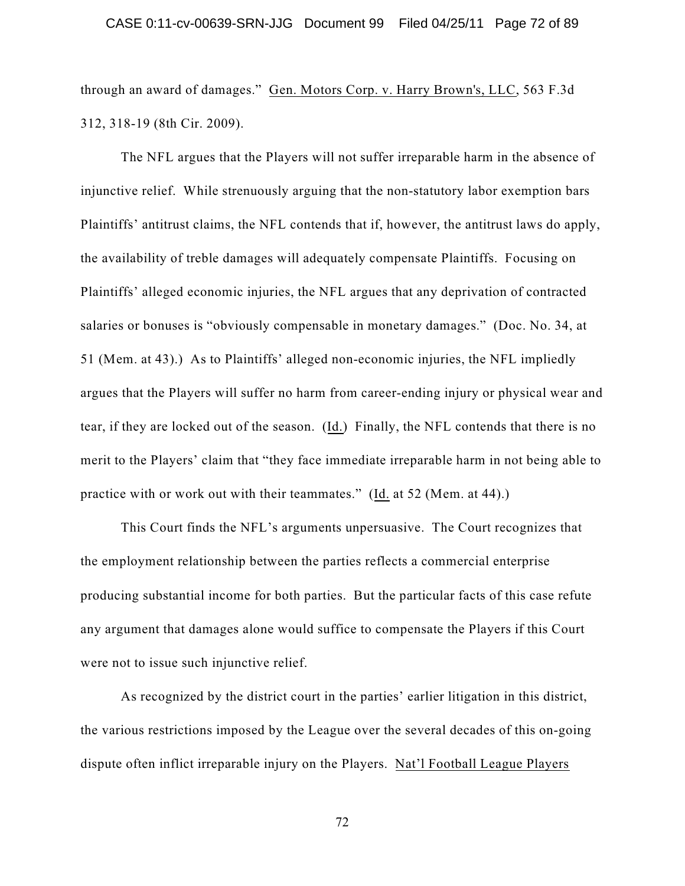through an award of damages." Gen. Motors Corp. v. Harry Brown's, LLC, 563 F.3d 312, 318-19 (8th Cir. 2009).

The NFL argues that the Players will not suffer irreparable harm in the absence of injunctive relief. While strenuously arguing that the non-statutory labor exemption bars Plaintiffs' antitrust claims, the NFL contends that if, however, the antitrust laws do apply, the availability of treble damages will adequately compensate Plaintiffs. Focusing on Plaintiffs' alleged economic injuries, the NFL argues that any deprivation of contracted salaries or bonuses is "obviously compensable in monetary damages." (Doc. No. 34, at 51 (Mem. at 43).) As to Plaintiffs' alleged non-economic injuries, the NFL impliedly argues that the Players will suffer no harm from career-ending injury or physical wear and tear, if they are locked out of the season. (Id.) Finally, the NFL contends that there is no merit to the Players' claim that "they face immediate irreparable harm in not being able to practice with or work out with their teammates." (Id. at 52 (Mem. at 44).)

This Court finds the NFL's arguments unpersuasive. The Court recognizes that the employment relationship between the parties reflects a commercial enterprise producing substantial income for both parties. But the particular facts of this case refute any argument that damages alone would suffice to compensate the Players if this Court were not to issue such injunctive relief.

As recognized by the district court in the parties' earlier litigation in this district, the various restrictions imposed by the League over the several decades of this on-going dispute often inflict irreparable injury on the Players. Nat'l Football League Players

72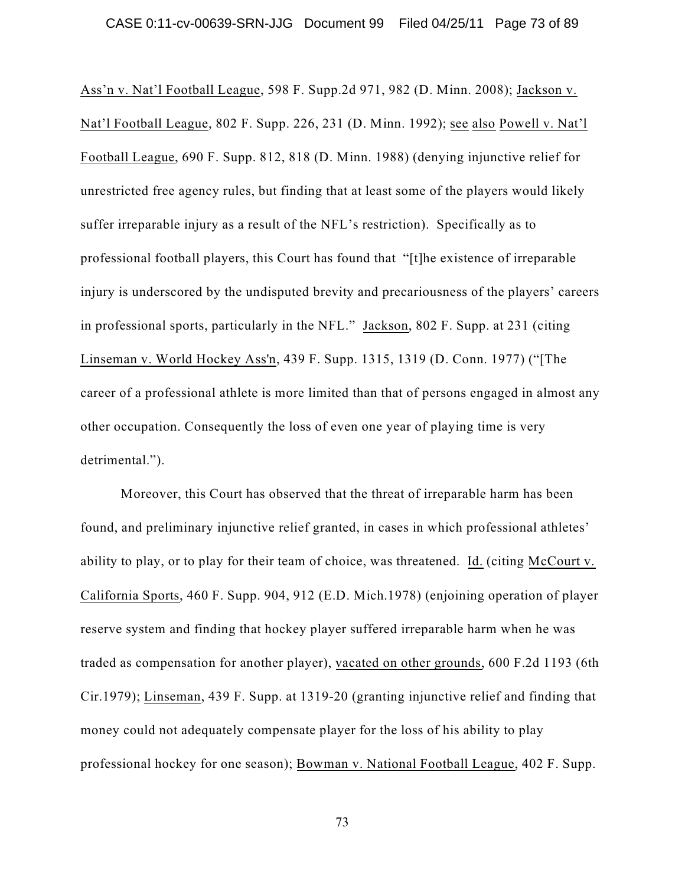Ass'n v. Nat'l Football League, 598 F. Supp.2d 971, 982 (D. Minn. 2008); Jackson v. Nat'l Football League, 802 F. Supp. 226, 231 (D. Minn. 1992); see also Powell v. Nat'l Football League, 690 F. Supp. 812, 818 (D. Minn. 1988) (denying injunctive relief for unrestricted free agency rules, but finding that at least some of the players would likely suffer irreparable injury as a result of the NFL's restriction). Specifically as to professional football players, this Court has found that "[t]he existence of irreparable injury is underscored by the undisputed brevity and precariousness of the players' careers in professional sports, particularly in the NFL." Jackson, 802 F. Supp. at 231 (citing Linseman v. World Hockey Ass'n, 439 F. Supp. 1315, 1319 (D. Conn. 1977) ("[The career of a professional athlete is more limited than that of persons engaged in almost any other occupation. Consequently the loss of even one year of playing time is very detrimental.").

Moreover, this Court has observed that the threat of irreparable harm has been found, and preliminary injunctive relief granted, in cases in which professional athletes' ability to play, or to play for their team of choice, was threatened. Id. (citing McCourt v. California Sports, 460 F. Supp. 904, 912 (E.D. Mich.1978) (enjoining operation of player reserve system and finding that hockey player suffered irreparable harm when he was traded as compensation for another player), vacated on other grounds, 600 F.2d 1193 (6th Cir.1979); Linseman, 439 F. Supp. at 1319-20 (granting injunctive relief and finding that money could not adequately compensate player for the loss of his ability to play professional hockey for one season); Bowman v. National Football League, 402 F. Supp.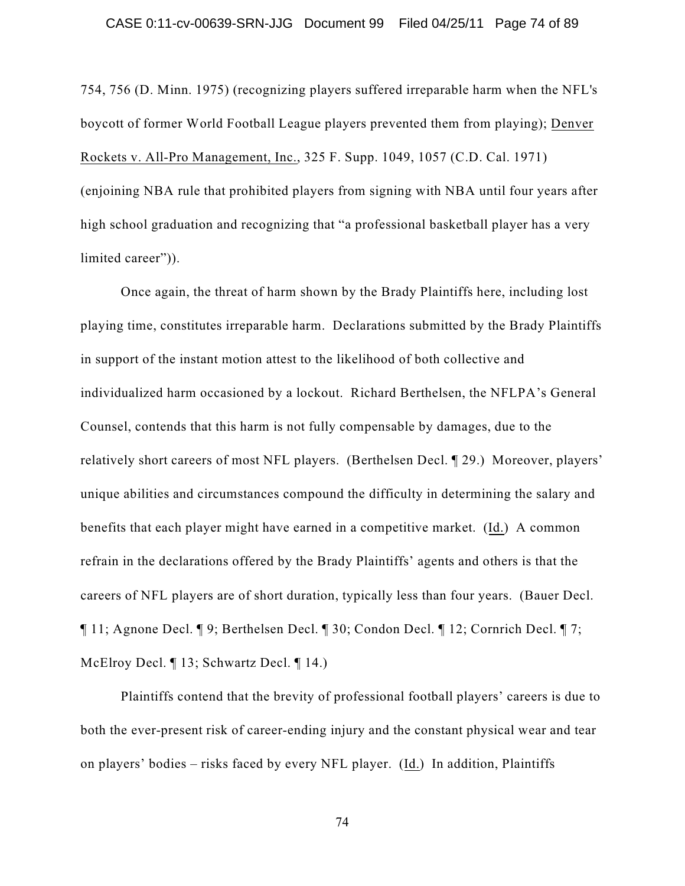754, 756 (D. Minn. 1975) (recognizing players suffered irreparable harm when the NFL's boycott of former World Football League players prevented them from playing); Denver Rockets v. All-Pro Management, Inc., 325 F. Supp. 1049, 1057 (C.D. Cal. 1971) (enjoining NBA rule that prohibited players from signing with NBA until four years after high school graduation and recognizing that "a professional basketball player has a very limited career")).

Once again, the threat of harm shown by the Brady Plaintiffs here, including lost playing time, constitutes irreparable harm. Declarations submitted by the Brady Plaintiffs in support of the instant motion attest to the likelihood of both collective and individualized harm occasioned by a lockout. Richard Berthelsen, the NFLPA's General Counsel, contends that this harm is not fully compensable by damages, due to the relatively short careers of most NFL players. (Berthelsen Decl. ¶ 29.) Moreover, players' unique abilities and circumstances compound the difficulty in determining the salary and benefits that each player might have earned in a competitive market. (Id.) A common refrain in the declarations offered by the Brady Plaintiffs' agents and others is that the careers of NFL players are of short duration, typically less than four years. (Bauer Decl. ¶ 11; Agnone Decl. ¶ 9; Berthelsen Decl. ¶ 30; Condon Decl. ¶ 12; Cornrich Decl. ¶ 7; McElroy Decl. ¶ 13; Schwartz Decl. ¶ 14.)

Plaintiffs contend that the brevity of professional football players' careers is due to both the ever-present risk of career-ending injury and the constant physical wear and tear on players' bodies – risks faced by every NFL player. (Id.) In addition, Plaintiffs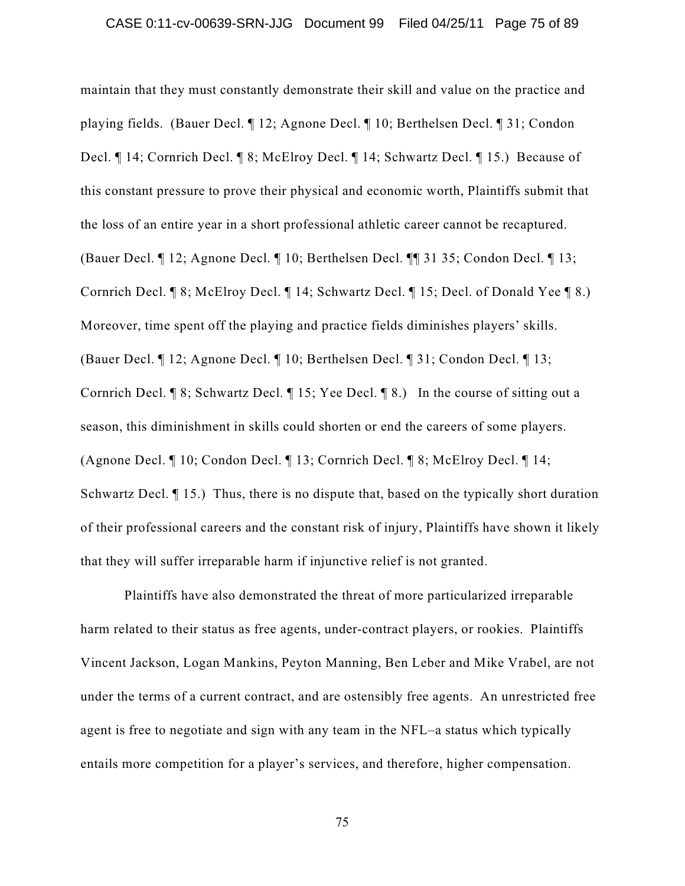maintain that they must constantly demonstrate their skill and value on the practice and playing fields. (Bauer Decl. ¶ 12; Agnone Decl. ¶ 10; Berthelsen Decl. ¶ 31; Condon Decl. ¶ 14; Cornrich Decl. ¶ 8; McElroy Decl. ¶ 14; Schwartz Decl. ¶ 15.) Because of this constant pressure to prove their physical and economic worth, Plaintiffs submit that the loss of an entire year in a short professional athletic career cannot be recaptured. (Bauer Decl. ¶ 12; Agnone Decl. ¶ 10; Berthelsen Decl. ¶¶ 31 35; Condon Decl. ¶ 13; Cornrich Decl. ¶ 8; McElroy Decl. ¶ 14; Schwartz Decl. ¶ 15; Decl. of Donald Yee ¶ 8.) Moreover, time spent off the playing and practice fields diminishes players' skills. (Bauer Decl. ¶ 12; Agnone Decl. ¶ 10; Berthelsen Decl. ¶ 31; Condon Decl. ¶ 13; Cornrich Decl. ¶ 8; Schwartz Decl. ¶ 15; Yee Decl. ¶ 8.) In the course of sitting out a season, this diminishment in skills could shorten or end the careers of some players. (Agnone Decl. ¶ 10; Condon Decl. ¶ 13; Cornrich Decl. ¶ 8; McElroy Decl. ¶ 14; Schwartz Decl.  $\P$  15.) Thus, there is no dispute that, based on the typically short duration of their professional careers and the constant risk of injury, Plaintiffs have shown it likely that they will suffer irreparable harm if injunctive relief is not granted.

Plaintiffs have also demonstrated the threat of more particularized irreparable harm related to their status as free agents, under-contract players, or rookies. Plaintiffs Vincent Jackson, Logan Mankins, Peyton Manning, Ben Leber and Mike Vrabel, are not under the terms of a current contract, and are ostensibly free agents. An unrestricted free agent is free to negotiate and sign with any team in the NFL–a status which typically entails more competition for a player's services, and therefore, higher compensation.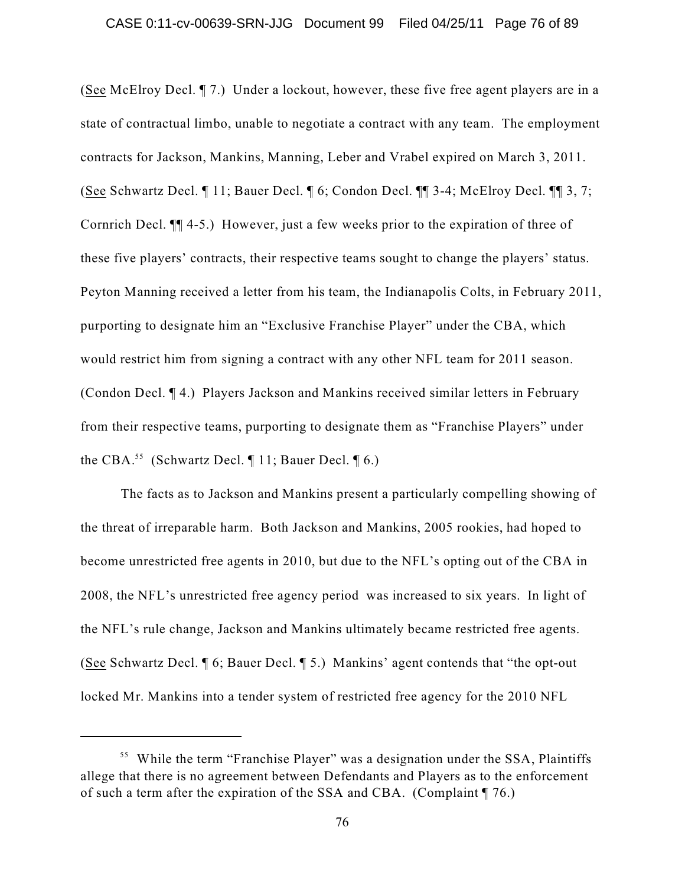(See McElroy Decl. ¶ 7.) Under a lockout, however, these five free agent players are in a state of contractual limbo, unable to negotiate a contract with any team. The employment contracts for Jackson, Mankins, Manning, Leber and Vrabel expired on March 3, 2011. (See Schwartz Decl. ¶ 11; Bauer Decl. ¶ 6; Condon Decl. ¶¶ 3-4; McElroy Decl. ¶¶ 3, 7; Cornrich Decl. ¶¶ 4-5.) However, just a few weeks prior to the expiration of three of these five players' contracts, their respective teams sought to change the players' status. Peyton Manning received a letter from his team, the Indianapolis Colts, in February 2011, purporting to designate him an "Exclusive Franchise Player" under the CBA, which would restrict him from signing a contract with any other NFL team for 2011 season. (Condon Decl. ¶ 4.) Players Jackson and Mankins received similar letters in February from their respective teams, purporting to designate them as "Franchise Players" under the CBA.<sup>55</sup> (Schwartz Decl.  $\P$  11; Bauer Decl.  $\P$  6.)

The facts as to Jackson and Mankins present a particularly compelling showing of the threat of irreparable harm. Both Jackson and Mankins, 2005 rookies, had hoped to become unrestricted free agents in 2010, but due to the NFL's opting out of the CBA in 2008, the NFL's unrestricted free agency period was increased to six years. In light of the NFL's rule change, Jackson and Mankins ultimately became restricted free agents. (See Schwartz Decl. ¶ 6; Bauer Decl. ¶ 5.) Mankins' agent contends that "the opt-out locked Mr. Mankins into a tender system of restricted free agency for the 2010 NFL

<sup>&</sup>lt;sup>55</sup> While the term "Franchise Player" was a designation under the SSA, Plaintiffs allege that there is no agreement between Defendants and Players as to the enforcement of such a term after the expiration of the SSA and CBA. (Complaint ¶ 76.)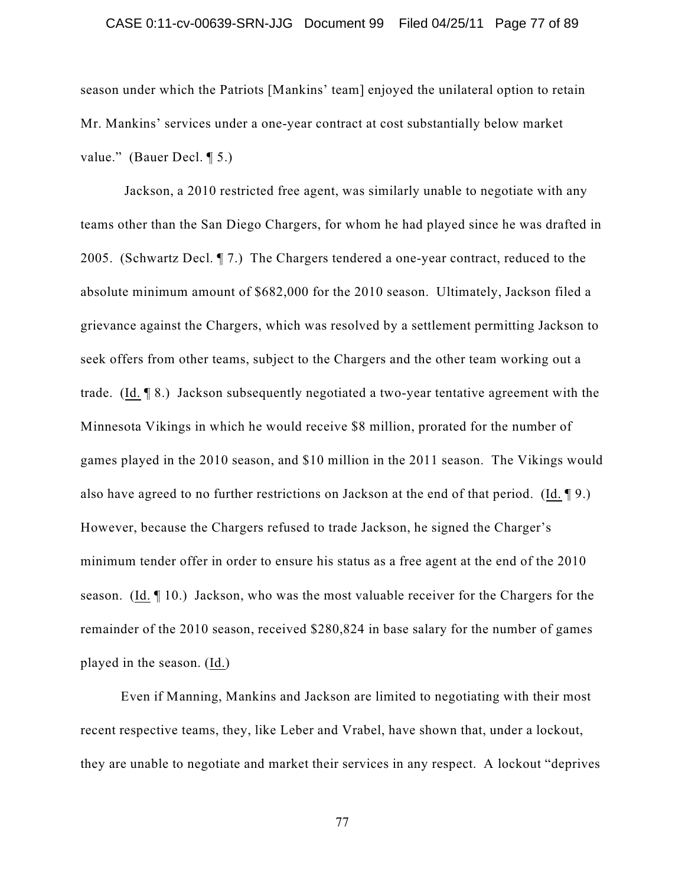#### CASE 0:11-cv-00639-SRN-JJG Document 99 Filed 04/25/11 Page 77 of 89

season under which the Patriots [Mankins' team] enjoyed the unilateral option to retain Mr. Mankins' services under a one-year contract at cost substantially below market value." (Bauer Decl. ¶ 5.)

Jackson, a 2010 restricted free agent, was similarly unable to negotiate with any teams other than the San Diego Chargers, for whom he had played since he was drafted in 2005. (Schwartz Decl. ¶ 7.) The Chargers tendered a one-year contract, reduced to the absolute minimum amount of \$682,000 for the 2010 season. Ultimately, Jackson filed a grievance against the Chargers, which was resolved by a settlement permitting Jackson to seek offers from other teams, subject to the Chargers and the other team working out a trade. (Id. ¶ 8.) Jackson subsequently negotiated a two-year tentative agreement with the Minnesota Vikings in which he would receive \$8 million, prorated for the number of games played in the 2010 season, and \$10 million in the 2011 season. The Vikings would also have agreed to no further restrictions on Jackson at the end of that period. (Id. ¶ 9.) However, because the Chargers refused to trade Jackson, he signed the Charger's minimum tender offer in order to ensure his status as a free agent at the end of the 2010 season. (Id. ¶ 10.) Jackson, who was the most valuable receiver for the Chargers for the remainder of the 2010 season, received \$280,824 in base salary for the number of games played in the season. (Id.)

Even if Manning, Mankins and Jackson are limited to negotiating with their most recent respective teams, they, like Leber and Vrabel, have shown that, under a lockout, they are unable to negotiate and market their services in any respect. A lockout "deprives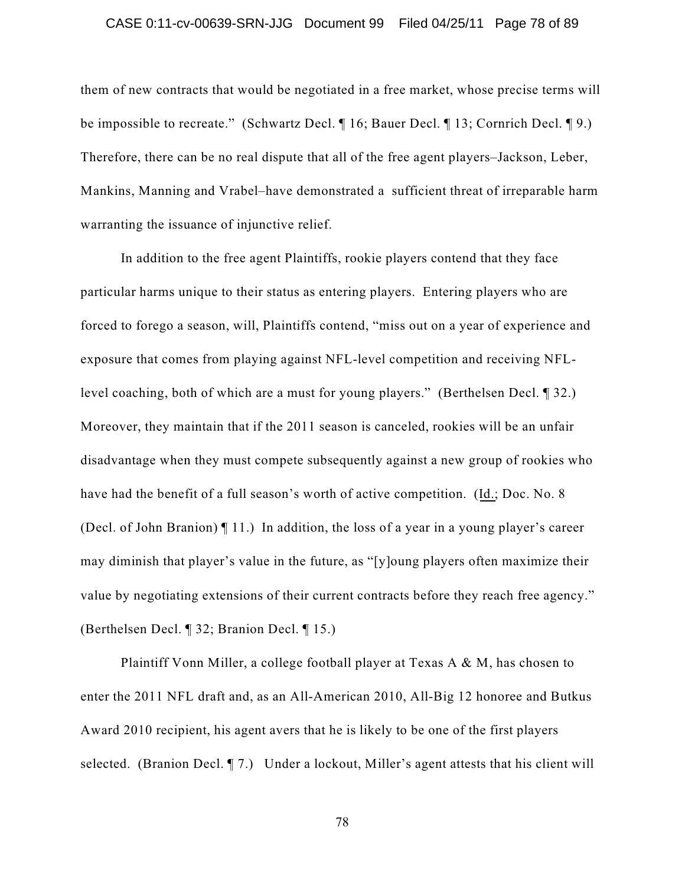#### CASE 0:11-cv-00639-SRN-JJG Document 99 Filed 04/25/11 Page 78 of 89

them of new contracts that would be negotiated in a free market, whose precise terms will be impossible to recreate." (Schwartz Decl. ¶ 16; Bauer Decl. ¶ 13; Cornrich Decl. ¶ 9.) Therefore, there can be no real dispute that all of the free agent players–Jackson, Leber, Mankins, Manning and Vrabel–have demonstrated a sufficient threat of irreparable harm warranting the issuance of injunctive relief.

In addition to the free agent Plaintiffs, rookie players contend that they face particular harms unique to their status as entering players. Entering players who are forced to forego a season, will, Plaintiffs contend, "miss out on a year of experience and exposure that comes from playing against NFL-level competition and receiving NFLlevel coaching, both of which are a must for young players." (Berthelsen Decl. ¶ 32.) Moreover, they maintain that if the 2011 season is canceled, rookies will be an unfair disadvantage when they must compete subsequently against a new group of rookies who have had the benefit of a full season's worth of active competition. (Id.; Doc. No. 8) (Decl. of John Branion) ¶ 11.) In addition, the loss of a year in a young player's career may diminish that player's value in the future, as "[y]oung players often maximize their value by negotiating extensions of their current contracts before they reach free agency." (Berthelsen Decl. ¶ 32; Branion Decl. ¶ 15.)

Plaintiff Vonn Miller, a college football player at Texas A & M, has chosen to enter the 2011 NFL draft and, as an All-American 2010, All-Big 12 honoree and Butkus Award 2010 recipient, his agent avers that he is likely to be one of the first players selected. (Branion Decl. ¶ 7.) Under a lockout, Miller's agent attests that his client will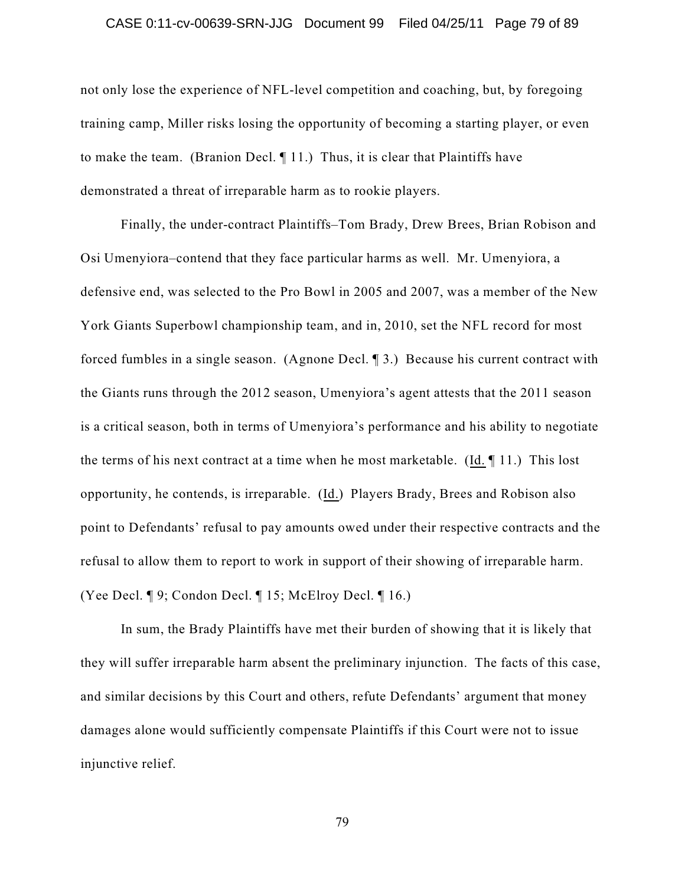#### CASE 0:11-cv-00639-SRN-JJG Document 99 Filed 04/25/11 Page 79 of 89

not only lose the experience of NFL-level competition and coaching, but, by foregoing training camp, Miller risks losing the opportunity of becoming a starting player, or even to make the team. (Branion Decl. ¶ 11.) Thus, it is clear that Plaintiffs have demonstrated a threat of irreparable harm as to rookie players.

Finally, the under-contract Plaintiffs–Tom Brady, Drew Brees, Brian Robison and Osi Umenyiora–contend that they face particular harms as well. Mr. Umenyiora, a defensive end, was selected to the Pro Bowl in 2005 and 2007, was a member of the New York Giants Superbowl championship team, and in, 2010, set the NFL record for most forced fumbles in a single season. (Agnone Decl. ¶ 3.) Because his current contract with the Giants runs through the 2012 season, Umenyiora's agent attests that the 2011 season is a critical season, both in terms of Umenyiora's performance and his ability to negotiate the terms of his next contract at a time when he most marketable. (Id. ¶ 11.) This lost opportunity, he contends, is irreparable. (Id.) Players Brady, Brees and Robison also point to Defendants' refusal to pay amounts owed under their respective contracts and the refusal to allow them to report to work in support of their showing of irreparable harm. (Yee Decl. ¶ 9; Condon Decl. ¶ 15; McElroy Decl. ¶ 16.)

In sum, the Brady Plaintiffs have met their burden of showing that it is likely that they will suffer irreparable harm absent the preliminary injunction. The facts of this case, and similar decisions by this Court and others, refute Defendants' argument that money damages alone would sufficiently compensate Plaintiffs if this Court were not to issue injunctive relief.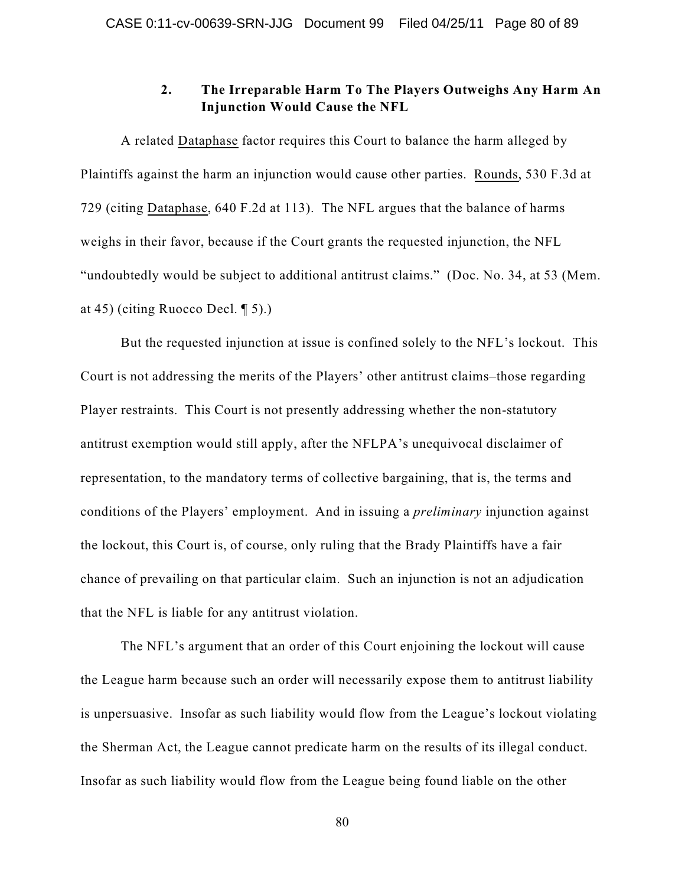# **2. The Irreparable Harm To The Players Outweighs Any Harm An Injunction Would Cause the NFL**

A related Dataphase factor requires this Court to balance the harm alleged by Plaintiffs against the harm an injunction would cause other parties. Rounds, 530 F.3d at 729 (citing Dataphase, 640 F.2d at 113). The NFL argues that the balance of harms weighs in their favor, because if the Court grants the requested injunction, the NFL "undoubtedly would be subject to additional antitrust claims." (Doc. No. 34, at 53 (Mem. at 45) (citing Ruocco Decl. ¶ 5).)

But the requested injunction at issue is confined solely to the NFL's lockout. This Court is not addressing the merits of the Players' other antitrust claims–those regarding Player restraints. This Court is not presently addressing whether the non-statutory antitrust exemption would still apply, after the NFLPA's unequivocal disclaimer of representation, to the mandatory terms of collective bargaining, that is, the terms and conditions of the Players' employment. And in issuing a *preliminary* injunction against the lockout, this Court is, of course, only ruling that the Brady Plaintiffs have a fair chance of prevailing on that particular claim. Such an injunction is not an adjudication that the NFL is liable for any antitrust violation.

The NFL's argument that an order of this Court enjoining the lockout will cause the League harm because such an order will necessarily expose them to antitrust liability is unpersuasive. Insofar as such liability would flow from the League's lockout violating the Sherman Act, the League cannot predicate harm on the results of its illegal conduct. Insofar as such liability would flow from the League being found liable on the other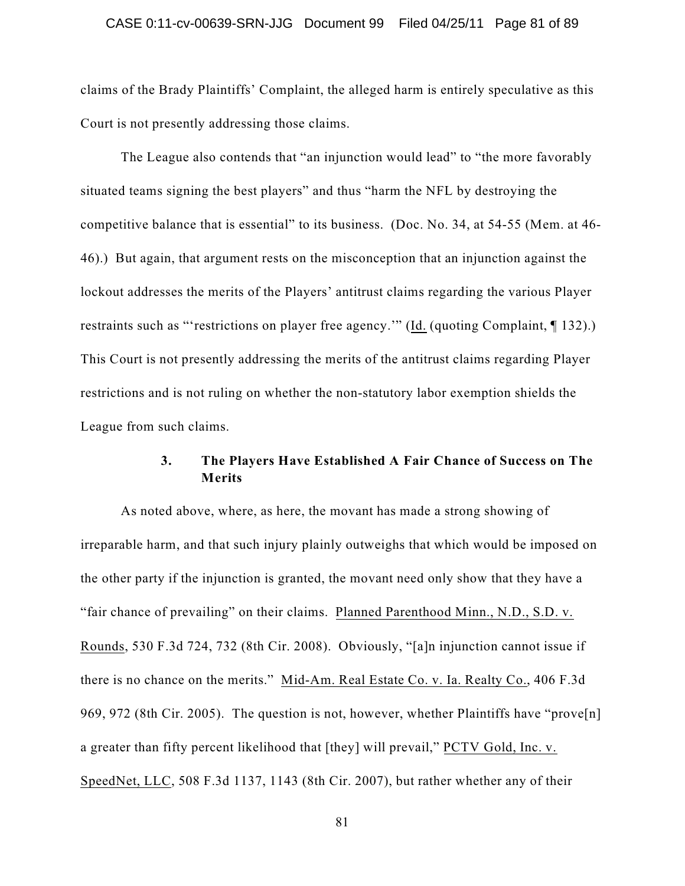#### CASE 0:11-cv-00639-SRN-JJG Document 99 Filed 04/25/11 Page 81 of 89

claims of the Brady Plaintiffs' Complaint, the alleged harm is entirely speculative as this Court is not presently addressing those claims.

The League also contends that "an injunction would lead" to "the more favorably situated teams signing the best players" and thus "harm the NFL by destroying the competitive balance that is essential" to its business. (Doc. No. 34, at 54-55 (Mem. at 46- 46).) But again, that argument rests on the misconception that an injunction against the lockout addresses the merits of the Players' antitrust claims regarding the various Player restraints such as "'restrictions on player free agency.'" (Id. (quoting Complaint, ¶ 132).) This Court is not presently addressing the merits of the antitrust claims regarding Player restrictions and is not ruling on whether the non-statutory labor exemption shields the League from such claims.

## **3. The Players Have Established A Fair Chance of Success on The Merits**

As noted above, where, as here, the movant has made a strong showing of irreparable harm, and that such injury plainly outweighs that which would be imposed on the other party if the injunction is granted, the movant need only show that they have a "fair chance of prevailing" on their claims. Planned Parenthood Minn., N.D., S.D. v. Rounds, 530 F.3d 724, 732 (8th Cir. 2008). Obviously, "[a]n injunction cannot issue if there is no chance on the merits." Mid-Am. Real Estate Co. v. Ia. Realty Co., 406 F.3d 969, 972 (8th Cir. 2005). The question is not, however, whether Plaintiffs have "prove[n] a greater than fifty percent likelihood that [they] will prevail," PCTV Gold, Inc. v. SpeedNet, LLC, 508 F.3d 1137, 1143 (8th Cir. 2007), but rather whether any of their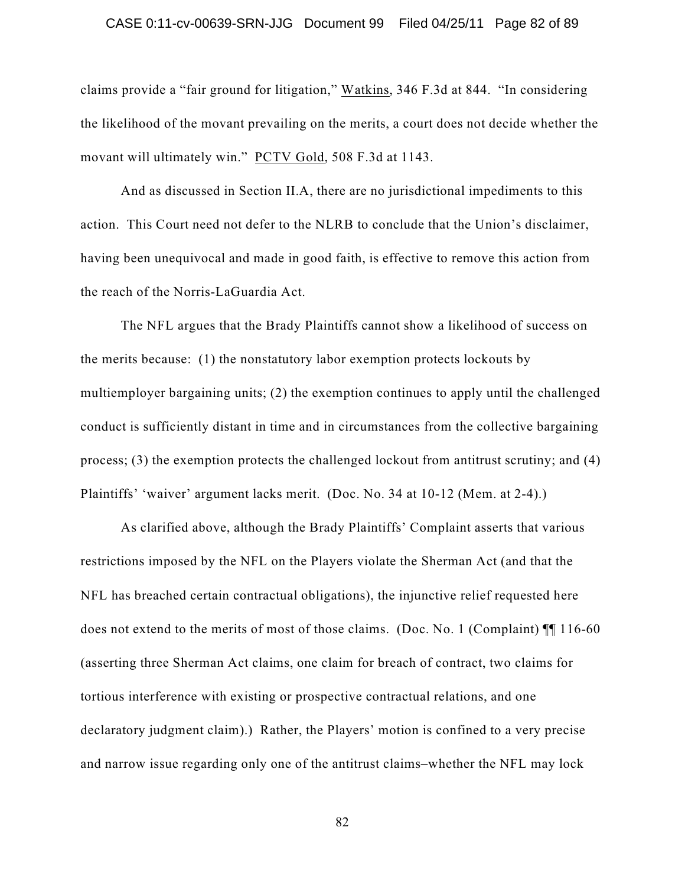#### CASE 0:11-cv-00639-SRN-JJG Document 99 Filed 04/25/11 Page 82 of 89

claims provide a "fair ground for litigation," Watkins, 346 F.3d at 844. "In considering the likelihood of the movant prevailing on the merits, a court does not decide whether the movant will ultimately win." PCTV Gold, 508 F.3d at 1143.

And as discussed in Section II.A, there are no jurisdictional impediments to this action. This Court need not defer to the NLRB to conclude that the Union's disclaimer, having been unequivocal and made in good faith, is effective to remove this action from the reach of the Norris-LaGuardia Act.

The NFL argues that the Brady Plaintiffs cannot show a likelihood of success on the merits because: (1) the nonstatutory labor exemption protects lockouts by multiemployer bargaining units; (2) the exemption continues to apply until the challenged conduct is sufficiently distant in time and in circumstances from the collective bargaining process; (3) the exemption protects the challenged lockout from antitrust scrutiny; and (4) Plaintiffs' 'waiver' argument lacks merit. (Doc. No. 34 at 10-12 (Mem. at 2-4).)

As clarified above, although the Brady Plaintiffs' Complaint asserts that various restrictions imposed by the NFL on the Players violate the Sherman Act (and that the NFL has breached certain contractual obligations), the injunctive relief requested here does not extend to the merits of most of those claims. (Doc. No. 1 (Complaint) ¶¶ 116-60 (asserting three Sherman Act claims, one claim for breach of contract, two claims for tortious interference with existing or prospective contractual relations, and one declaratory judgment claim).) Rather, the Players' motion is confined to a very precise and narrow issue regarding only one of the antitrust claims–whether the NFL may lock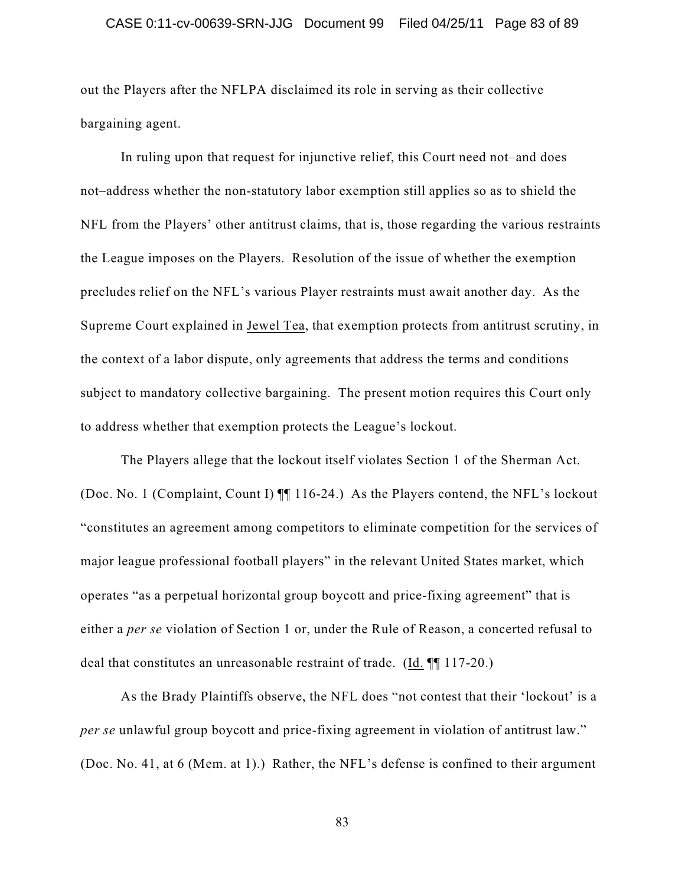#### CASE 0:11-cv-00639-SRN-JJG Document 99 Filed 04/25/11 Page 83 of 89

out the Players after the NFLPA disclaimed its role in serving as their collective bargaining agent.

In ruling upon that request for injunctive relief, this Court need not–and does not–address whether the non-statutory labor exemption still applies so as to shield the NFL from the Players' other antitrust claims, that is, those regarding the various restraints the League imposes on the Players. Resolution of the issue of whether the exemption precludes relief on the NFL's various Player restraints must await another day. As the Supreme Court explained in Jewel Tea, that exemption protects from antitrust scrutiny, in the context of a labor dispute, only agreements that address the terms and conditions subject to mandatory collective bargaining. The present motion requires this Court only to address whether that exemption protects the League's lockout.

The Players allege that the lockout itself violates Section 1 of the Sherman Act. (Doc. No. 1 (Complaint, Count I) ¶¶ 116-24.) As the Players contend, the NFL's lockout "constitutes an agreement among competitors to eliminate competition for the services of major league professional football players" in the relevant United States market, which operates "as a perpetual horizontal group boycott and price-fixing agreement" that is either a *per se* violation of Section 1 or, under the Rule of Reason, a concerted refusal to deal that constitutes an unreasonable restraint of trade. (Id. ¶¶ 117-20.)

As the Brady Plaintiffs observe, the NFL does "not contest that their 'lockout' is a *per se* unlawful group boycott and price-fixing agreement in violation of antitrust law." (Doc. No. 41, at 6 (Mem. at 1).) Rather, the NFL's defense is confined to their argument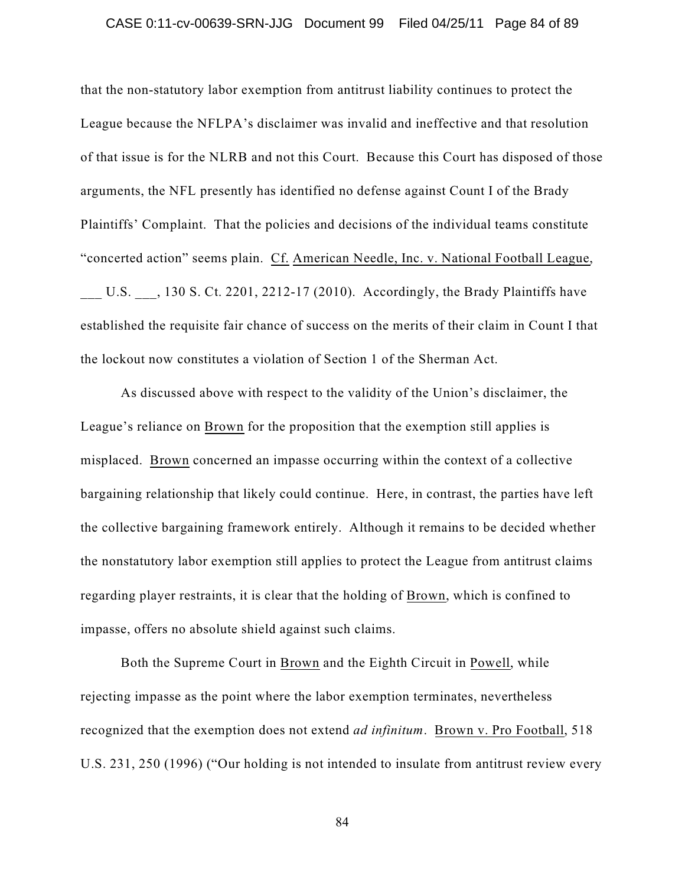#### CASE 0:11-cv-00639-SRN-JJG Document 99 Filed 04/25/11 Page 84 of 89

that the non-statutory labor exemption from antitrust liability continues to protect the League because the NFLPA's disclaimer was invalid and ineffective and that resolution of that issue is for the NLRB and not this Court. Because this Court has disposed of those arguments, the NFL presently has identified no defense against Count I of the Brady Plaintiffs' Complaint. That the policies and decisions of the individual teams constitute "concerted action" seems plain. Cf. American Needle, Inc. v. National Football League,

U.S.  $\phantom{0}$ , 130 S. Ct. 2201, 2212-17 (2010). Accordingly, the Brady Plaintiffs have established the requisite fair chance of success on the merits of their claim in Count I that the lockout now constitutes a violation of Section 1 of the Sherman Act.

As discussed above with respect to the validity of the Union's disclaimer, the League's reliance on Brown for the proposition that the exemption still applies is misplaced. Brown concerned an impasse occurring within the context of a collective bargaining relationship that likely could continue. Here, in contrast, the parties have left the collective bargaining framework entirely. Although it remains to be decided whether the nonstatutory labor exemption still applies to protect the League from antitrust claims regarding player restraints, it is clear that the holding of Brown, which is confined to impasse, offers no absolute shield against such claims.

Both the Supreme Court in Brown and the Eighth Circuit in Powell, while rejecting impasse as the point where the labor exemption terminates, nevertheless recognized that the exemption does not extend *ad infinitum*. Brown v. Pro Football, 518 U.S. 231, 250 (1996) ("Our holding is not intended to insulate from antitrust review every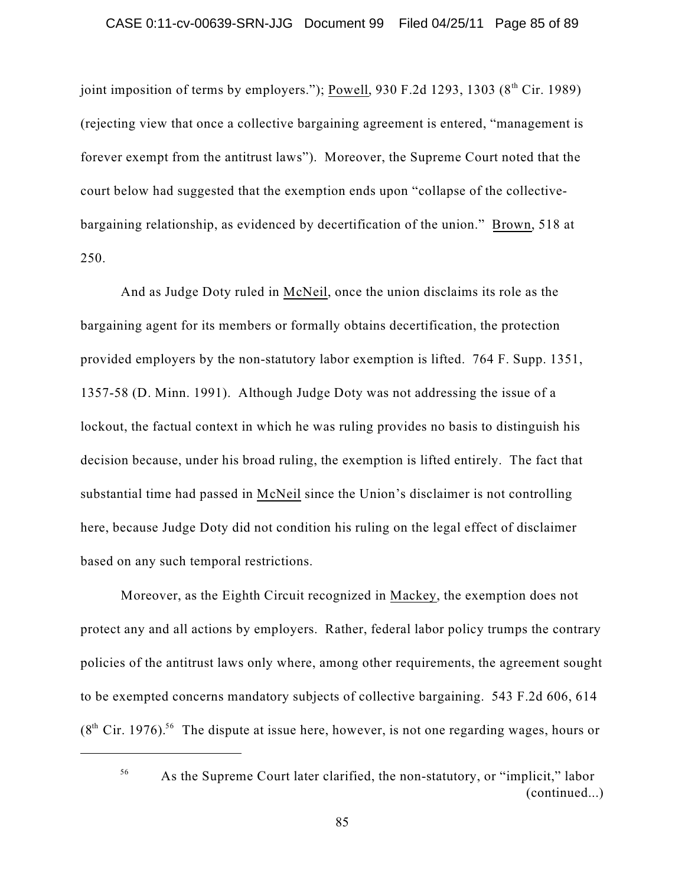joint imposition of terms by employers."); Powell, 930 F.2d 1293, 1303 (8<sup>th</sup> Cir. 1989) (rejecting view that once a collective bargaining agreement is entered, "management is forever exempt from the antitrust laws"). Moreover, the Supreme Court noted that the court below had suggested that the exemption ends upon "collapse of the collectivebargaining relationship, as evidenced by decertification of the union." Brown, 518 at 250.

And as Judge Doty ruled in McNeil, once the union disclaims its role as the bargaining agent for its members or formally obtains decertification, the protection provided employers by the non-statutory labor exemption is lifted. 764 F. Supp. 1351, 1357-58 (D. Minn. 1991). Although Judge Doty was not addressing the issue of a lockout, the factual context in which he was ruling provides no basis to distinguish his decision because, under his broad ruling, the exemption is lifted entirely. The fact that substantial time had passed in McNeil since the Union's disclaimer is not controlling here, because Judge Doty did not condition his ruling on the legal effect of disclaimer based on any such temporal restrictions.

Moreover, as the Eighth Circuit recognized in Mackey, the exemption does not protect any and all actions by employers. Rather, federal labor policy trumps the contrary policies of the antitrust laws only where, among other requirements, the agreement sought to be exempted concerns mandatory subjects of collective bargaining. 543 F.2d 606, 614  $(8<sup>th</sup> Cir. 1976).$ <sup>56</sup> The dispute at issue here, however, is not one regarding wages, hours or

As the Supreme Court later clarified, the non-statutory, or "implicit," labor (continued...)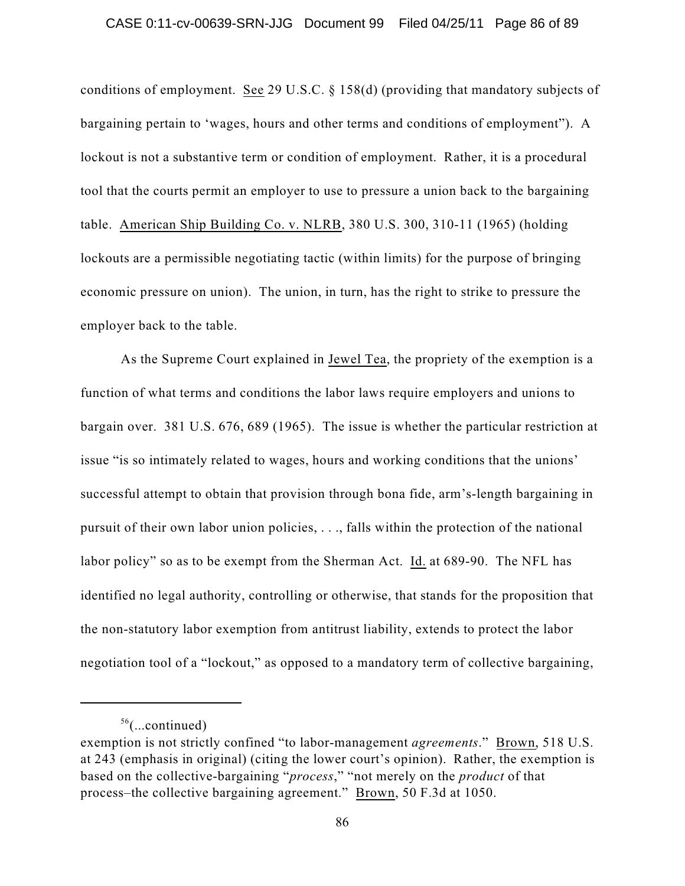conditions of employment. See 29 U.S.C. § 158(d) (providing that mandatory subjects of bargaining pertain to 'wages, hours and other terms and conditions of employment"). A lockout is not a substantive term or condition of employment. Rather, it is a procedural tool that the courts permit an employer to use to pressure a union back to the bargaining table. American Ship Building Co. v. NLRB, 380 U.S. 300, 310-11 (1965) (holding lockouts are a permissible negotiating tactic (within limits) for the purpose of bringing economic pressure on union). The union, in turn, has the right to strike to pressure the employer back to the table.

As the Supreme Court explained in Jewel Tea, the propriety of the exemption is a function of what terms and conditions the labor laws require employers and unions to bargain over. 381 U.S. 676, 689 (1965). The issue is whether the particular restriction at issue "is so intimately related to wages, hours and working conditions that the unions' successful attempt to obtain that provision through bona fide, arm's-length bargaining in pursuit of their own labor union policies, . . ., falls within the protection of the national labor policy" so as to be exempt from the Sherman Act. Id. at 689-90. The NFL has identified no legal authority, controlling or otherwise, that stands for the proposition that the non-statutory labor exemption from antitrust liability, extends to protect the labor negotiation tool of a "lockout," as opposed to a mandatory term of collective bargaining,

 $56$ (...continued)

exemption is not strictly confined "to labor-management *agreements*." Brown, 518 U.S. at 243 (emphasis in original) (citing the lower court's opinion). Rather, the exemption is based on the collective-bargaining "*process*," "not merely on the *product* of that process–the collective bargaining agreement." Brown, 50 F.3d at 1050.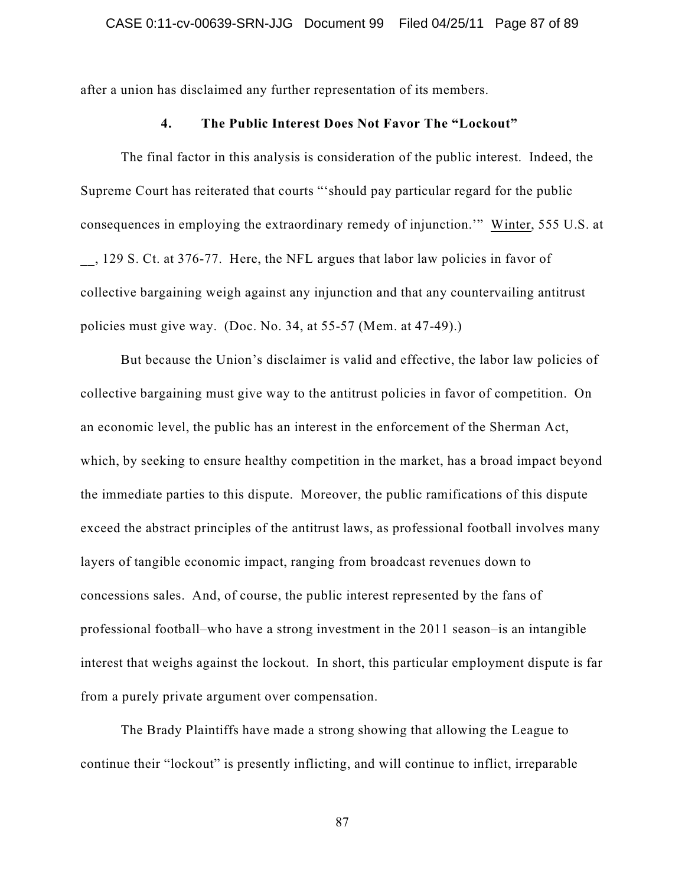after a union has disclaimed any further representation of its members.

## **4. The Public Interest Does Not Favor The "Lockout"**

The final factor in this analysis is consideration of the public interest. Indeed, the Supreme Court has reiterated that courts "'should pay particular regard for the public consequences in employing the extraordinary remedy of injunction.'" Winter, 555 U.S. at \_\_, 129 S. Ct. at 376-77. Here, the NFL argues that labor law policies in favor of collective bargaining weigh against any injunction and that any countervailing antitrust policies must give way. (Doc. No. 34, at 55-57 (Mem. at 47-49).)

But because the Union's disclaimer is valid and effective, the labor law policies of collective bargaining must give way to the antitrust policies in favor of competition. On an economic level, the public has an interest in the enforcement of the Sherman Act, which, by seeking to ensure healthy competition in the market, has a broad impact beyond the immediate parties to this dispute. Moreover, the public ramifications of this dispute exceed the abstract principles of the antitrust laws, as professional football involves many layers of tangible economic impact, ranging from broadcast revenues down to concessions sales. And, of course, the public interest represented by the fans of professional football–who have a strong investment in the 2011 season–is an intangible interest that weighs against the lockout. In short, this particular employment dispute is far from a purely private argument over compensation.

The Brady Plaintiffs have made a strong showing that allowing the League to continue their "lockout" is presently inflicting, and will continue to inflict, irreparable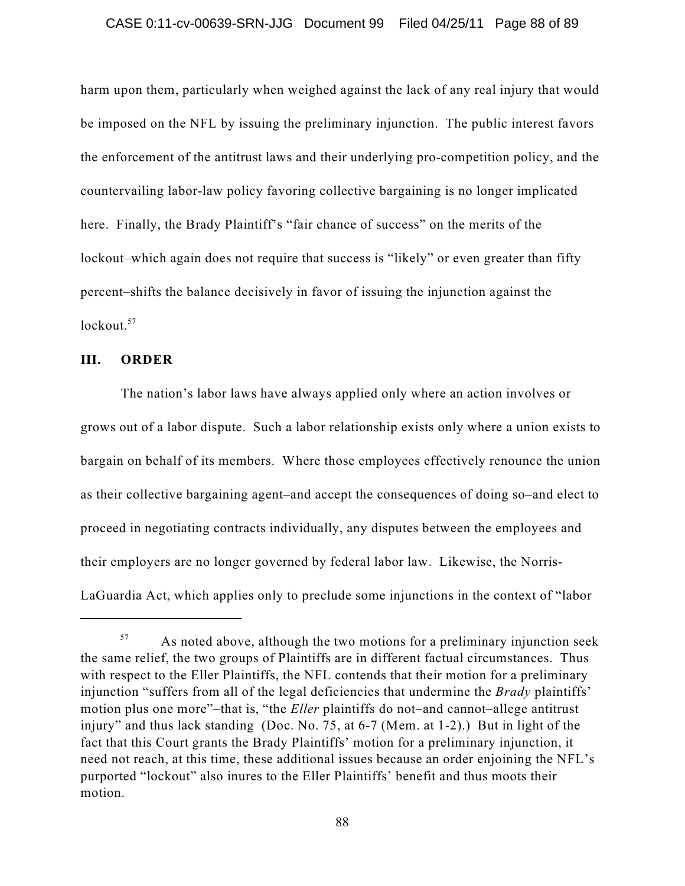harm upon them, particularly when weighed against the lack of any real injury that would be imposed on the NFL by issuing the preliminary injunction. The public interest favors the enforcement of the antitrust laws and their underlying pro-competition policy, and the countervailing labor-law policy favoring collective bargaining is no longer implicated here. Finally, the Brady Plaintiff's "fair chance of success" on the merits of the lockout–which again does not require that success is "likely" or even greater than fifty percent–shifts the balance decisively in favor of issuing the injunction against the lockout. 57

### **III. ORDER**

The nation's labor laws have always applied only where an action involves or grows out of a labor dispute. Such a labor relationship exists only where a union exists to bargain on behalf of its members. Where those employees effectively renounce the union as their collective bargaining agent–and accept the consequences of doing so–and elect to proceed in negotiating contracts individually, any disputes between the employees and their employers are no longer governed by federal labor law. Likewise, the Norris-LaGuardia Act, which applies only to preclude some injunctions in the context of "labor

As noted above, although the two motions for a preliminary injunction seek 57 the same relief, the two groups of Plaintiffs are in different factual circumstances. Thus with respect to the Eller Plaintiffs, the NFL contends that their motion for a preliminary injunction "suffers from all of the legal deficiencies that undermine the *Brady* plaintiffs' motion plus one more"–that is, "the *Eller* plaintiffs do not–and cannot–allege antitrust injury" and thus lack standing (Doc. No. 75, at 6-7 (Mem. at 1-2).) But in light of the fact that this Court grants the Brady Plaintiffs' motion for a preliminary injunction, it need not reach, at this time, these additional issues because an order enjoining the NFL's purported "lockout" also inures to the Eller Plaintiffs' benefit and thus moots their motion.